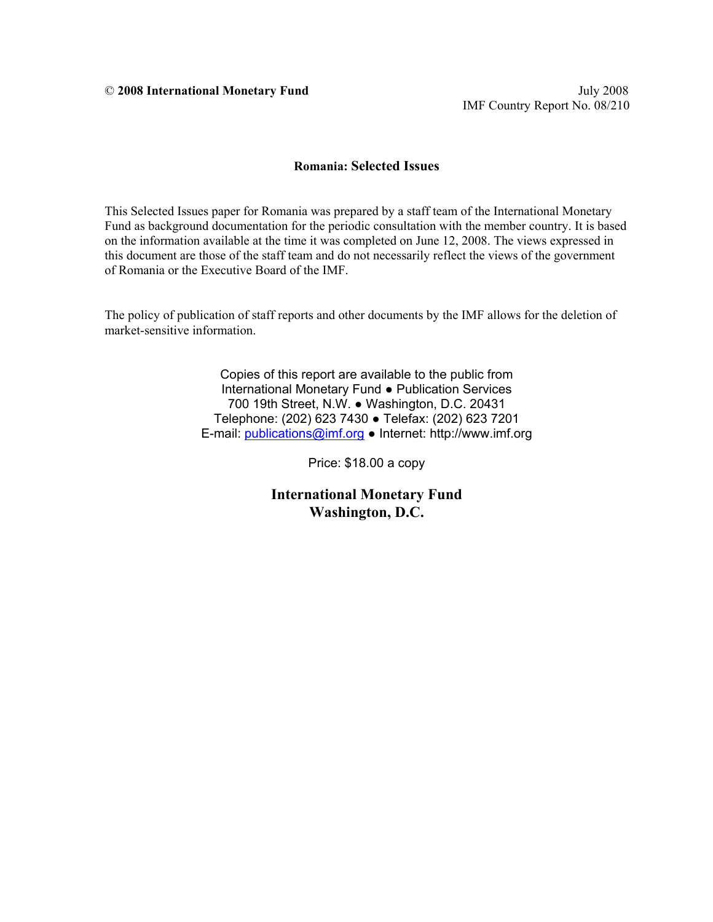IMF Country Report No. 08/210

#### **Romania: Selected Issues**

This Selected Issues paper for Romania was prepared by a staff team of the International Monetary Fund as background documentation for the periodic consultation with the member country. It is based on the information available at the time it was completed on June 12, 2008. The views expressed in this document are those of the staff team and do not necessarily reflect the views of the government of Romania or the Executive Board of the IMF.

The policy of publication of staff reports and other documents by the IMF allows for the deletion of market-sensitive information.

> Copies of this report are available to the public from International Monetary Fund ● Publication Services 700 19th Street, N.W. ● Washington, D.C. 20431 Telephone: (202) 623 7430 ● Telefax: (202) 623 7201 E-mail: [publications@imf.org](mailto:publications@imf.org) ● Internet: http://www.imf.org

> > Price: \$18.00 a copy

**International Monetary Fund Washington, D.C.**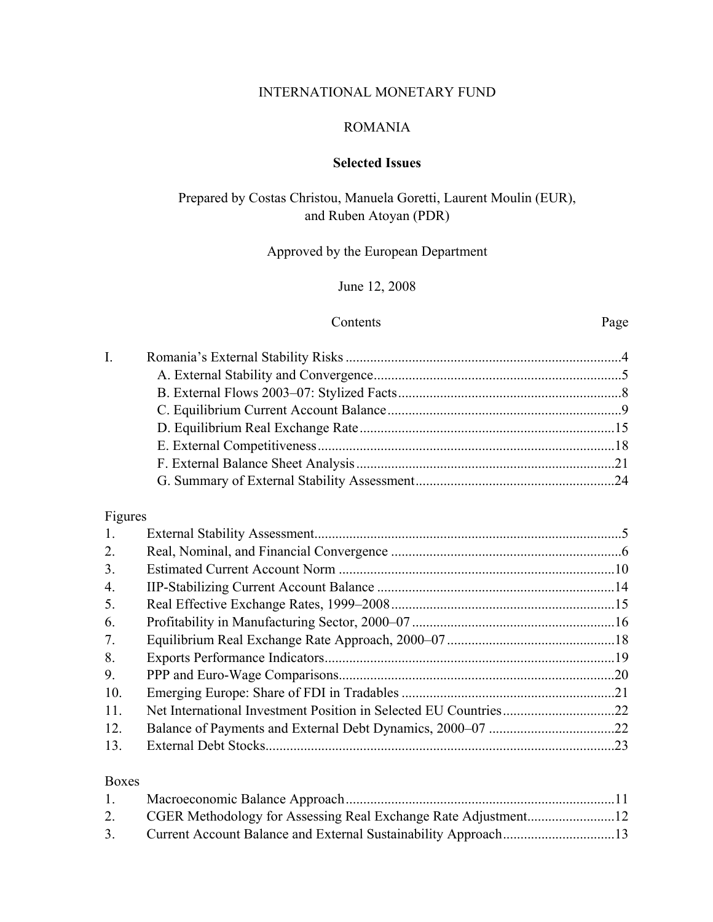# INTERNATIONAL MONETARY FUND

#### ROMANIA

## **Selected Issues**

# Prepared by Costas Christou, Manuela Goretti, Laurent Moulin (EUR), and Ruben Atoyan (PDR)

# Approved by the European Department

# June 12, 2008

#### Contents Page

| $\mathbf{I}$ . |                    |  |
|----------------|--------------------|--|
|                |                    |  |
|                |                    |  |
|                |                    |  |
|                |                    |  |
|                |                    |  |
|                |                    |  |
|                |                    |  |
|                |                    |  |
|                | <b>Information</b> |  |

# Figures

| 1.  |     |
|-----|-----|
| 2.  |     |
| 3.  |     |
| 4.  |     |
| 5.  |     |
| 6.  |     |
| 7.  |     |
| 8.  |     |
| 9.  |     |
| 10. | .21 |
| 11. |     |
| 12. |     |
| 13. |     |
|     |     |

#### Boxes

| 2. |  |
|----|--|
|    |  |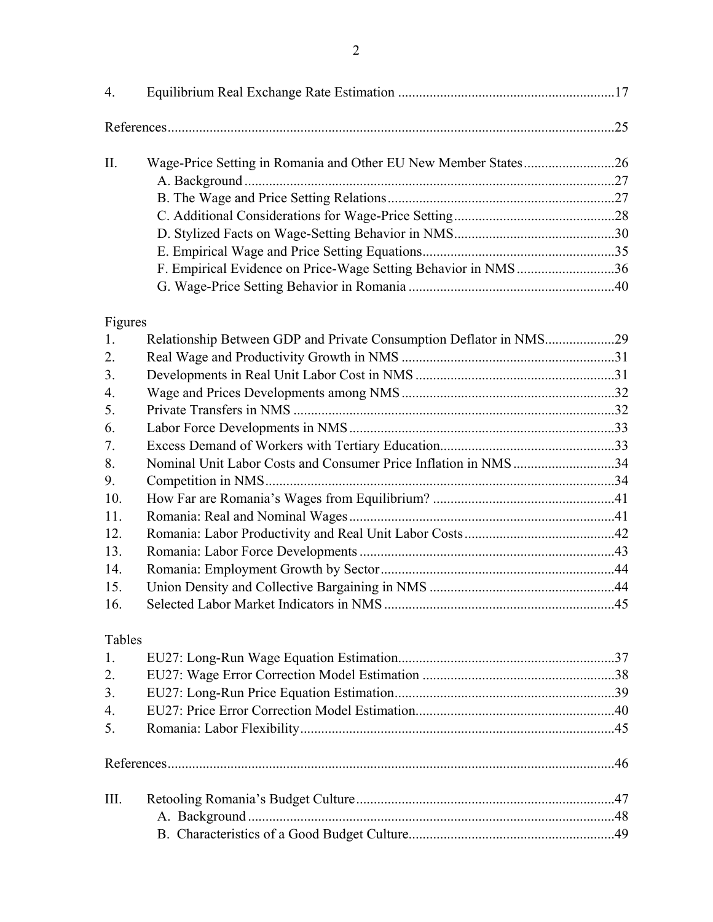| 4.      |                                                                    |  |
|---------|--------------------------------------------------------------------|--|
|         |                                                                    |  |
| II.     |                                                                    |  |
|         |                                                                    |  |
|         |                                                                    |  |
|         |                                                                    |  |
|         |                                                                    |  |
|         |                                                                    |  |
|         | F. Empirical Evidence on Price-Wage Setting Behavior in NMS36      |  |
|         |                                                                    |  |
| Figures |                                                                    |  |
| 1.      | Relationship Between GDP and Private Consumption Deflator in NMS29 |  |
| 2.      |                                                                    |  |
| 3.      |                                                                    |  |
| 4.      |                                                                    |  |
| 5.      |                                                                    |  |
| 6.      |                                                                    |  |
| 7.      |                                                                    |  |
| 8.      | Nominal Unit Labor Costs and Consumer Price Inflation in NMS34     |  |
| 9.      |                                                                    |  |
| 10.     |                                                                    |  |
| 11.     |                                                                    |  |
| 12.     |                                                                    |  |
| 13.     |                                                                    |  |
| 14.     |                                                                    |  |
| 15.     |                                                                    |  |
| 16.     |                                                                    |  |
| Tables  |                                                                    |  |
| 1.      |                                                                    |  |
| 2.      |                                                                    |  |
| 3.      |                                                                    |  |
| 4.      |                                                                    |  |
| 5.      |                                                                    |  |
|         |                                                                    |  |
| III.    |                                                                    |  |
|         |                                                                    |  |
|         |                                                                    |  |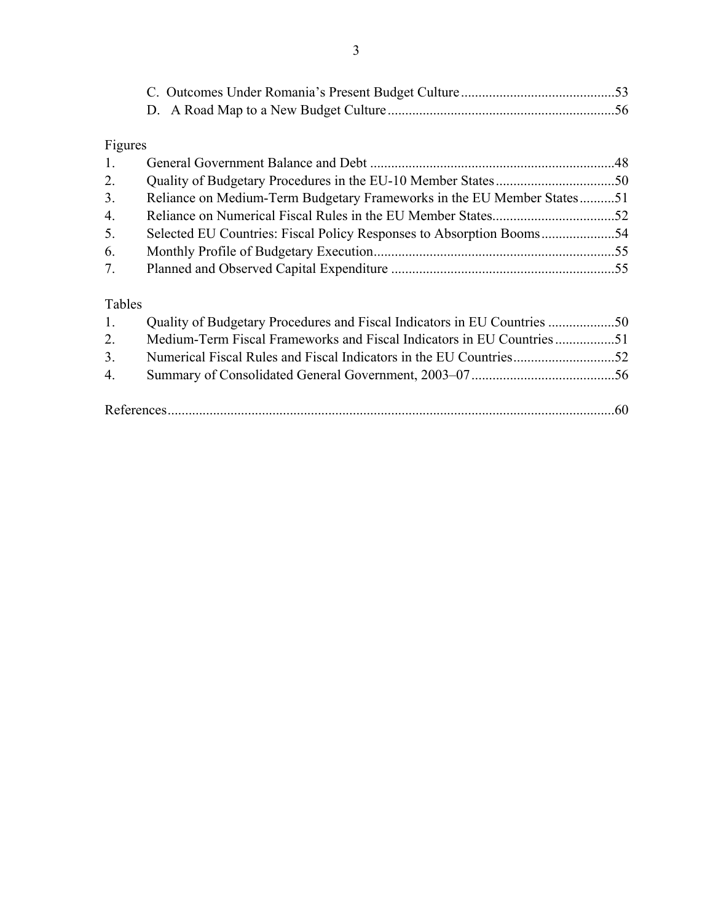# Figures

| 1.     |                                                                        |  |
|--------|------------------------------------------------------------------------|--|
| 2.     |                                                                        |  |
| 3.     | Reliance on Medium-Term Budgetary Frameworks in the EU Member States51 |  |
| 4.     |                                                                        |  |
| 5.     |                                                                        |  |
| 6.     |                                                                        |  |
| 7.     |                                                                        |  |
| Tables |                                                                        |  |
| 1.     |                                                                        |  |
|        |                                                                        |  |

| 2. Medium-Term Fiscal Frameworks and Fiscal Indicators in EU Countries 51 |  |
|---------------------------------------------------------------------------|--|
|                                                                           |  |
|                                                                           |  |
|                                                                           |  |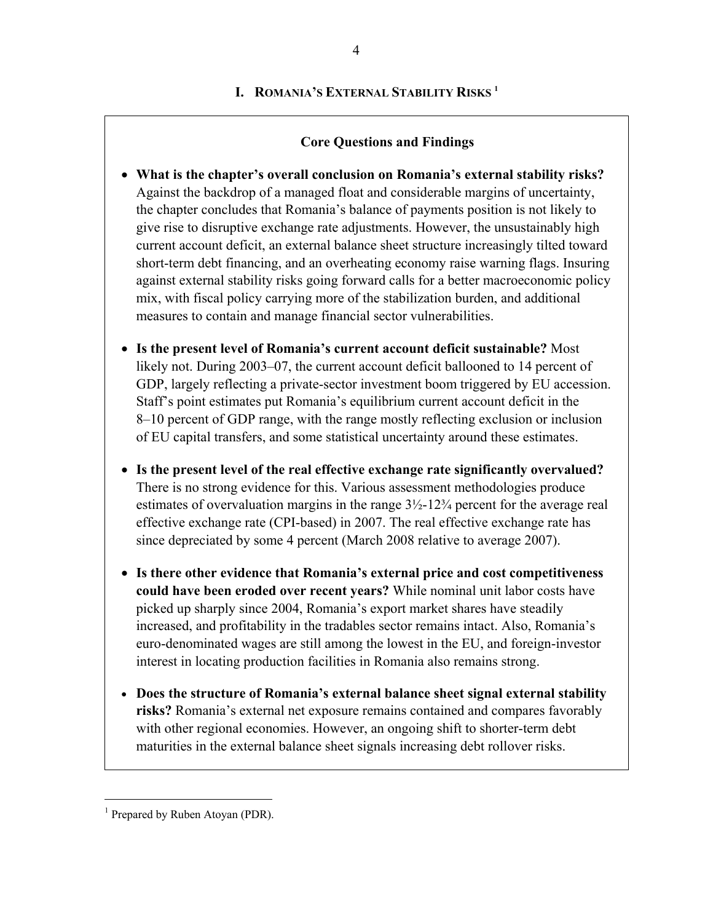#### **I. ROMANIA'S EXTERNAL STABILITY RISKS 1**

#### **Core Questions and Findings**

- **What is the chapter's overall conclusion on Romania's external stability risks?** Against the backdrop of a managed float and considerable margins of uncertainty, the chapter concludes that Romania's balance of payments position is not likely to give rise to disruptive exchange rate adjustments. However, the unsustainably high current account deficit, an external balance sheet structure increasingly tilted toward short-term debt financing, and an overheating economy raise warning flags. Insuring against external stability risks going forward calls for a better macroeconomic policy mix, with fiscal policy carrying more of the stabilization burden, and additional measures to contain and manage financial sector vulnerabilities.
- **Is the present level of Romania's current account deficit sustainable?** Most likely not. During 2003–07, the current account deficit ballooned to 14 percent of GDP, largely reflecting a private-sector investment boom triggered by EU accession. Staff's point estimates put Romania's equilibrium current account deficit in the 8–10 percent of GDP range, with the range mostly reflecting exclusion or inclusion of EU capital transfers, and some statistical uncertainty around these estimates.
- **Is the present level of the real effective exchange rate significantly overvalued?** There is no strong evidence for this. Various assessment methodologies produce estimates of overvaluation margins in the range 3½-12¾ percent for the average real effective exchange rate (CPI-based) in 2007. The real effective exchange rate has since depreciated by some 4 percent (March 2008 relative to average 2007).
- **Is there other evidence that Romania's external price and cost competitiveness could have been eroded over recent years?** While nominal unit labor costs have picked up sharply since 2004, Romania's export market shares have steadily increased, and profitability in the tradables sector remains intact. Also, Romania's euro-denominated wages are still among the lowest in the EU, and foreign-investor interest in locating production facilities in Romania also remains strong.
- **Does the structure of Romania's external balance sheet signal external stability risks?** Romania's external net exposure remains contained and compares favorably with other regional economies. However, an ongoing shift to shorter-term debt maturities in the external balance sheet signals increasing debt rollover risks.

 $\overline{a}$ 

<sup>&</sup>lt;sup>1</sup> Prepared by Ruben Atoyan (PDR).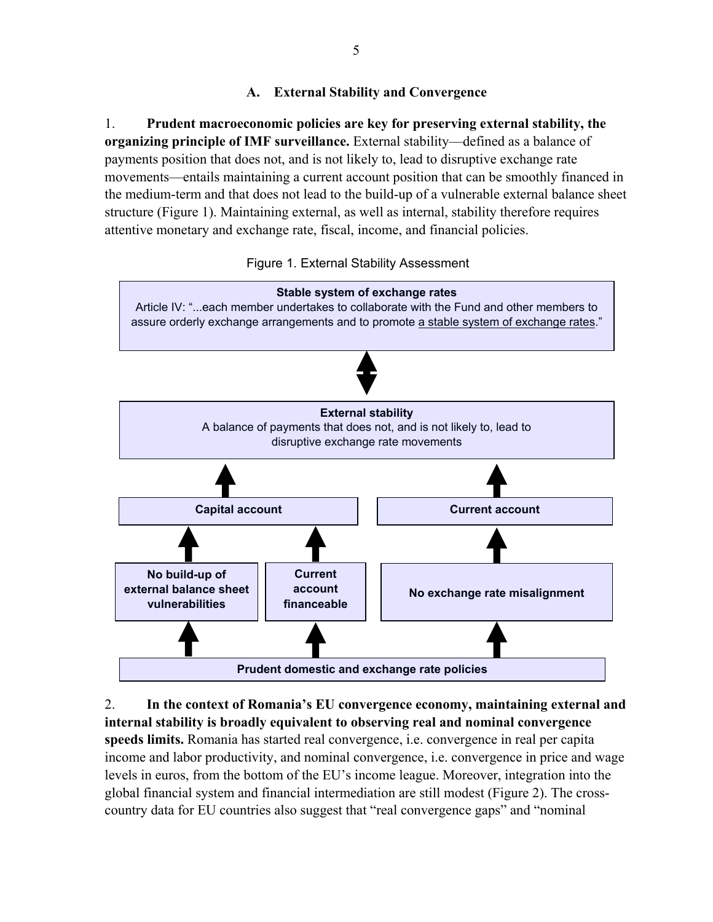# **A. External Stability and Convergence**

1. **Prudent macroeconomic policies are key for preserving external stability, the organizing principle of IMF surveillance.** External stability—defined as a balance of payments position that does not, and is not likely to, lead to disruptive exchange rate movements—entails maintaining a current account position that can be smoothly financed in the medium-term and that does not lead to the build-up of a vulnerable external balance sheet structure (Figure 1). Maintaining external, as well as internal, stability therefore requires attentive monetary and exchange rate, fiscal, income, and financial policies.



Figure 1. External Stability Assessment

2. **In the context of Romania's EU convergence economy, maintaining external and internal stability is broadly equivalent to observing real and nominal convergence speeds limits.** Romania has started real convergence, i.e. convergence in real per capita income and labor productivity, and nominal convergence, i.e. convergence in price and wage levels in euros, from the bottom of the EU's income league. Moreover, integration into the global financial system and financial intermediation are still modest (Figure 2). The crosscountry data for EU countries also suggest that "real convergence gaps" and "nominal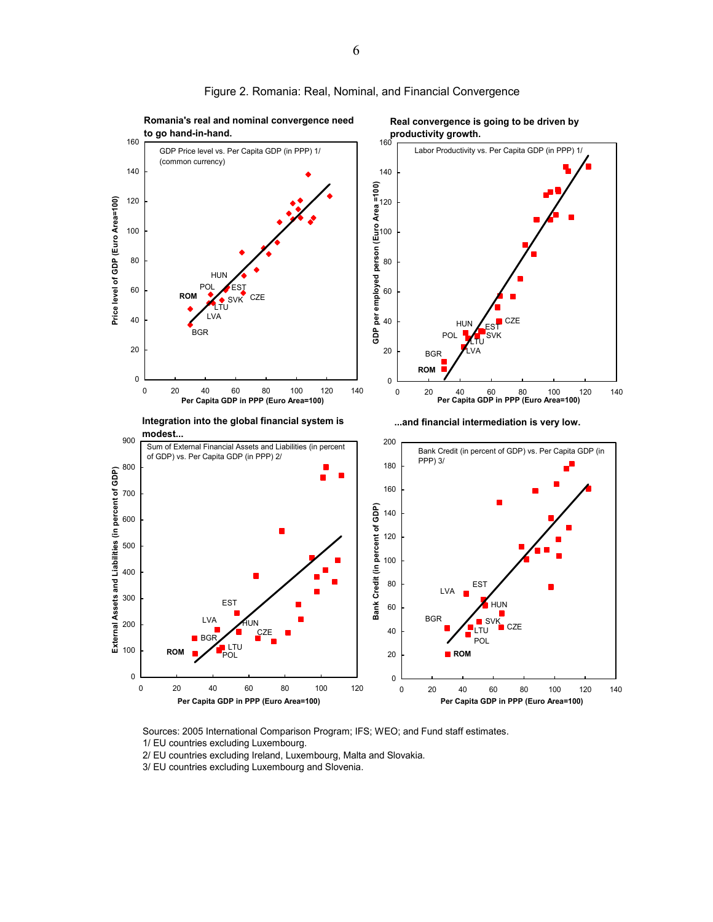

#### Figure 2. Romania: Real, Nominal, and Financial Convergence

Sources: 2005 International Comparison Program; IFS; WEO; and Fund staff estimates.

- 1/ EU countries excluding Luxembourg.
- 2/ EU countries excluding Ireland, Luxembourg, Malta and Slovakia.
- 3/ EU countries excluding Luxembourg and Slovenia.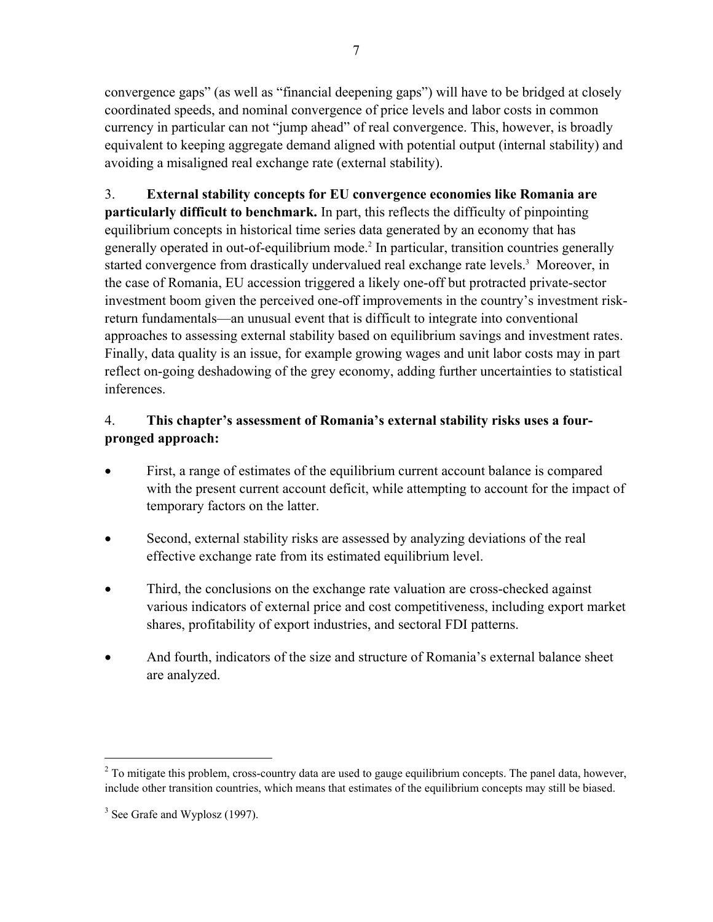convergence gaps" (as well as "financial deepening gaps") will have to be bridged at closely coordinated speeds, and nominal convergence of price levels and labor costs in common currency in particular can not "jump ahead" of real convergence. This, however, is broadly equivalent to keeping aggregate demand aligned with potential output (internal stability) and avoiding a misaligned real exchange rate (external stability).

3. **External stability concepts for EU convergence economies like Romania are particularly difficult to benchmark.** In part, this reflects the difficulty of pinpointing equilibrium concepts in historical time series data generated by an economy that has generally operated in out-of-equilibrium mode.<sup>2</sup> In particular, transition countries generally started convergence from drastically undervalued real exchange rate levels.<sup>3</sup> Moreover, in the case of Romania, EU accession triggered a likely one-off but protracted private-sector investment boom given the perceived one-off improvements in the country's investment riskreturn fundamentals—an unusual event that is difficult to integrate into conventional approaches to assessing external stability based on equilibrium savings and investment rates. Finally, data quality is an issue, for example growing wages and unit labor costs may in part reflect on-going deshadowing of the grey economy, adding further uncertainties to statistical inferences.

# 4. **This chapter's assessment of Romania's external stability risks uses a fourpronged approach:**

- First, a range of estimates of the equilibrium current account balance is compared with the present current account deficit, while attempting to account for the impact of temporary factors on the latter.
- Second, external stability risks are assessed by analyzing deviations of the real effective exchange rate from its estimated equilibrium level.
- Third, the conclusions on the exchange rate valuation are cross-checked against various indicators of external price and cost competitiveness, including export market shares, profitability of export industries, and sectoral FDI patterns.
- And fourth, indicators of the size and structure of Romania's external balance sheet are analyzed.

 $\overline{a}$ 

 $2^{2}$  To mitigate this problem, cross-country data are used to gauge equilibrium concepts. The panel data, however, include other transition countries, which means that estimates of the equilibrium concepts may still be biased.

<sup>&</sup>lt;sup>3</sup> See Grafe and Wyplosz (1997).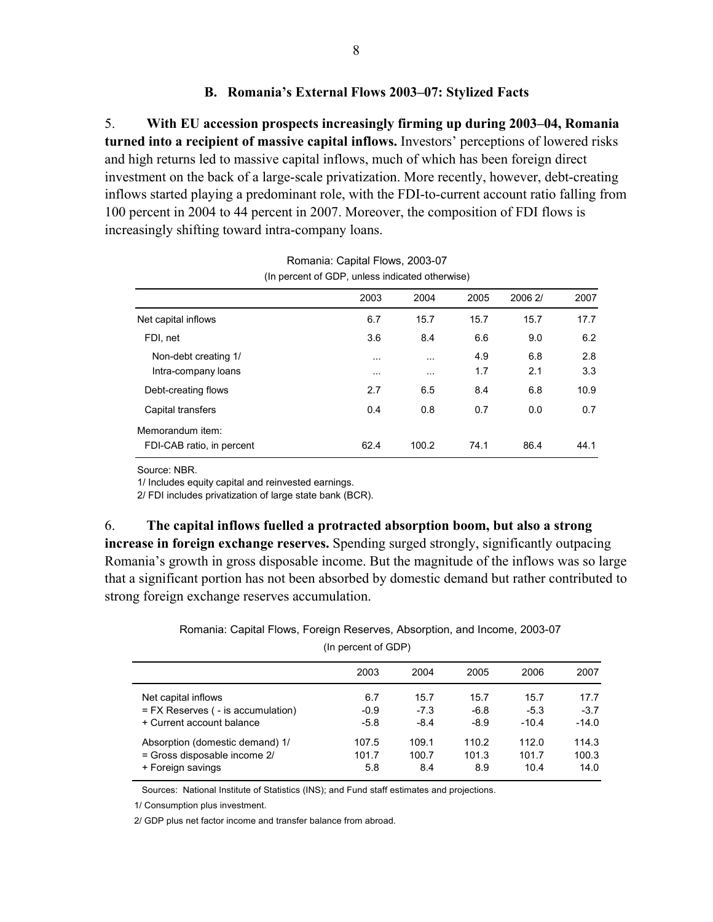#### **B. Romania's External Flows 2003–07: Stylized Facts**

5. **With EU accession prospects increasingly firming up during 2003–04, Romania turned into a recipient of massive capital inflows.** Investors' perceptions of lowered risks and high returns led to massive capital inflows, much of which has been foreign direct investment on the back of a large-scale privatization. More recently, however, debt-creating inflows started playing a predominant role, with the FDI-to-current account ratio falling from 100 percent in 2004 to 44 percent in 2007. Moreover, the composition of FDI flows is increasingly shifting toward intra-company loans.

|                                               | $\mu$ , poroom, or ODT, anicaa indicated otherwise, |                      |            |            |            |  |
|-----------------------------------------------|-----------------------------------------------------|----------------------|------------|------------|------------|--|
|                                               | 2003                                                | 2004                 | 2005       | 2006 2/    | 2007       |  |
| Net capital inflows                           | 6.7                                                 | 15.7                 | 15.7       | 15.7       | 17.7       |  |
| FDI, net                                      | 3.6                                                 | 8.4                  | 6.6        | 9.0        | 6.2        |  |
| Non-debt creating 1/<br>Intra-company loans   | $\cdots$<br>$\cdots$                                | $\cdots$<br>$\cdots$ | 4.9<br>1.7 | 6.8<br>2.1 | 2.8<br>3.3 |  |
| Debt-creating flows                           | 2.7                                                 | 6.5                  | 8.4        | 6.8        | 10.9       |  |
| Capital transfers                             | 0.4                                                 | 0.8                  | 0.7        | 0.0        | 0.7        |  |
| Memorandum item:<br>FDI-CAB ratio, in percent | 62.4                                                | 100.2                | 74.1       | 86.4       | 44.1       |  |

| Romania: Capital Flows, 2003-07                 |
|-------------------------------------------------|
| (In percent of GDP, unless indicated otherwise) |

Source: NBR.

1/ Includes equity capital and reinvested earnings.

2/ FDI includes privatization of large state bank (BCR).

6. **The capital inflows fuelled a protracted absorption boom, but also a strong increase in foreign exchange reserves.** Spending surged strongly, significantly outpacing Romania's growth in gross disposable income. But the magnitude of the inflows was so large that a significant portion has not been absorbed by domestic demand but rather contributed to strong foreign exchange reserves accumulation.

Romania: Capital Flows, Foreign Reserves, Absorption, and Income, 2003-07

| ן זוו טפונפוון טו שטרי                 |        |        |        |         |         |
|----------------------------------------|--------|--------|--------|---------|---------|
|                                        | 2003   | 2004   | 2005   | 2006    | 2007    |
| Net capital inflows                    | 6.7    | 15.7   | 15.7   | 15.7    | 17.7    |
| $=$ FX Reserves ( $-$ is accumulation) | $-0.9$ | $-7.3$ | $-6.8$ | $-5.3$  | $-3.7$  |
| + Current account balance              | $-5.8$ | $-8.4$ | $-8.9$ | $-10.4$ | $-14.0$ |
| Absorption (domestic demand) 1/        | 107.5  | 109.1  | 110.2  | 112.0   | 114.3   |
| = Gross disposable income 2/           | 101.7  | 100.7  | 101.3  | 101.7   | 100.3   |
| + Foreign savings                      | 5.8    | 8.4    | 8.9    | 10.4    | 14.0    |

 $U_n$  percent of  $GDD$ 

Sources: National Institute of Statistics (INS); and Fund staff estimates and projections.

1/ Consumption plus investment.

2/ GDP plus net factor income and transfer balance from abroad.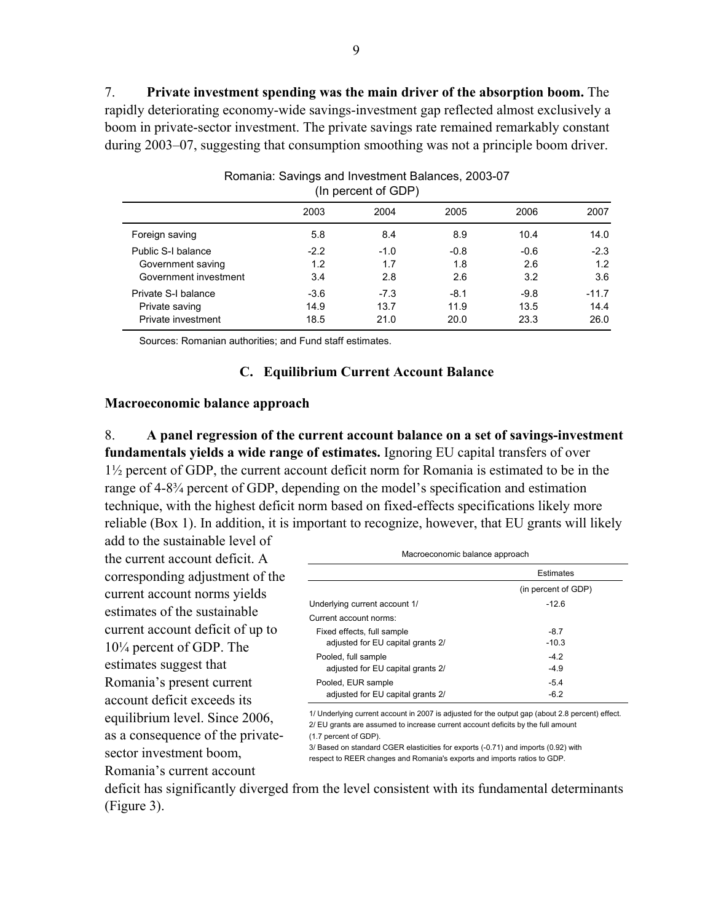7. **Private investment spending was the main driver of the absorption boom.** The rapidly deteriorating economy-wide savings-investment gap reflected almost exclusively a boom in private-sector investment. The private savings rate remained remarkably constant during 2003–07, suggesting that consumption smoothing was not a principle boom driver.

| 2003<br>2004<br>2005<br>2006<br>2007 |        |        |        |        |         |
|--------------------------------------|--------|--------|--------|--------|---------|
| Foreign saving                       | 5.8    | 8.4    | 8.9    | 10.4   | 14.0    |
| Public S-I balance                   | $-2.2$ | $-1.0$ | $-0.8$ | $-0.6$ | $-2.3$  |
| Government saving                    | 1.2    | 1.7    | 1.8    | 2.6    | 1.2     |
| Government investment                | 3.4    | 2.8    | 2.6    | 3.2    | 3.6     |
| Private S-I balance                  | $-3.6$ | $-7.3$ | $-8.1$ | $-9.8$ | $-11.7$ |
| Private saving                       | 14.9   | 13.7   | 11.9   | 13.5   | 14.4    |
| Private investment                   | 18.5   | 21.0   | 20.0   | 23.3   | 26.0    |
|                                      |        |        |        |        |         |

Romania: Savings and Investment Balances, 2003-07 (In percent of GDP)

Sources: Romanian authorities; and Fund staff estimates.

#### **C. Equilibrium Current Account Balance**

#### **Macroeconomic balance approach**

8. **A panel regression of the current account balance on a set of savings-investment fundamentals yields a wide range of estimates.** Ignoring EU capital transfers of over 1½ percent of GDP, the current account deficit norm for Romania is estimated to be in the range of 4-8¾ percent of GDP, depending on the model's specification and estimation technique, with the highest deficit norm based on fixed-effects specifications likely more reliable (Box 1). In addition, it is important to recognize, however, that EU grants will likely

add to the sustainable level of the current account deficit. A corresponding adjustment of the current account norms yields estimates of the sustainable current account deficit of up to 10¼ percent of GDP. The estimates suggest that Romania's present current account deficit exceeds its equilibrium level. Since 2006, as a consequence of the privatesector investment boom, Romania's current account

| Macroeconomic balance approach    |                     |  |  |
|-----------------------------------|---------------------|--|--|
|                                   | <b>Estimates</b>    |  |  |
|                                   | (in percent of GDP) |  |  |
| Underlying current account 1/     | $-126$              |  |  |
| Current account norms:            |                     |  |  |
| Fixed effects, full sample        | $-8.7$              |  |  |
| adjusted for EU capital grants 2/ | $-10.3$             |  |  |
| Pooled, full sample               | $-4.2$              |  |  |
| adjusted for EU capital grants 2/ | $-4.9$              |  |  |
| Pooled, EUR sample                | $-5.4$              |  |  |
| adjusted for EU capital grants 2/ | $-6.2$              |  |  |

1/ Underlying current account in 2007 is adjusted for the output gap (about 2.8 percent) effect. 2/ EU grants are assumed to increase current account deficits by the full amount (1.7 percent of GDP).

3/ Based on standard CGER elasticities for exports (-0.71) and imports (0.92) with respect to REER changes and Romania's exports and imports ratios to GDP.

deficit has significantly diverged from the level consistent with its fundamental determinants (Figure 3).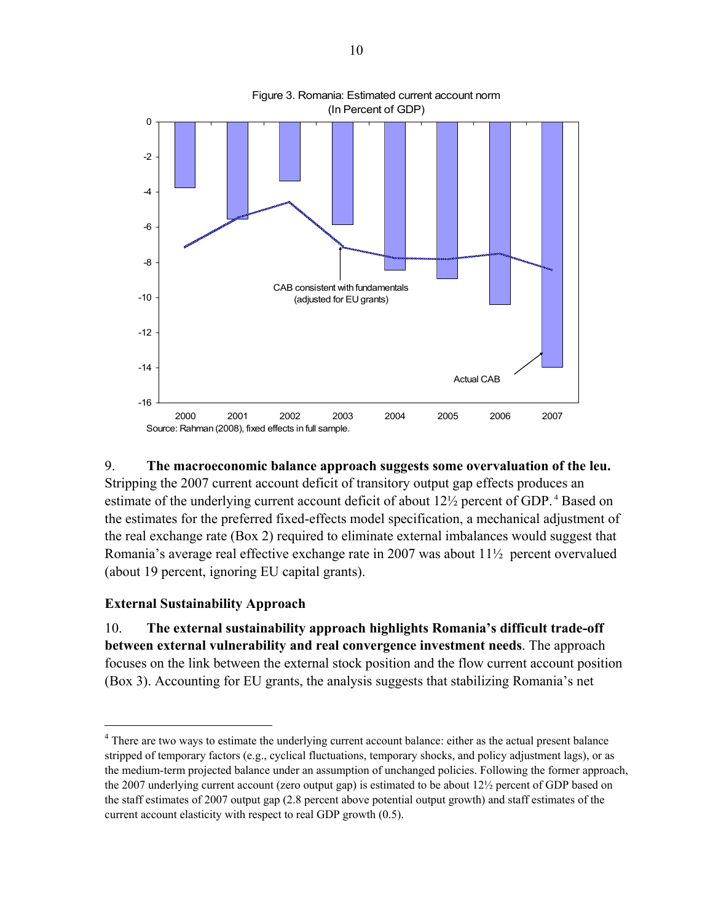

# 9. **The macroeconomic balance approach suggests some overvaluation of the leu.**  Stripping the 2007 current account deficit of transitory output gap effects produces an estimate of the underlying current account deficit of about 12<sup>1</sup>/<sub>2</sub> percent of GDP.<sup>4</sup> Based on the estimates for the preferred fixed-effects model specification, a mechanical adjustment of the real exchange rate (Box 2) required to eliminate external imbalances would suggest that Romania's average real effective exchange rate in 2007 was about 11½ percent overvalued (about 19 percent, ignoring EU capital grants).

# **External Sustainability Approach**

 $\overline{a}$ 

10. **The external sustainability approach highlights Romania's difficult trade-off between external vulnerability and real convergence investment needs**. The approach focuses on the link between the external stock position and the flow current account position (Box 3). Accounting for EU grants, the analysis suggests that stabilizing Romania's net

<sup>&</sup>lt;sup>4</sup> There are two ways to estimate the underlying current account balance: either as the actual present balance stripped of temporary factors (e.g., cyclical fluctuations, temporary shocks, and policy adjustment lags), or as the medium-term projected balance under an assumption of unchanged policies. Following the former approach, the 2007 underlying current account (zero output gap) is estimated to be about 12½ percent of GDP based on the staff estimates of 2007 output gap (2.8 percent above potential output growth) and staff estimates of the current account elasticity with respect to real GDP growth (0.5).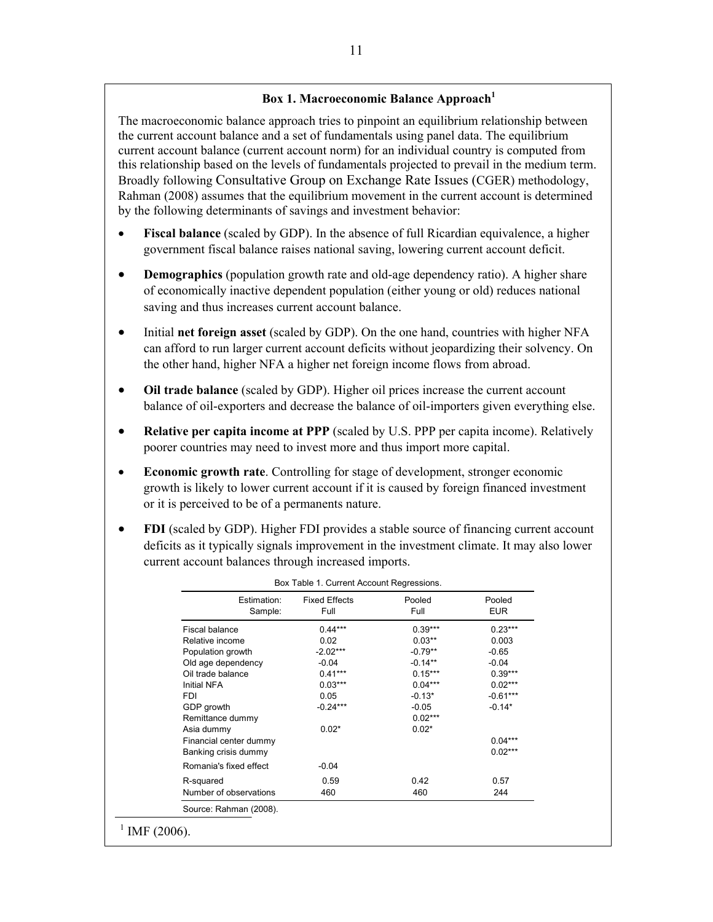#### **Box 1. Macroeconomic Balance Approach<sup>1</sup>**

The macroeconomic balance approach tries to pinpoint an equilibrium relationship between the current account balance and a set of fundamentals using panel data. The equilibrium current account balance (current account norm) for an individual country is computed from this relationship based on the levels of fundamentals projected to prevail in the medium term. Broadly following Consultative Group on Exchange Rate Issues (CGER) methodology, Rahman (2008) assumes that the equilibrium movement in the current account is determined by the following determinants of savings and investment behavior:

- **Fiscal balance** (scaled by GDP). In the absence of full Ricardian equivalence, a higher government fiscal balance raises national saving, lowering current account deficit.
- **Demographics** (population growth rate and old-age dependency ratio). A higher share of economically inactive dependent population (either young or old) reduces national saving and thus increases current account balance.
- Initial **net foreign asset** (scaled by GDP). On the one hand, countries with higher NFA can afford to run larger current account deficits without jeopardizing their solvency. On the other hand, higher NFA a higher net foreign income flows from abroad.
- **Oil trade balance** (scaled by GDP). Higher oil prices increase the current account balance of oil-exporters and decrease the balance of oil-importers given everything else.
- **Relative per capita income at PPP** (scaled by U.S. PPP per capita income). Relatively poorer countries may need to invest more and thus import more capital.
- **Economic growth rate**. Controlling for stage of development, stronger economic growth is likely to lower current account if it is caused by foreign financed investment or it is perceived to be of a permanents nature.
- **FDI** (scaled by GDP). Higher FDI provides a stable source of financing current account deficits as it typically signals improvement in the investment climate. It may also lower current account balances through increased imports.

| Estimation:<br>Sample: | <b>Fixed Effects</b><br>Full | Pooled<br>Full | Pooled<br><b>EUR</b> |
|------------------------|------------------------------|----------------|----------------------|
| Fiscal balance         | $0.44***$                    | $0.39***$      | $0.23***$            |
| Relative income        | 0.02                         | $0.03***$      | 0.003                |
| Population growth      | $-2.02***$                   | $-0.79**$      | $-0.65$              |
| Old age dependency     | $-0.04$                      | $-0.14**$      | $-0.04$              |
| Oil trade balance      | $0.41***$                    | $0.15***$      | $0.39***$            |
| Initial NFA            | $0.03***$                    | $0.04***$      | $0.02***$            |
| <b>FDI</b>             | 0.05                         | $-0.13*$       | $-0.61***$           |
| GDP growth             | $-0.24***$                   | $-0.05$        | $-0.14*$             |
| Remittance dummy       |                              | $0.02***$      |                      |
| Asia dummy             | $0.02*$                      | $0.02*$        |                      |
| Financial center dummy |                              |                | $0.04***$            |
| Banking crisis dummy   |                              |                | $0.02***$            |
| Romania's fixed effect | $-0.04$                      |                |                      |
| R-squared              | 0.59                         | 0.42           | 0.57                 |
| Number of observations | 460                          | 460            | 244                  |
| Source: Rahman (2008). |                              |                |                      |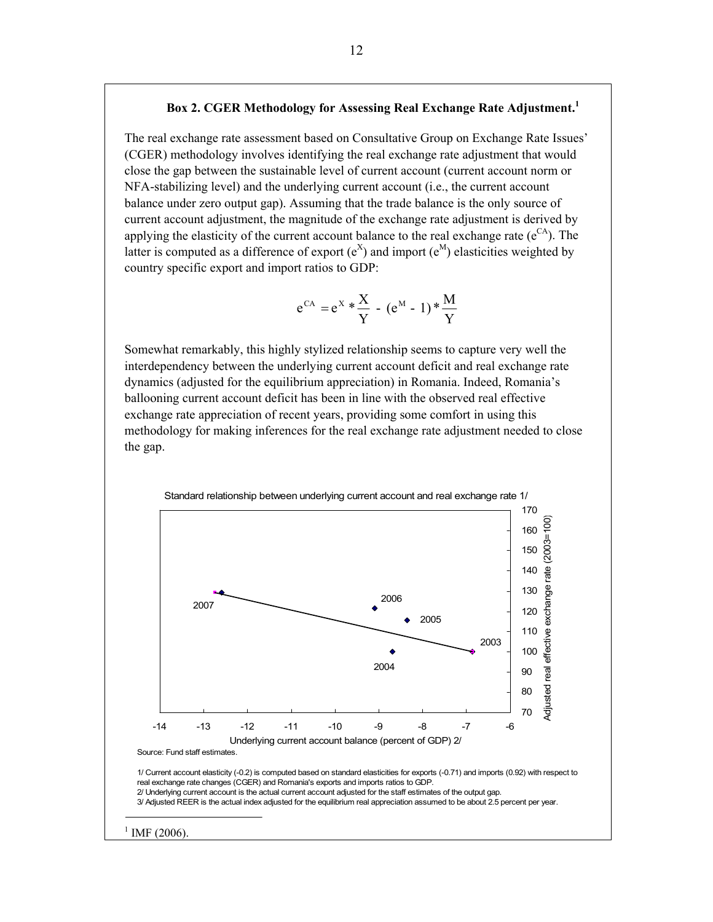#### **Box 2. CGER Methodology for Assessing Real Exchange Rate Adjustment.1**

The real exchange rate assessment based on Consultative Group on Exchange Rate Issues' (CGER) methodology involves identifying the real exchange rate adjustment that would close the gap between the sustainable level of current account (current account norm or NFA-stabilizing level) and the underlying current account (i.e., the current account balance under zero output gap). Assuming that the trade balance is the only source of current account adjustment, the magnitude of the exchange rate adjustment is derived by applying the elasticity of the current account balance to the real exchange rate  $(e^{CA})$ . The latter is computed as a difference of export  $(e^X)$  and import  $(e^M)$  elasticities weighted by country specific export and import ratios to GDP:

$$
e^{CA} = e^{X} * \frac{X}{Y} - (e^{M} - 1) * \frac{M}{Y}
$$

Somewhat remarkably, this highly stylized relationship seems to capture very well the interdependency between the underlying current account deficit and real exchange rate dynamics (adjusted for the equilibrium appreciation) in Romania. Indeed, Romania's ballooning current account deficit has been in line with the observed real effective exchange rate appreciation of recent years, providing some comfort in using this methodology for making inferences for the real exchange rate adjustment needed to close the gap.

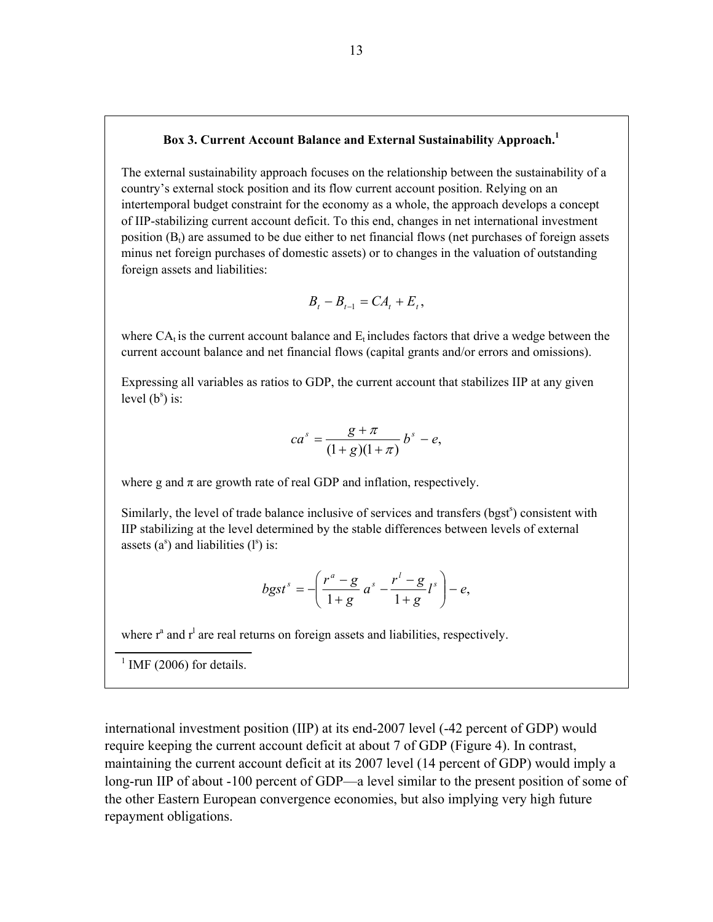#### **Box 3. Current Account Balance and External Sustainability Approach.1**

The external sustainability approach focuses on the relationship between the sustainability of a country's external stock position and its flow current account position. Relying on an intertemporal budget constraint for the economy as a whole, the approach develops a concept of IIP-stabilizing current account deficit. To this end, changes in net international investment position  $(B_t)$  are assumed to be due either to net financial flows (net purchases of foreign assets minus net foreign purchases of domestic assets) or to changes in the valuation of outstanding foreign assets and liabilities:

$$
B_t - B_{t-1} = CA_t + E_t,
$$

where  $CA<sub>t</sub>$  is the current account balance and  $E<sub>t</sub>$  includes factors that drive a wedge between the current account balance and net financial flows (capital grants and/or errors and omissions).

Expressing all variables as ratios to GDP, the current account that stabilizes IIP at any given level  $(b^s)$  is:

$$
ca^s = \frac{g + \pi}{(1 + g)(1 + \pi)} b^s - e,
$$

where g and  $\pi$  are growth rate of real GDP and inflation, respectively.

Similarly, the level of trade balance inclusive of services and transfers (bgst<sup>s</sup>) consistent with IIP stabilizing at the level determined by the stable differences between levels of external assets  $(a^s)$  and liabilities  $(l^s)$  is:

$$
b g s t^s = -\left(\frac{r^a - g}{1 + g} a^s - \frac{r^l - g}{1 + g} l^s\right) - e,
$$

where  $r^a$  and  $r^l$  are real returns on foreign assets and liabilities, respectively.

 $<sup>1</sup>$  IMF (2006) for details.</sup>

international investment position (IIP) at its end-2007 level (-42 percent of GDP) would require keeping the current account deficit at about 7 of GDP (Figure 4). In contrast, maintaining the current account deficit at its 2007 level (14 percent of GDP) would imply a long-run IIP of about -100 percent of GDP—a level similar to the present position of some of the other Eastern European convergence economies, but also implying very high future repayment obligations.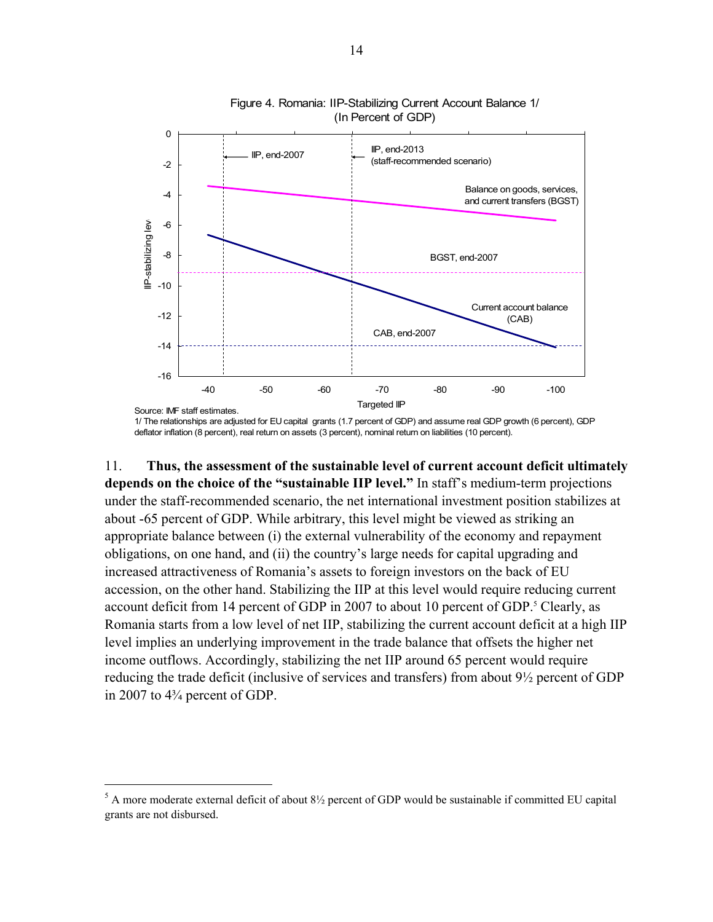

Figure 4. Romania: IIP-Stabilizing Current Account Balance 1/ (In Percent of GDP)

1/ The relationships are adjusted for EU capital grants (1.7 percent of GDP) and assume real GDP growth (6 percent), GDP deflator inflation (8 percent), real return on assets (3 percent), nominal return on liabilities (10 percent).

11. **Thus, the assessment of the sustainable level of current account deficit ultimately depends on the choice of the "sustainable IIP level."** In staff's medium-term projections under the staff-recommended scenario, the net international investment position stabilizes at about -65 percent of GDP. While arbitrary, this level might be viewed as striking an appropriate balance between (i) the external vulnerability of the economy and repayment obligations, on one hand, and (ii) the country's large needs for capital upgrading and increased attractiveness of Romania's assets to foreign investors on the back of EU accession, on the other hand. Stabilizing the IIP at this level would require reducing current account deficit from 14 percent of GDP in 2007 to about 10 percent of GDP.<sup>5</sup> Clearly, as Romania starts from a low level of net IIP, stabilizing the current account deficit at a high IIP level implies an underlying improvement in the trade balance that offsets the higher net income outflows. Accordingly, stabilizing the net IIP around 65 percent would require reducing the trade deficit (inclusive of services and transfers) from about 9½ percent of GDP in 2007 to 4¾ percent of GDP.

 $\overline{a}$ 

 $<sup>5</sup>$  A more moderate external deficit of about  $8\frac{1}{2}$  percent of GDP would be sustainable if committed EU capital</sup> grants are not disbursed.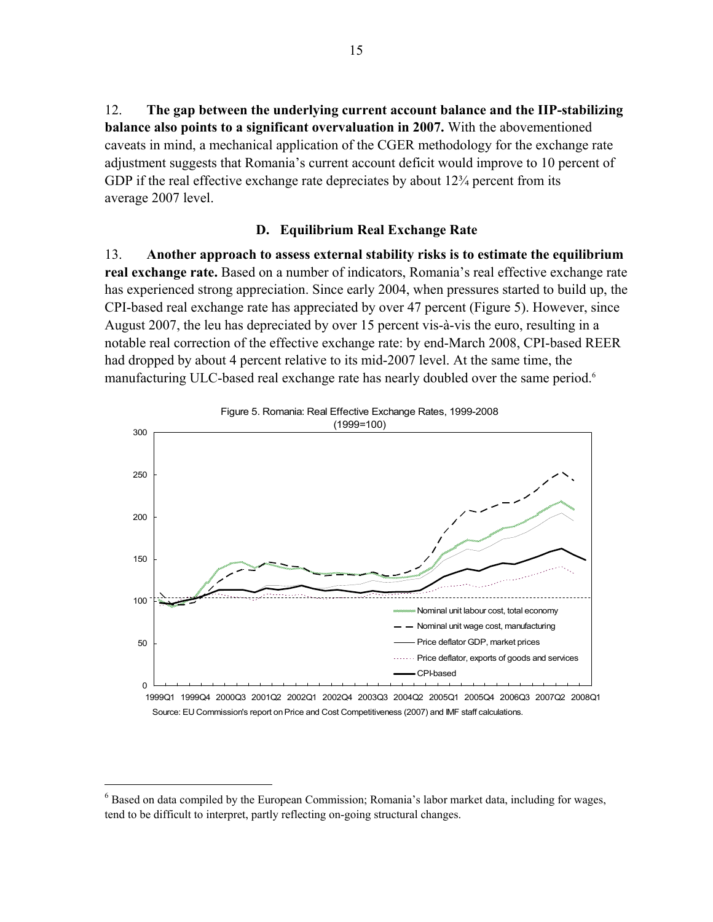12. **The gap between the underlying current account balance and the IIP-stabilizing balance also points to a significant overvaluation in 2007.** With the abovementioned caveats in mind, a mechanical application of the CGER methodology for the exchange rate adjustment suggests that Romania's current account deficit would improve to 10 percent of GDP if the real effective exchange rate depreciates by about 12<sup>3</sup>/<sub>4</sub> percent from its average 2007 level.

#### **D. Equilibrium Real Exchange Rate**

13. **Another approach to assess external stability risks is to estimate the equilibrium real exchange rate.** Based on a number of indicators, Romania's real effective exchange rate has experienced strong appreciation. Since early 2004, when pressures started to build up, the CPI-based real exchange rate has appreciated by over 47 percent (Figure 5). However, since August 2007, the leu has depreciated by over 15 percent vis-à-vis the euro, resulting in a notable real correction of the effective exchange rate: by end-March 2008, CPI-based REER had dropped by about 4 percent relative to its mid-2007 level. At the same time, the manufacturing ULC-based real exchange rate has nearly doubled over the same period.<sup>6</sup>



 $\overline{a}$ <sup>6</sup> Based on data compiled by the European Commission; Romania's labor market data, including for wages, tend to be difficult to interpret, partly reflecting on-going structural changes.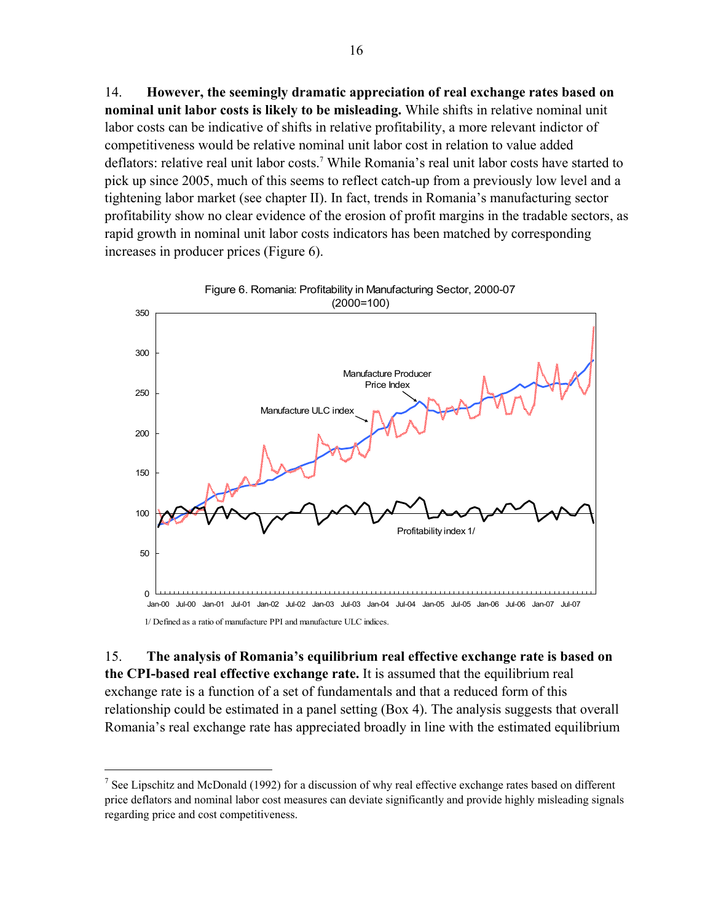14. **However, the seemingly dramatic appreciation of real exchange rates based on nominal unit labor costs is likely to be misleading.** While shifts in relative nominal unit labor costs can be indicative of shifts in relative profitability, a more relevant indictor of competitiveness would be relative nominal unit labor cost in relation to value added deflators: relative real unit labor costs.<sup>7</sup> While Romania's real unit labor costs have started to pick up since 2005, much of this seems to reflect catch-up from a previously low level and a tightening labor market (see chapter II). In fact, trends in Romania's manufacturing sector profitability show no clear evidence of the erosion of profit margins in the tradable sectors, as rapid growth in nominal unit labor costs indicators has been matched by corresponding increases in producer prices (Figure 6).



1/ Defined as a ratio of manufacture PPI and manufacture ULC indices.

 $\overline{a}$ 

15. **The analysis of Romania's equilibrium real effective exchange rate is based on the CPI-based real effective exchange rate.** It is assumed that the equilibrium real exchange rate is a function of a set of fundamentals and that a reduced form of this relationship could be estimated in a panel setting (Box 4). The analysis suggests that overall Romania's real exchange rate has appreciated broadly in line with the estimated equilibrium

<sup>&</sup>lt;sup>7</sup> See Lipschitz and McDonald (1992) for a discussion of why real effective exchange rates based on different price deflators and nominal labor cost measures can deviate significantly and provide highly misleading signals regarding price and cost competitiveness.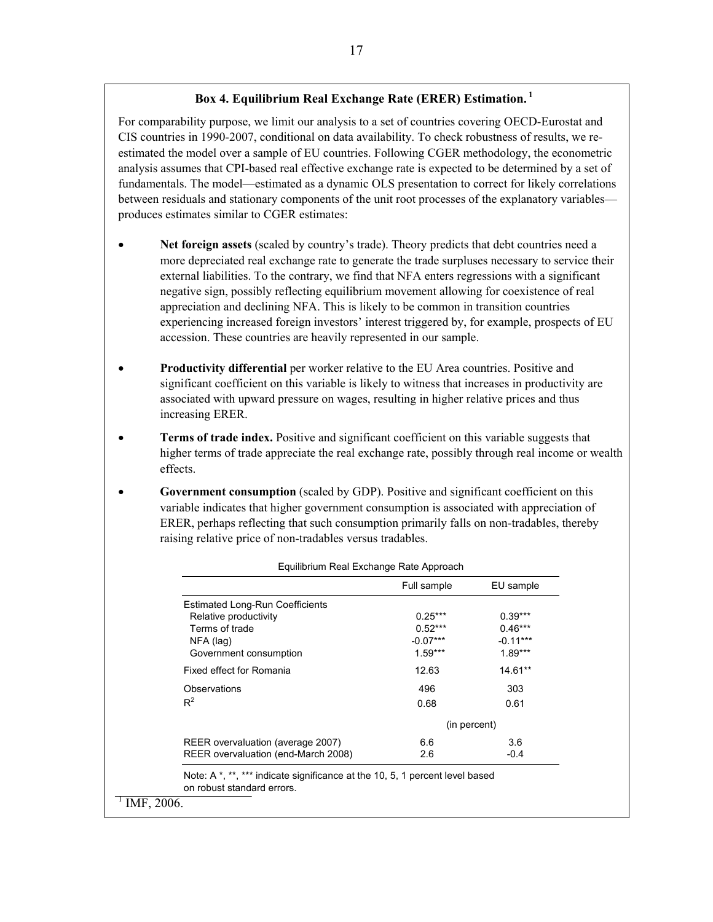#### **Box 4. Equilibrium Real Exchange Rate (ERER) Estimation. 1**

For comparability purpose, we limit our analysis to a set of countries covering OECD-Eurostat and CIS countries in 1990-2007, conditional on data availability. To check robustness of results, we reestimated the model over a sample of EU countries. Following CGER methodology, the econometric analysis assumes that CPI-based real effective exchange rate is expected to be determined by a set of fundamentals. The model—estimated as a dynamic OLS presentation to correct for likely correlations between residuals and stationary components of the unit root processes of the explanatory variables produces estimates similar to CGER estimates:

- **Net foreign assets** (scaled by country's trade). Theory predicts that debt countries need a more depreciated real exchange rate to generate the trade surpluses necessary to service their external liabilities. To the contrary, we find that NFA enters regressions with a significant negative sign, possibly reflecting equilibrium movement allowing for coexistence of real appreciation and declining NFA. This is likely to be common in transition countries experiencing increased foreign investors' interest triggered by, for example, prospects of EU accession. These countries are heavily represented in our sample.
- **Productivity differential** per worker relative to the EU Area countries. Positive and significant coefficient on this variable is likely to witness that increases in productivity are associated with upward pressure on wages, resulting in higher relative prices and thus increasing ERER.
- **Terms of trade index.** Positive and significant coefficient on this variable suggests that higher terms of trade appreciate the real exchange rate, possibly through real income or wealth effects.
- **Government consumption** (scaled by GDP). Positive and significant coefficient on this variable indicates that higher government consumption is associated with appreciation of ERER, perhaps reflecting that such consumption primarily falls on non-tradables, thereby raising relative price of non-tradables versus tradables.

Equilibrium Real Exchange Rate Approach

|                                        | Full sample | EU sample    |
|----------------------------------------|-------------|--------------|
| <b>Estimated Long-Run Coefficients</b> |             |              |
| Relative productivity                  | $0.25***$   | $0.39***$    |
| Terms of trade                         | $0.52***$   | $0.46***$    |
| NFA (lag)                              | $-0.07***$  | $-0.11***$   |
| Government consumption                 | $1.59***$   | $1.89***$    |
| Fixed effect for Romania               | 12.63       | 14.61**      |
| Observations                           | 496         | 303          |
| $R^2$                                  | 0.68        | 0.61         |
|                                        |             | (in percent) |
| REER overvaluation (average 2007)      | 6.6         | 3.6          |
| REER overvaluation (end-March 2008)    | 2.6         | $-0.4$       |

Note: A \*, \*\*, \*\*\* indicate significance at the 10, 5, 1 percent level based on robust standard errors.

 $1$  IMF, 2006.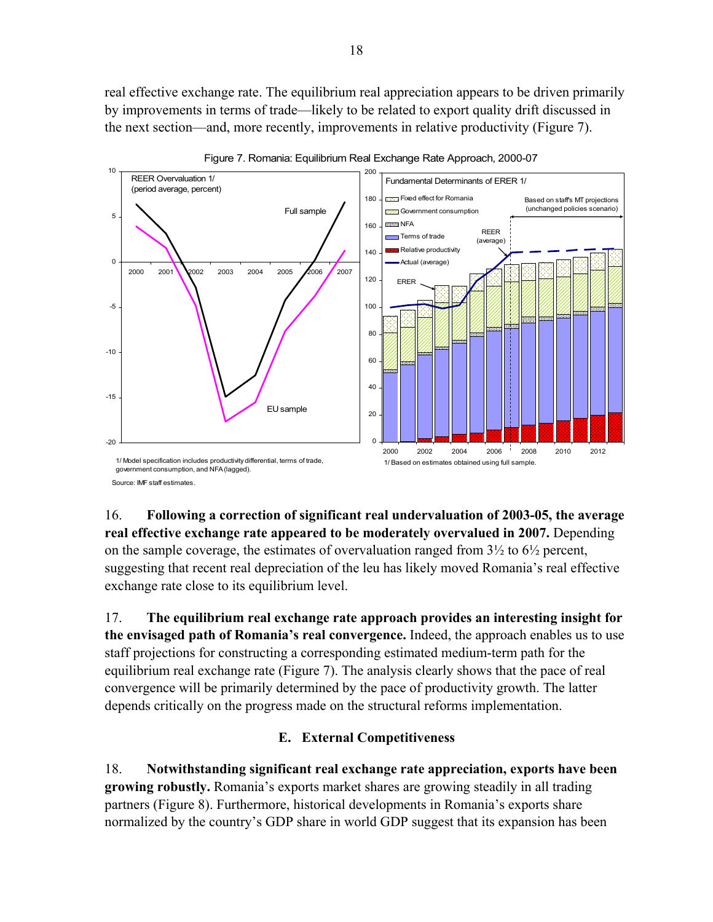real effective exchange rate. The equilibrium real appreciation appears to be driven primarily by improvements in terms of trade—likely to be related to export quality drift discussed in the next section—and, more recently, improvements in relative productivity (Figure 7).



Figure 7. Romania: Equilibrium Real Exchange Rate Approach, 2000-07

16. **Following a correction of significant real undervaluation of 2003-05, the average real effective exchange rate appeared to be moderately overvalued in 2007.** Depending on the sample coverage, the estimates of overvaluation ranged from 3½ to 6½ percent, suggesting that recent real depreciation of the leu has likely moved Romania's real effective exchange rate close to its equilibrium level.

17. **The equilibrium real exchange rate approach provides an interesting insight for the envisaged path of Romania's real convergence.** Indeed, the approach enables us to use staff projections for constructing a corresponding estimated medium-term path for the equilibrium real exchange rate (Figure 7). The analysis clearly shows that the pace of real convergence will be primarily determined by the pace of productivity growth. The latter depends critically on the progress made on the structural reforms implementation.

# **E. External Competitiveness**

18. **Notwithstanding significant real exchange rate appreciation, exports have been growing robustly.** Romania's exports market shares are growing steadily in all trading partners (Figure 8). Furthermore, historical developments in Romania's exports share normalized by the country's GDP share in world GDP suggest that its expansion has been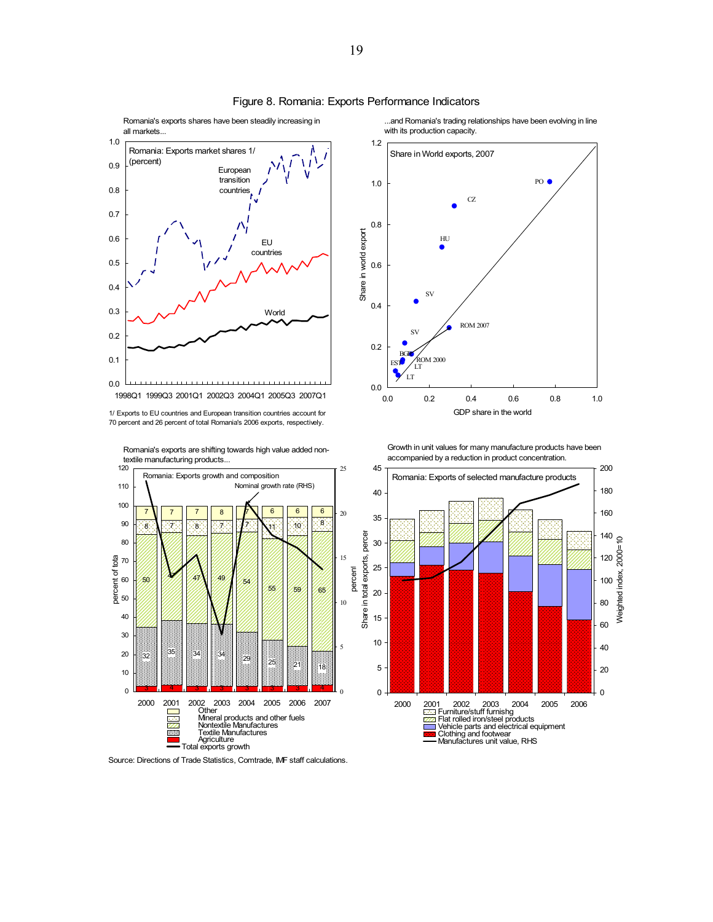

#### Figure 8. Romania: Exports Performance Indicators

Romania's exports shares have been steadily increasing in

1/ Exports to EU countries and European transition countries account for 70 percent and 26 percent of total Romania's 2006 exports, respectively.



Romania's exports are shifting towards high value added non-

...and Romania's trading relationships have been evolving in line with its production capacity.



Growth in unit values for many manufacture products have been accompanied by a reduction in product concentration.



Source: Directions of Trade Statistics, Comtrade, IMF staff calculations.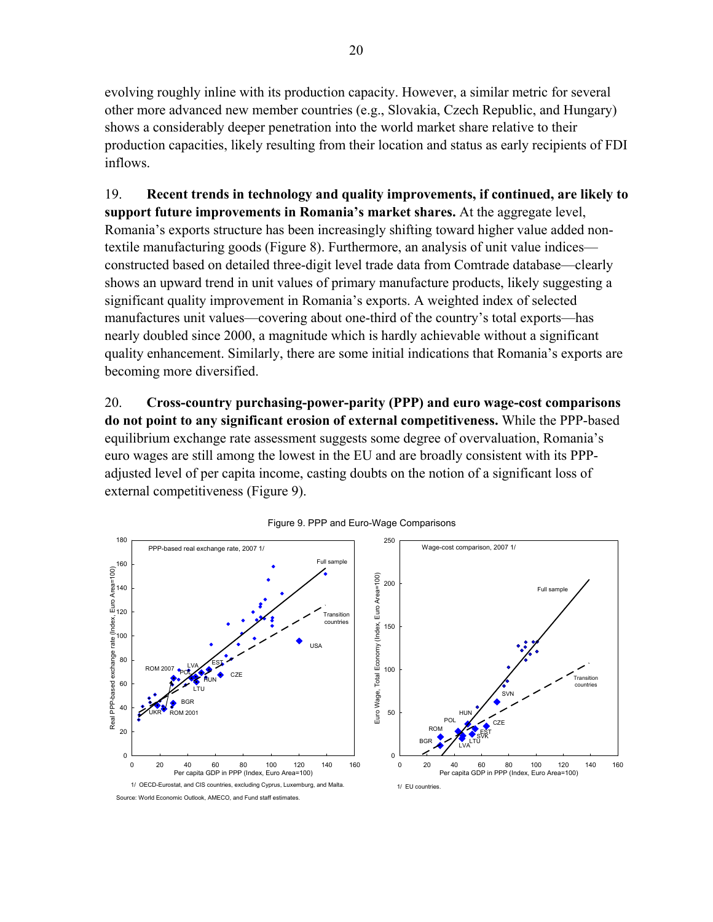evolving roughly inline with its production capacity. However, a similar metric for several other more advanced new member countries (e.g., Slovakia, Czech Republic, and Hungary) shows a considerably deeper penetration into the world market share relative to their production capacities, likely resulting from their location and status as early recipients of FDI inflows.

19. **Recent trends in technology and quality improvements, if continued, are likely to support future improvements in Romania's market shares.** At the aggregate level, Romania's exports structure has been increasingly shifting toward higher value added nontextile manufacturing goods (Figure 8). Furthermore, an analysis of unit value indices constructed based on detailed three-digit level trade data from Comtrade database—clearly shows an upward trend in unit values of primary manufacture products, likely suggesting a significant quality improvement in Romania's exports. A weighted index of selected manufactures unit values—covering about one-third of the country's total exports—has nearly doubled since 2000, a magnitude which is hardly achievable without a significant quality enhancement. Similarly, there are some initial indications that Romania's exports are becoming more diversified.

20. **Cross-country purchasing-power-parity (PPP) and euro wage-cost comparisons do not point to any significant erosion of external competitiveness.** While the PPP-based equilibrium exchange rate assessment suggests some degree of overvaluation, Romania's euro wages are still among the lowest in the EU and are broadly consistent with its PPPadjusted level of per capita income, casting doubts on the notion of a significant loss of external competitiveness (Figure 9).



Source: World Economic Outlook, AMECO, and Fund staff estimates.

#### Figure 9. PPP and Euro-Wage Comparisons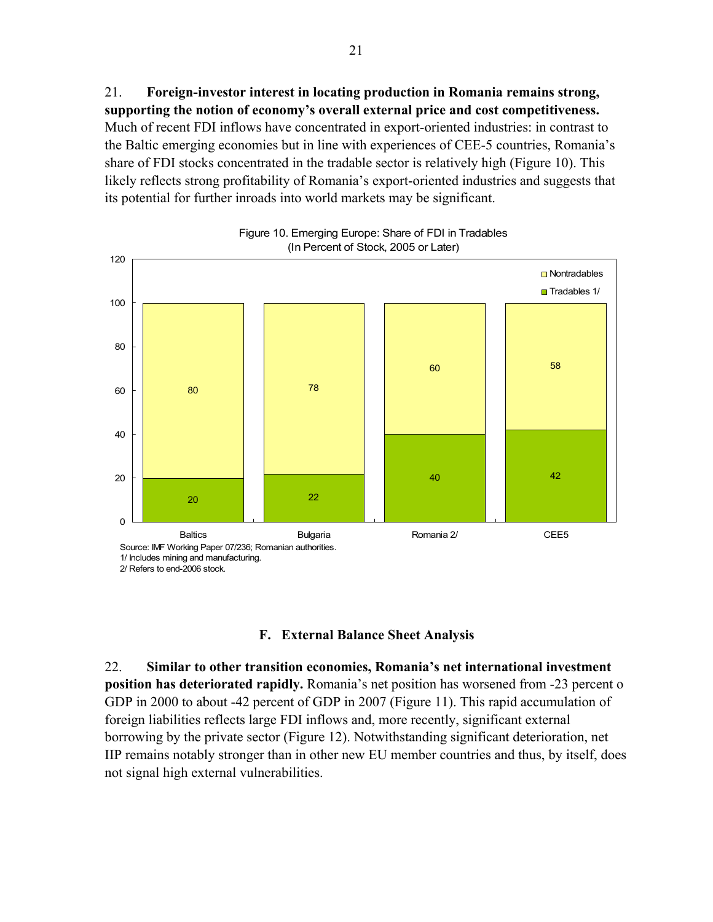21. **Foreign-investor interest in locating production in Romania remains strong, supporting the notion of economy's overall external price and cost competitiveness.** Much of recent FDI inflows have concentrated in export-oriented industries: in contrast to the Baltic emerging economies but in line with experiences of CEE-5 countries, Romania's share of FDI stocks concentrated in the tradable sector is relatively high (Figure 10). This likely reflects strong profitability of Romania's export-oriented industries and suggests that its potential for further inroads into world markets may be significant.



# Figure 10. Emerging Europe: Share of FDI in Tradables

#### **F. External Balance Sheet Analysis**

22. **Similar to other transition economies, Romania's net international investment position has deteriorated rapidly.** Romania's net position has worsened from -23 percent o GDP in 2000 to about -42 percent of GDP in 2007 (Figure 11). This rapid accumulation of foreign liabilities reflects large FDI inflows and, more recently, significant external borrowing by the private sector (Figure 12). Notwithstanding significant deterioration, net IIP remains notably stronger than in other new EU member countries and thus, by itself, does not signal high external vulnerabilities.

<sup>2/</sup> Refers to end-2006 stock.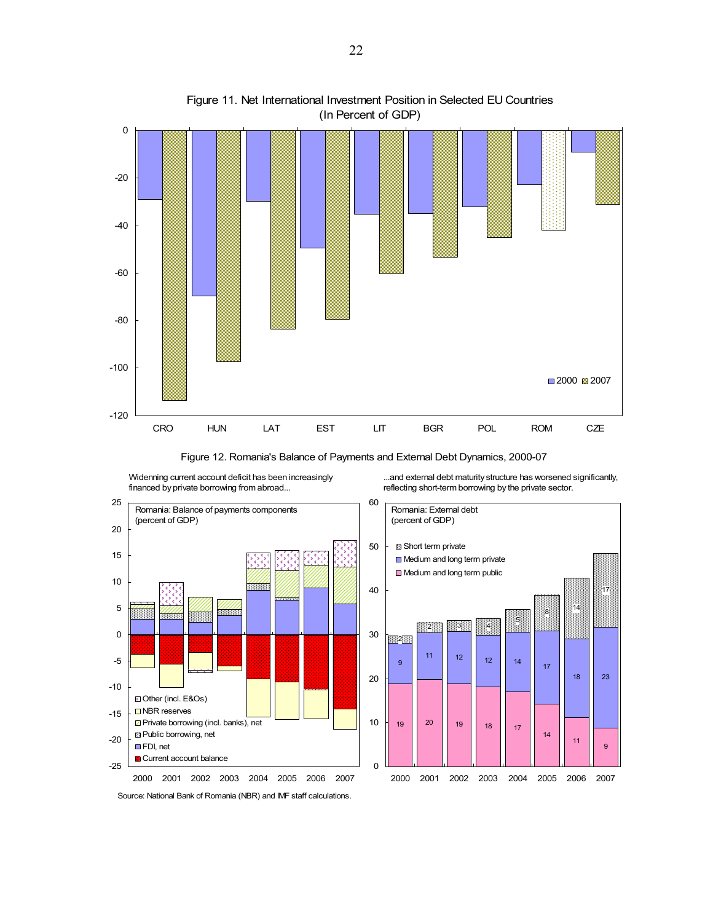

#### Figure 11. Net International Investment Position in Selected EU Countries (In Percent of GDP)

Figure 12. Romania's Balance of Payments and External Debt Dynamics, 2000-07



Widenning current account deficit has been increasingly

...and external debt maturity structure has worsened significantly, reflecting short-term borrowing by the private sector.



Source: National Bank of Romania (NBR) and IMF staff calculations.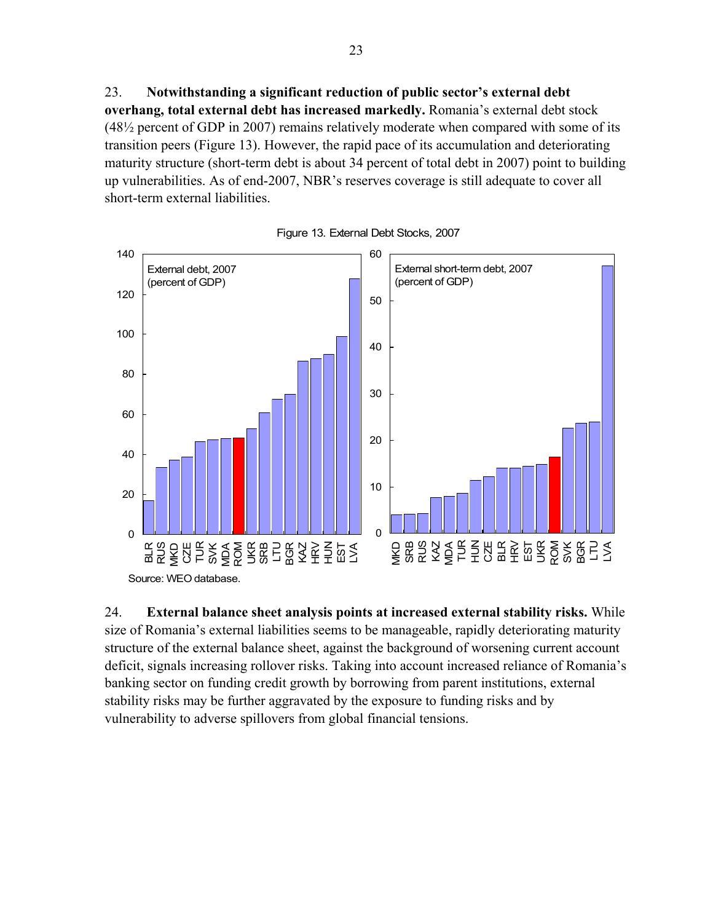23. **Notwithstanding a significant reduction of public sector's external debt overhang, total external debt has increased markedly.** Romania's external debt stock (48½ percent of GDP in 2007) remains relatively moderate when compared with some of its transition peers (Figure 13). However, the rapid pace of its accumulation and deteriorating maturity structure (short-term debt is about 34 percent of total debt in 2007) point to building up vulnerabilities. As of end-2007, NBR's reserves coverage is still adequate to cover all short-term external liabilities.



Figure 13. External Debt Stocks, 2007

24. **External balance sheet analysis points at increased external stability risks.** While size of Romania's external liabilities seems to be manageable, rapidly deteriorating maturity structure of the external balance sheet, against the background of worsening current account deficit, signals increasing rollover risks. Taking into account increased reliance of Romania's banking sector on funding credit growth by borrowing from parent institutions, external stability risks may be further aggravated by the exposure to funding risks and by vulnerability to adverse spillovers from global financial tensions.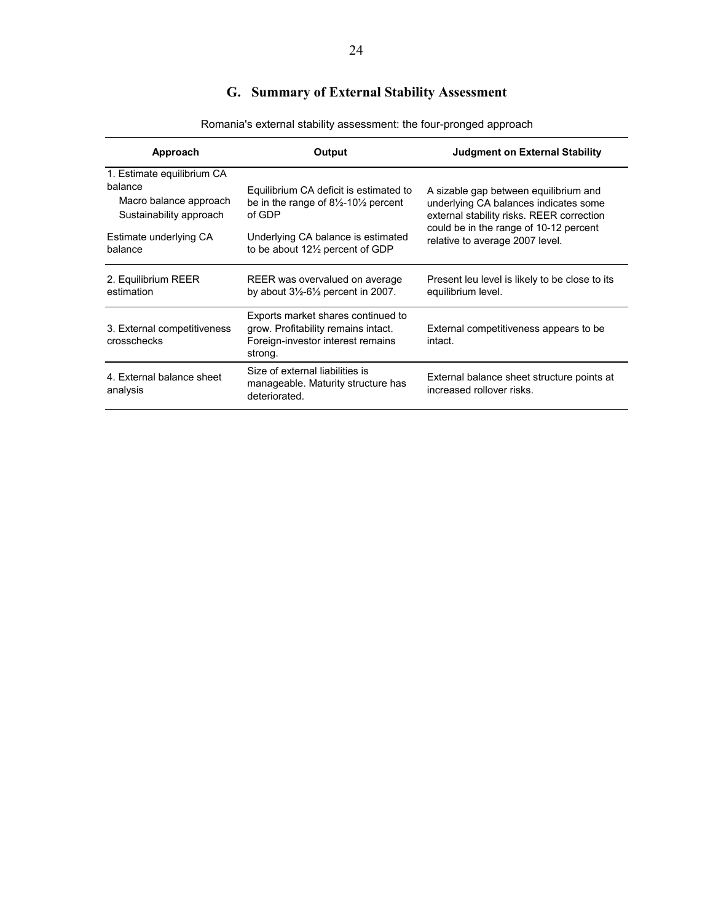# **G. Summary of External Stability Assessment**

| Approach                                                                                   | Output                                                                                                                    | <b>Judgment on External Stability</b>                                                                                                                                 |
|--------------------------------------------------------------------------------------------|---------------------------------------------------------------------------------------------------------------------------|-----------------------------------------------------------------------------------------------------------------------------------------------------------------------|
| 1. Estimate equilibrium CA<br>balance<br>Macro balance approach<br>Sustainability approach | Equilibrium CA deficit is estimated to<br>be in the range of $8\frac{1}{2}$ -10 $\frac{1}{2}$ percent<br>of GDP           | A sizable gap between equilibrium and<br>underlying CA balances indicates some<br>external stability risks. REER correction<br>could be in the range of 10-12 percent |
| Estimate underlying CA<br>balance                                                          | Underlying CA balance is estimated<br>to be about $12\frac{1}{2}$ percent of GDP                                          | relative to average 2007 level.                                                                                                                                       |
| 2. Equilibrium REER<br>estimation                                                          | REER was overvalued on average<br>by about $3\frac{1}{2}$ -6 $\frac{1}{2}$ percent in 2007.                               | Present leu level is likely to be close to its<br>equilibrium level.                                                                                                  |
| 3. External competitiveness<br>crosschecks                                                 | Exports market shares continued to<br>grow. Profitability remains intact.<br>Foreign-investor interest remains<br>strong. | External competitiveness appears to be<br>intact.                                                                                                                     |
| 4. External balance sheet<br>analysis                                                      | Size of external liabilities is<br>manageable. Maturity structure has<br>deteriorated.                                    | External balance sheet structure points at<br>increased rollover risks.                                                                                               |

Romania's external stability assessment: the four-pronged approach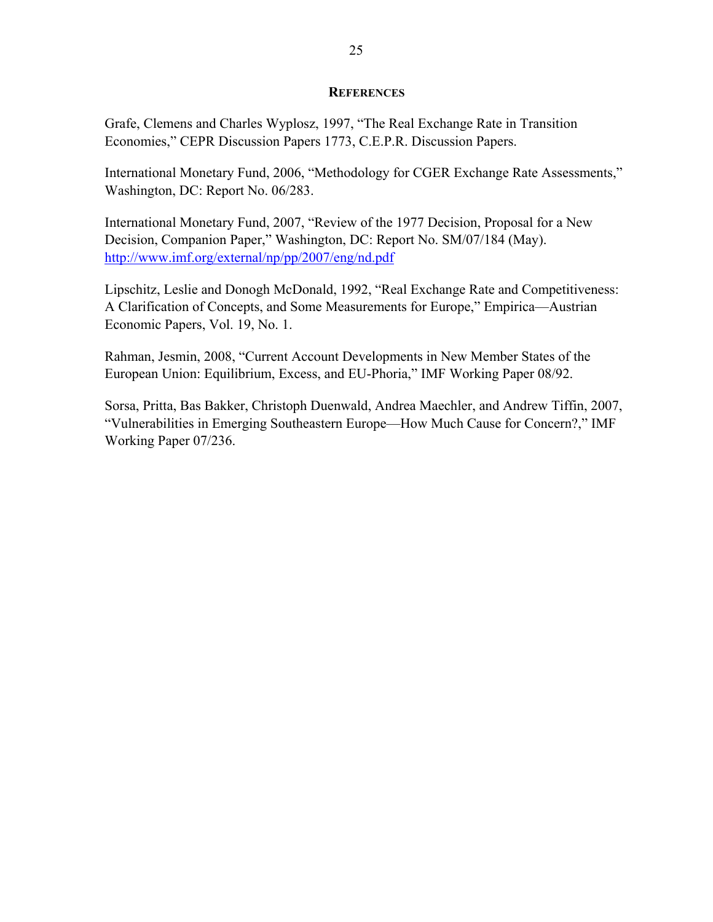#### **REFERENCES**

Grafe, Clemens and Charles Wyplosz, 1997, "The Real Exchange Rate in Transition Economies," CEPR Discussion Papers 1773, C.E.P.R. Discussion Papers.

International Monetary Fund, 2006, "Methodology for CGER Exchange Rate Assessments," Washington, DC: Report No. 06/283.

International Monetary Fund, 2007, "Review of the 1977 Decision, Proposal for a New Decision, Companion Paper," Washington, DC: Report No. SM/07/184 (May). http://www.imf.org/external/np/pp/2007/eng/nd.pdf

Lipschitz, Leslie and Donogh McDonald, 1992, "Real Exchange Rate and Competitiveness: A Clarification of Concepts, and Some Measurements for Europe," Empirica—Austrian Economic Papers, Vol. 19, No. 1.

Rahman, Jesmin, 2008, "Current Account Developments in New Member States of the European Union: Equilibrium, Excess, and EU-Phoria," IMF Working Paper 08/92.

Sorsa, Pritta, Bas Bakker, Christoph Duenwald, Andrea Maechler, and Andrew Tiffin, 2007, "Vulnerabilities in Emerging Southeastern Europe—How Much Cause for Concern?," IMF Working Paper 07/236.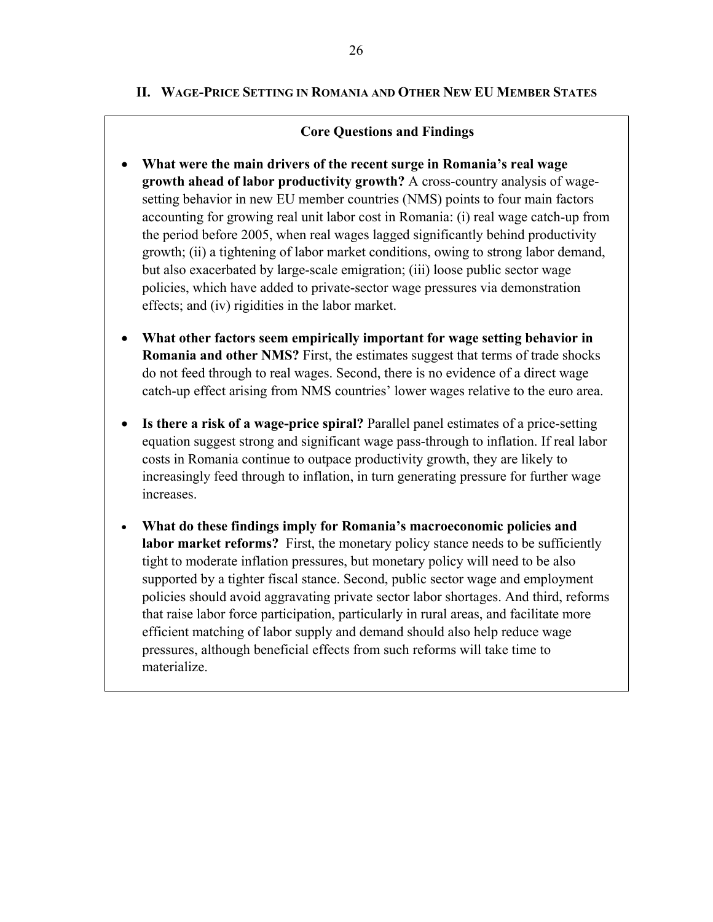#### **Core Questions and Findings**

- **What were the main drivers of the recent surge in Romania's real wage growth ahead of labor productivity growth?** A cross-country analysis of wagesetting behavior in new EU member countries (NMS) points to four main factors accounting for growing real unit labor cost in Romania: (i) real wage catch-up from the period before 2005, when real wages lagged significantly behind productivity growth; (ii) a tightening of labor market conditions, owing to strong labor demand, but also exacerbated by large-scale emigration; (iii) loose public sector wage policies, which have added to private-sector wage pressures via demonstration effects; and (iv) rigidities in the labor market.
- **What other factors seem empirically important for wage setting behavior in Romania and other NMS?** First, the estimates suggest that terms of trade shocks do not feed through to real wages. Second, there is no evidence of a direct wage catch-up effect arising from NMS countries' lower wages relative to the euro area.
- **Is there a risk of a wage-price spiral?** Parallel panel estimates of a price-setting equation suggest strong and significant wage pass-through to inflation. If real labor costs in Romania continue to outpace productivity growth, they are likely to increasingly feed through to inflation, in turn generating pressure for further wage increases.
- **What do these findings imply for Romania's macroeconomic policies and labor market reforms?** First, the monetary policy stance needs to be sufficiently tight to moderate inflation pressures, but monetary policy will need to be also supported by a tighter fiscal stance. Second, public sector wage and employment policies should avoid aggravating private sector labor shortages. And third, reforms that raise labor force participation, particularly in rural areas, and facilitate more efficient matching of labor supply and demand should also help reduce wage pressures, although beneficial effects from such reforms will take time to materialize.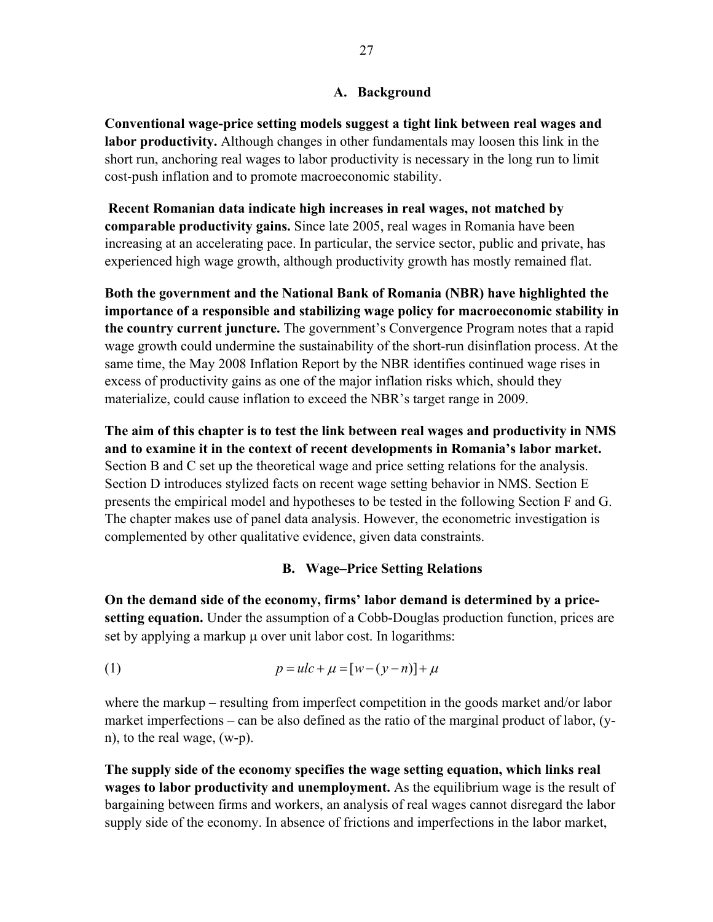#### **A. Background**

**Conventional wage-price setting models suggest a tight link between real wages and labor productivity.** Although changes in other fundamentals may loosen this link in the short run, anchoring real wages to labor productivity is necessary in the long run to limit cost-push inflation and to promote macroeconomic stability.

**Recent Romanian data indicate high increases in real wages, not matched by comparable productivity gains.** Since late 2005, real wages in Romania have been increasing at an accelerating pace. In particular, the service sector, public and private, has experienced high wage growth, although productivity growth has mostly remained flat.

**Both the government and the National Bank of Romania (NBR) have highlighted the importance of a responsible and stabilizing wage policy for macroeconomic stability in the country current juncture.** The government's Convergence Program notes that a rapid wage growth could undermine the sustainability of the short-run disinflation process. At the same time, the May 2008 Inflation Report by the NBR identifies continued wage rises in excess of productivity gains as one of the major inflation risks which, should they materialize, could cause inflation to exceed the NBR's target range in 2009.

**The aim of this chapter is to test the link between real wages and productivity in NMS and to examine it in the context of recent developments in Romania's labor market.**  Section B and C set up the theoretical wage and price setting relations for the analysis. Section D introduces stylized facts on recent wage setting behavior in NMS. Section E presents the empirical model and hypotheses to be tested in the following Section F and G. The chapter makes use of panel data analysis. However, the econometric investigation is complemented by other qualitative evidence, given data constraints.

#### **B. Wage–Price Setting Relations**

**On the demand side of the economy, firms' labor demand is determined by a pricesetting equation.** Under the assumption of a Cobb-Douglas production function, prices are set by applying a markup μ over unit labor cost. In logarithms:

(1) 
$$
p = ulc + \mu = [w - (y - n)] + \mu
$$

where the markup – resulting from imperfect competition in the goods market and/or labor market imperfections – can be also defined as the ratio of the marginal product of labor, (yn), to the real wage, (w-p).

**The supply side of the economy specifies the wage setting equation, which links real wages to labor productivity and unemployment.** As the equilibrium wage is the result of bargaining between firms and workers, an analysis of real wages cannot disregard the labor supply side of the economy. In absence of frictions and imperfections in the labor market,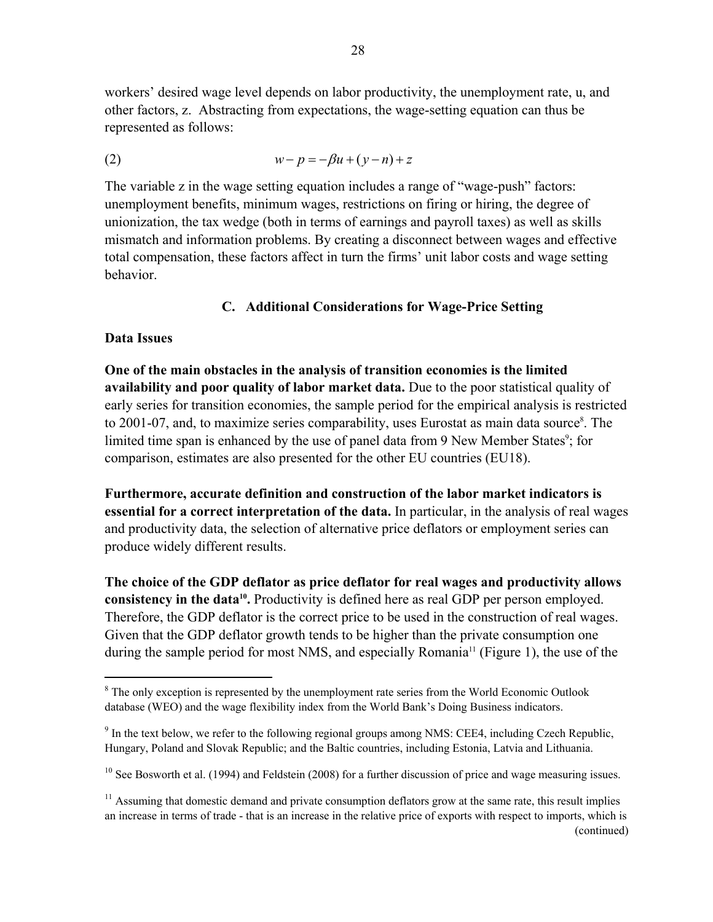workers' desired wage level depends on labor productivity, the unemployment rate, u, and other factors, z. Abstracting from expectations, the wage-setting equation can thus be represented as follows:

$$
(2) \qquad \qquad w - p = -\beta u + (y - n) + z
$$

The variable z in the wage setting equation includes a range of "wage-push" factors: unemployment benefits, minimum wages, restrictions on firing or hiring, the degree of unionization, the tax wedge (both in terms of earnings and payroll taxes) as well as skills mismatch and information problems. By creating a disconnect between wages and effective total compensation, these factors affect in turn the firms' unit labor costs and wage setting behavior.

#### **C. Additional Considerations for Wage-Price Setting**

#### **Data Issues**

1

**One of the main obstacles in the analysis of transition economies is the limited availability and poor quality of labor market data.** Due to the poor statistical quality of early series for transition economies, the sample period for the empirical analysis is restricted to 2001-07, and, to maximize series comparability, uses Eurostat as main data source<sup>8</sup>. The limited time span is enhanced by the use of panel data from 9 New Member States<sup>9</sup>; for comparison, estimates are also presented for the other EU countries (EU18).

**Furthermore, accurate definition and construction of the labor market indicators is essential for a correct interpretation of the data.** In particular, in the analysis of real wages and productivity data, the selection of alternative price deflators or employment series can produce widely different results.

**The choice of the GDP deflator as price deflator for real wages and productivity allows consistency in the data<sup>10</sup>**. Productivity is defined here as real GDP per person employed. Therefore, the GDP deflator is the correct price to be used in the construction of real wages. Given that the GDP deflator growth tends to be higher than the private consumption one during the sample period for most NMS, and especially Romania<sup>11</sup> (Figure 1), the use of the

 $8$  The only exception is represented by the unemployment rate series from the World Economic Outlook database (WEO) and the wage flexibility index from the World Bank's Doing Business indicators.

 $9<sup>9</sup>$  In the text below, we refer to the following regional groups among NMS: CEE4, including Czech Republic, Hungary, Poland and Slovak Republic; and the Baltic countries, including Estonia, Latvia and Lithuania.

<sup>&</sup>lt;sup>10</sup> See Bosworth et al. (1994) and Feldstein (2008) for a further discussion of price and wage measuring issues.

 $<sup>11</sup>$  Assuming that domestic demand and private consumption deflators grow at the same rate, this result implies</sup> an increase in terms of trade - that is an increase in the relative price of exports with respect to imports, which is (continued)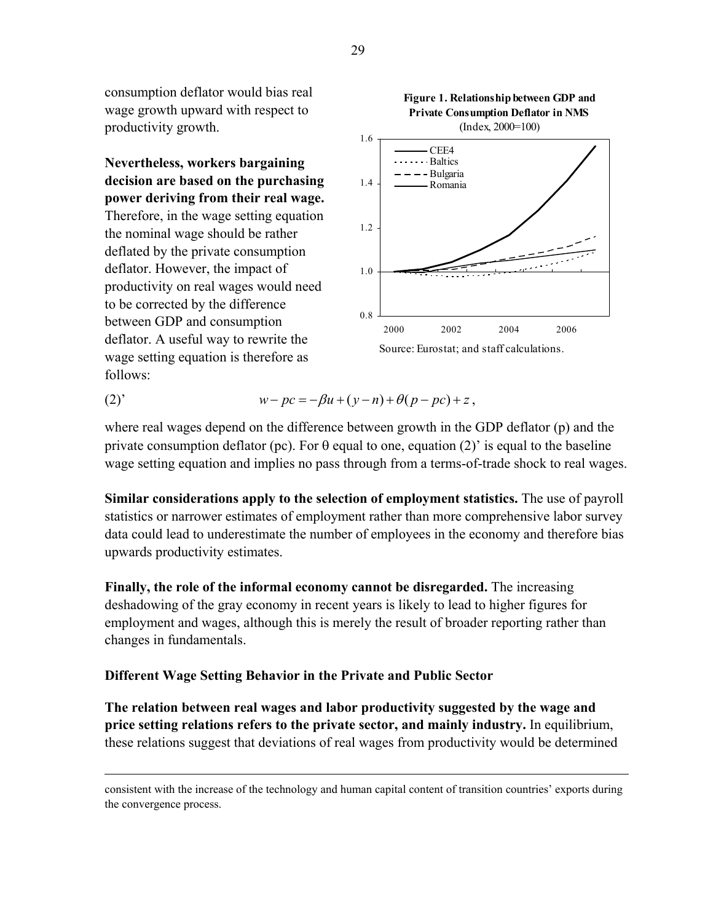consumption deflator would bias real wage growth upward with respect to productivity growth.

**Nevertheless, workers bargaining decision are based on the purchasing power deriving from their real wage.**  Therefore, in the wage setting equation the nominal wage should be rather deflated by the private consumption deflator. However, the impact of productivity on real wages would need to be corrected by the difference between GDP and consumption deflator. A useful way to rewrite the wage setting equation is therefore as follows:

 $\overline{a}$ 



(2)' 
$$
w - pc = -\beta u + (y - n) + \theta (p - pc) + z,
$$

where real wages depend on the difference between growth in the GDP deflator (p) and the private consumption deflator (pc). For  $\theta$  equal to one, equation (2)' is equal to the baseline wage setting equation and implies no pass through from a terms-of-trade shock to real wages.

**Similar considerations apply to the selection of employment statistics.** The use of payroll statistics or narrower estimates of employment rather than more comprehensive labor survey data could lead to underestimate the number of employees in the economy and therefore bias upwards productivity estimates.

**Finally, the role of the informal economy cannot be disregarded.** The increasing deshadowing of the gray economy in recent years is likely to lead to higher figures for employment and wages, although this is merely the result of broader reporting rather than changes in fundamentals.

#### **Different Wage Setting Behavior in the Private and Public Sector**

**The relation between real wages and labor productivity suggested by the wage and price setting relations refers to the private sector, and mainly industry.** In equilibrium, these relations suggest that deviations of real wages from productivity would be determined

consistent with the increase of the technology and human capital content of transition countries' exports during the convergence process.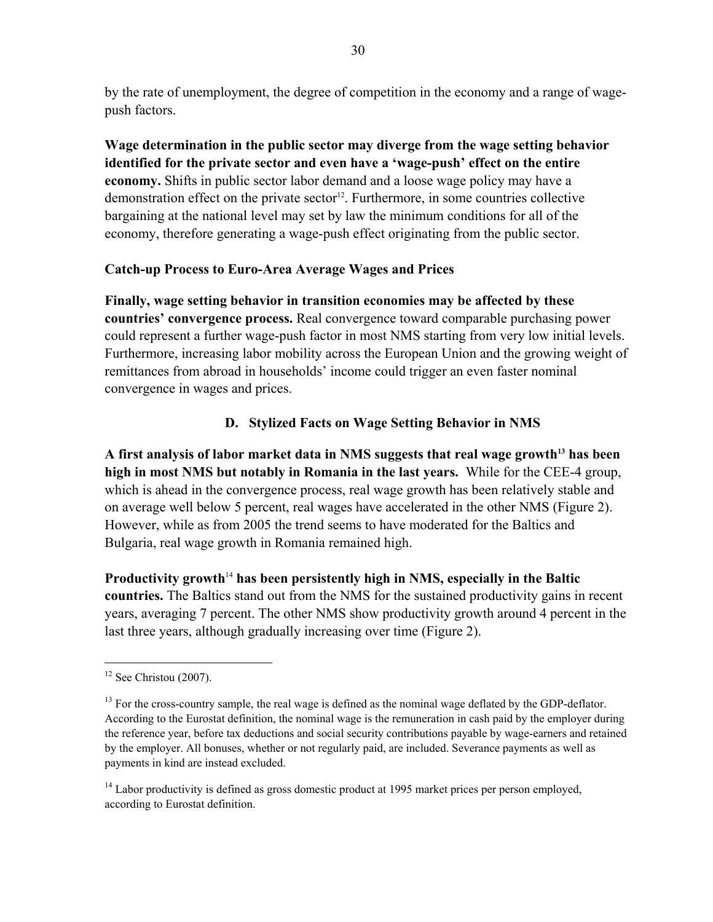by the rate of unemployment, the degree of competition in the economy and a range of wagepush factors.

**Wage determination in the public sector may diverge from the wage setting behavior identified for the private sector and even have a 'wage-push' effect on the entire economy.** Shifts in public sector labor demand and a loose wage policy may have a demonstration effect on the private sector<sup>12</sup>. Furthermore, in some countries collective bargaining at the national level may set by law the minimum conditions for all of the economy, therefore generating a wage-push effect originating from the public sector.

# **Catch-up Process to Euro-Area Average Wages and Prices**

**Finally, wage setting behavior in transition economies may be affected by these countries' convergence process.** Real convergence toward comparable purchasing power could represent a further wage-push factor in most NMS starting from very low initial levels. Furthermore, increasing labor mobility across the European Union and the growing weight of remittances from abroad in households' income could trigger an even faster nominal convergence in wages and prices.

# **D. Stylized Facts on Wage Setting Behavior in NMS**

A first analysis of labor market data in NMS suggests that real wage growth<sup>13</sup> has been **high in most NMS but notably in Romania in the last years.** While for the CEE-4 group, which is ahead in the convergence process, real wage growth has been relatively stable and on average well below 5 percent, real wages have accelerated in the other NMS (Figure 2). However, while as from 2005 the trend seems to have moderated for the Baltics and Bulgaria, real wage growth in Romania remained high.

**Productivity growth**<sup>14</sup> **has been persistently high in NMS, especially in the Baltic countries.** The Baltics stand out from the NMS for the sustained productivity gains in recent years, averaging 7 percent. The other NMS show productivity growth around 4 percent in the last three years, although gradually increasing over time (Figure 2).

 $\overline{a}$ 

 $12$  See Christou (2007).

 $13$  For the cross-country sample, the real wage is defined as the nominal wage deflated by the GDP-deflator. According to the Eurostat definition, the nominal wage is the remuneration in cash paid by the employer during the reference year, before tax deductions and social security contributions payable by wage-earners and retained by the employer. All bonuses, whether or not regularly paid, are included. Severance payments as well as payments in kind are instead excluded.

 $14$  Labor productivity is defined as gross domestic product at 1995 market prices per person employed, according to Eurostat definition.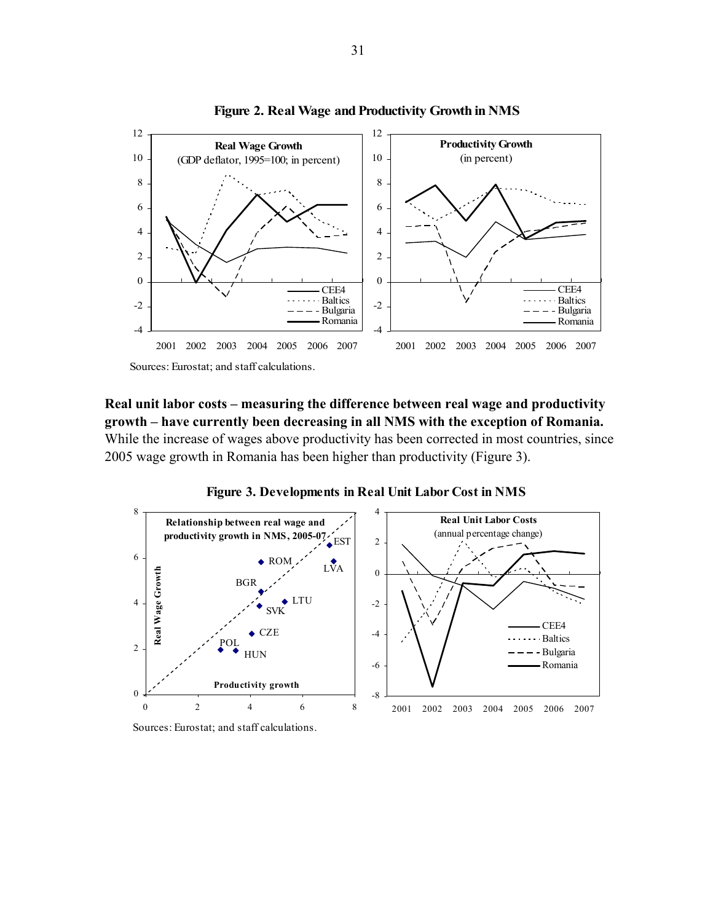

**Figure 2. Real Wage and Productivity Growth in NMS**

**Real unit labor costs – measuring the difference between real wage and productivity growth – have currently been decreasing in all NMS with the exception of Romania.**  While the increase of wages above productivity has been corrected in most countries, since 2005 wage growth in Romania has been higher than productivity (Figure 3).



**Figure 3. Developments in Real Unit Labor Cost in NMS**

Sources: Eurostat; and staff calculations.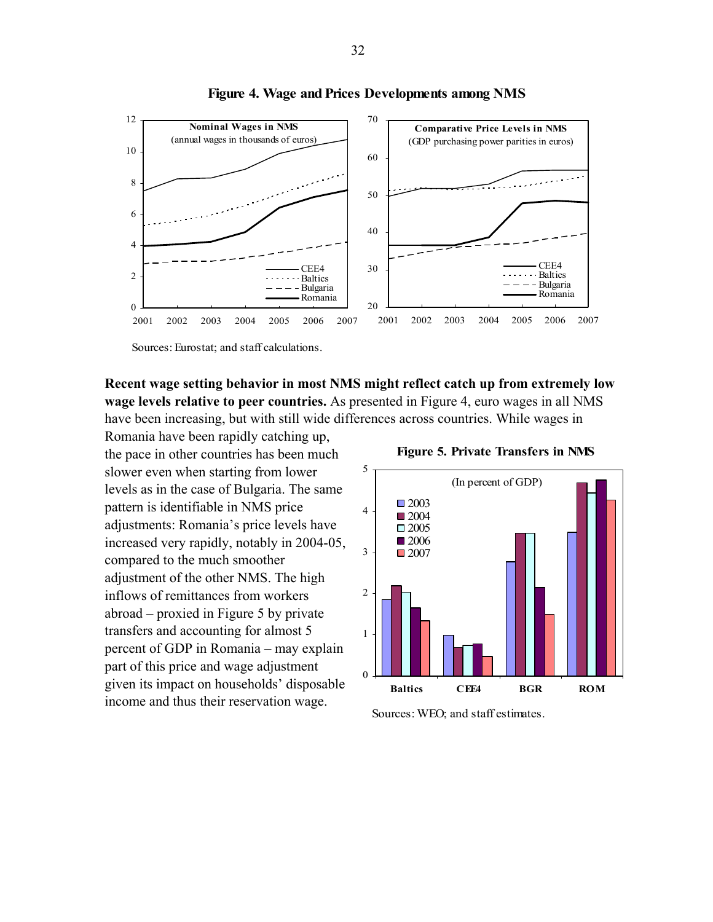

**Figure 4. Wage and Prices Developments among NMS**

Sources: Eurostat; and staff calculations.

**Recent wage setting behavior in most NMS might reflect catch up from extremely low wage levels relative to peer countries.** As presented in Figure 4, euro wages in all NMS have been increasing, but with still wide differences across countries. While wages in

Romania have been rapidly catching up, the pace in other countries has been much slower even when starting from lower levels as in the case of Bulgaria. The same pattern is identifiable in NMS price adjustments: Romania's price levels have increased very rapidly, notably in 2004-05, compared to the much smoother adjustment of the other NMS. The high inflows of remittances from workers abroad – proxied in Figure 5 by private transfers and accounting for almost 5 percent of GDP in Romania – may explain part of this price and wage adjustment given its impact on households' disposable income and thus their reservation wage.

 **Figure 5. Private Transfers in NMS**



Sources: WEO; and staff estimates.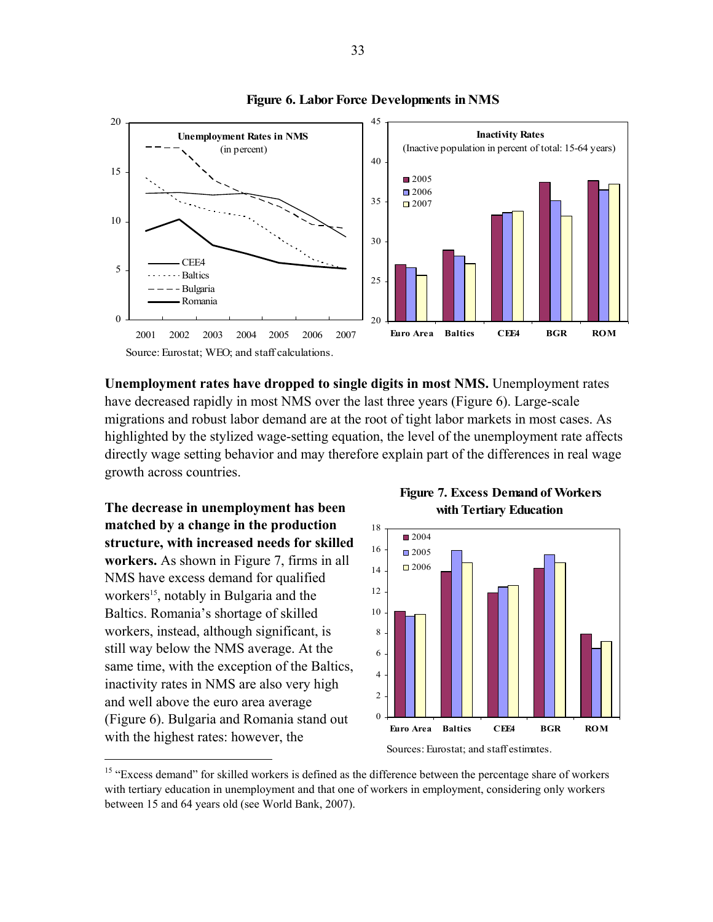

#### **Figure 6. Labor Force Developments in NMS**

**Unemployment rates have dropped to single digits in most NMS.** Unemployment rates have decreased rapidly in most NMS over the last three years (Figure 6). Large-scale migrations and robust labor demand are at the root of tight labor markets in most cases. As highlighted by the stylized wage-setting equation, the level of the unemployment rate affects directly wage setting behavior and may therefore explain part of the differences in real wage growth across countries.

**The decrease in unemployment has been matched by a change in the production structure, with increased needs for skilled workers.** As shown in Figure 7, firms in all NMS have excess demand for qualified workers<sup>15</sup>, notably in Bulgaria and the Baltics. Romania's shortage of skilled workers, instead, although significant, is still way below the NMS average. At the same time, with the exception of the Baltics, inactivity rates in NMS are also very high and well above the euro area average (Figure 6). Bulgaria and Romania stand out with the highest rates: however, the

 $\overline{a}$ 

 **Figure 7. Excess Demand of Workers with Tertiary Education**



Sources: Eurostat; and staff estimates.

<sup>&</sup>lt;sup>15</sup> "Excess demand" for skilled workers is defined as the difference between the percentage share of workers with tertiary education in unemployment and that one of workers in employment, considering only workers between 15 and 64 years old (see World Bank, 2007).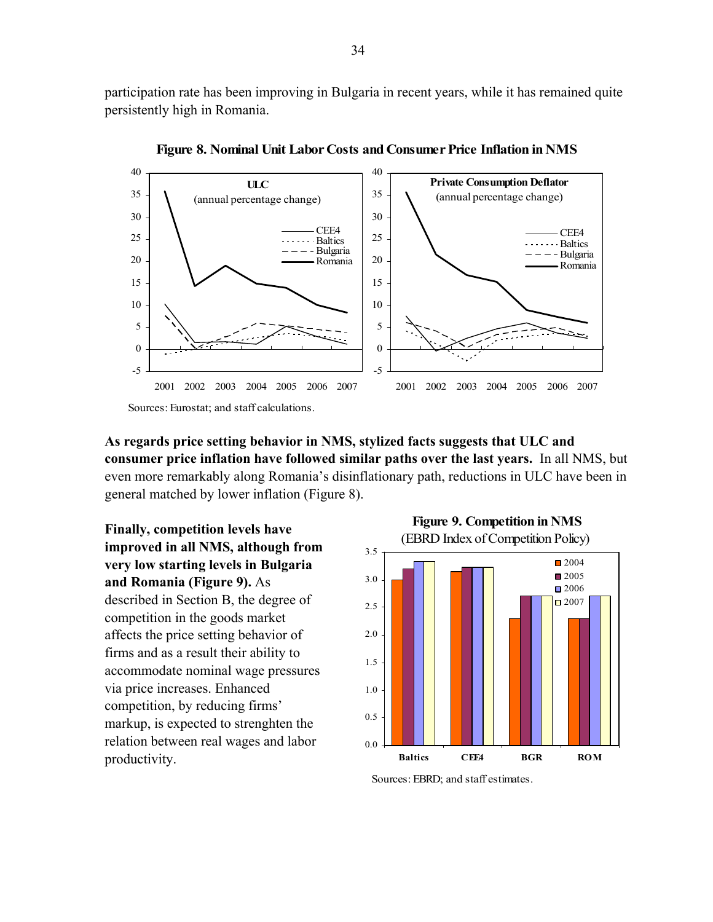participation rate has been improving in Bulgaria in recent years, while it has remained quite persistently high in Romania.



**Figure 8. Nominal Unit Labor Costs and Consumer Price Inflation in NMS**

**As regards price setting behavior in NMS, stylized facts suggests that ULC and consumer price inflation have followed similar paths over the last years.** In all NMS, but even more remarkably along Romania's disinflationary path, reductions in ULC have been in general matched by lower inflation (Figure 8).

**Finally, competition levels have improved in all NMS, although from very low starting levels in Bulgaria and Romania (Figure 9).** As described in Section B, the degree of competition in the goods market affects the price setting behavior of firms and as a result their ability to accommodate nominal wage pressures via price increases. Enhanced competition, by reducing firms' markup, is expected to strenghten the relation between real wages and labor productivity.



Sources: EBRD; and staff estimates.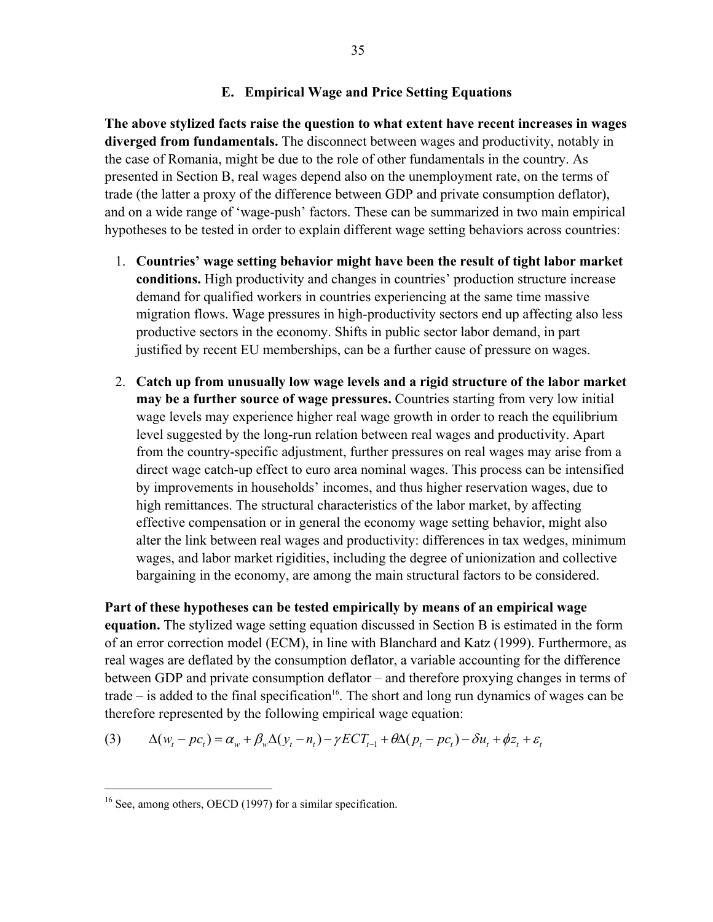#### **E. Empirical Wage and Price Setting Equations**

**The above stylized facts raise the question to what extent have recent increases in wages diverged from fundamentals.** The disconnect between wages and productivity, notably in the case of Romania, might be due to the role of other fundamentals in the country. As presented in Section B, real wages depend also on the unemployment rate, on the terms of trade (the latter a proxy of the difference between GDP and private consumption deflator), and on a wide range of 'wage-push' factors. These can be summarized in two main empirical hypotheses to be tested in order to explain different wage setting behaviors across countries:

- 1. **Countries' wage setting behavior might have been the result of tight labor market conditions.** High productivity and changes in countries' production structure increase demand for qualified workers in countries experiencing at the same time massive migration flows. Wage pressures in high-productivity sectors end up affecting also less productive sectors in the economy. Shifts in public sector labor demand, in part justified by recent EU memberships, can be a further cause of pressure on wages.
- 2. **Catch up from unusually low wage levels and a rigid structure of the labor market may be a further source of wage pressures.** Countries starting from very low initial wage levels may experience higher real wage growth in order to reach the equilibrium level suggested by the long-run relation between real wages and productivity. Apart from the country-specific adjustment, further pressures on real wages may arise from a direct wage catch-up effect to euro area nominal wages. This process can be intensified by improvements in households' incomes, and thus higher reservation wages, due to high remittances. The structural characteristics of the labor market, by affecting effective compensation or in general the economy wage setting behavior, might also alter the link between real wages and productivity: differences in tax wedges, minimum wages, and labor market rigidities, including the degree of unionization and collective bargaining in the economy, are among the main structural factors to be considered.

**Part of these hypotheses can be tested empirically by means of an empirical wage equation.** The stylized wage setting equation discussed in Section B is estimated in the form of an error correction model (ECM), in line with Blanchard and Katz (1999). Furthermore, as real wages are deflated by the consumption deflator, a variable accounting for the difference between GDP and private consumption deflator – and therefore proxying changes in terms of trade – is added to the final specification<sup>16</sup>. The short and long run dynamics of wages can be therefore represented by the following empirical wage equation:

$$
(3) \qquad \Delta(w_t - pc_t) = \alpha_w + \beta_w \Delta(y_t - n_t) - \gamma ECT_{t-1} + \theta \Delta(p_t - pc_t) - \delta u_t + \phi z_t + \varepsilon_t
$$

 $\overline{a}$ 

<sup>&</sup>lt;sup>16</sup> See, among others, OECD (1997) for a similar specification.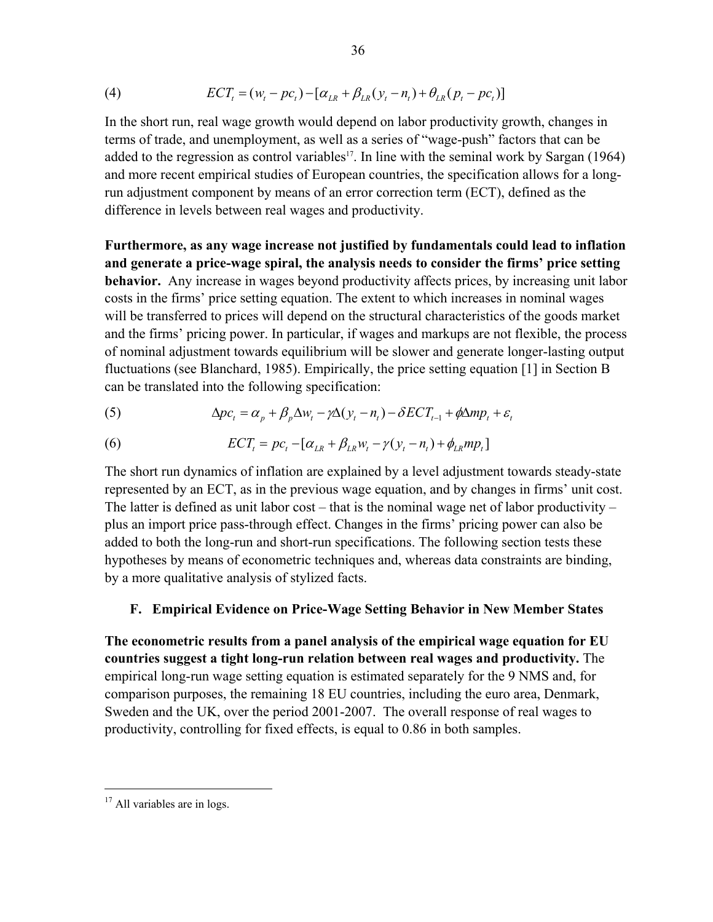(4) 
$$
ECTt = (wt - pct) - [\alphaLR + \betaLR(yt - nt) + \thetaLR(pt - pct)]
$$

In the short run, real wage growth would depend on labor productivity growth, changes in terms of trade, and unemployment, as well as a series of "wage-push" factors that can be added to the regression as control variables<sup>17</sup>. In line with the seminal work by Sargan (1964) and more recent empirical studies of European countries, the specification allows for a longrun adjustment component by means of an error correction term (ECT), defined as the difference in levels between real wages and productivity.

**Furthermore, as any wage increase not justified by fundamentals could lead to inflation and generate a price-wage spiral, the analysis needs to consider the firms' price setting behavior.** Any increase in wages beyond productivity affects prices, by increasing unit labor costs in the firms' price setting equation. The extent to which increases in nominal wages will be transferred to prices will depend on the structural characteristics of the goods market and the firms' pricing power. In particular, if wages and markups are not flexible, the process of nominal adjustment towards equilibrium will be slower and generate longer-lasting output fluctuations (see Blanchard, 1985). Empirically, the price setting equation [1] in Section B can be translated into the following specification:

(5) 
$$
\Delta pc_t = \alpha_p + \beta_p \Delta w_t - \gamma \Delta (y_t - n_t) - \delta E C T_{t-1} + \phi \Delta m p_t + \varepsilon_t
$$

(6) 
$$
ECT_{t} = pc_{t} - [\alpha_{LR} + \beta_{LR} w_{t} - \gamma (y_{t} - n_{t}) + \phi_{LR} m p_{t}]
$$

The short run dynamics of inflation are explained by a level adjustment towards steady-state represented by an ECT, as in the previous wage equation, and by changes in firms' unit cost. The latter is defined as unit labor cost – that is the nominal wage net of labor productivity – plus an import price pass-through effect. Changes in the firms' pricing power can also be added to both the long-run and short-run specifications. The following section tests these hypotheses by means of econometric techniques and, whereas data constraints are binding, by a more qualitative analysis of stylized facts.

#### **F. Empirical Evidence on Price-Wage Setting Behavior in New Member States**

**The econometric results from a panel analysis of the empirical wage equation for EU countries suggest a tight long-run relation between real wages and productivity.** The empirical long-run wage setting equation is estimated separately for the 9 NMS and, for comparison purposes, the remaining 18 EU countries, including the euro area, Denmark, Sweden and the UK, over the period 2001-2007. The overall response of real wages to productivity, controlling for fixed effects, is equal to 0.86 in both samples.

<u>.</u>

 $17$  All variables are in logs.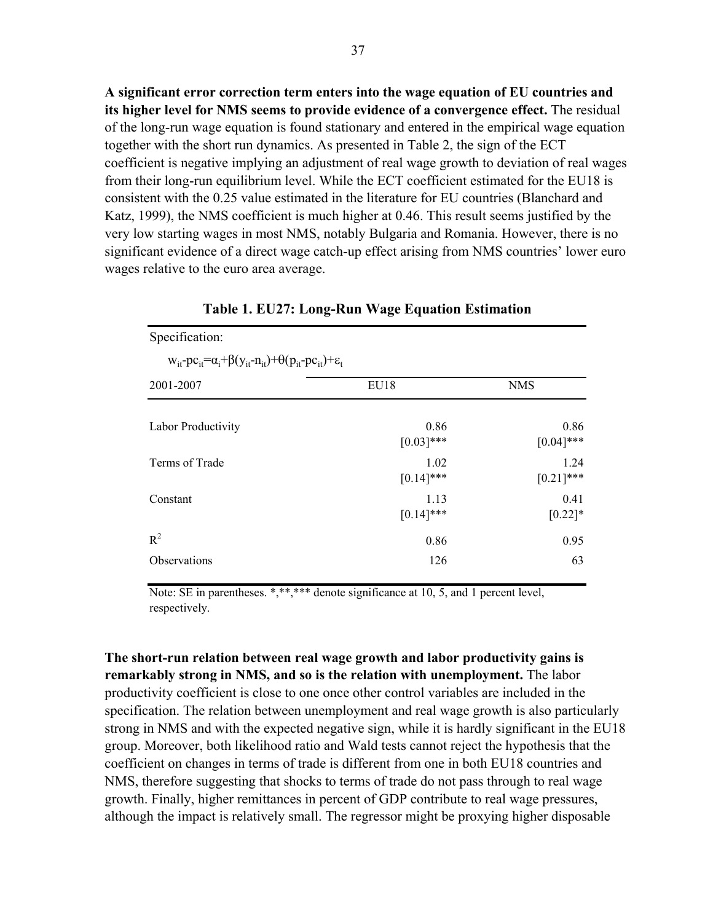**A significant error correction term enters into the wage equation of EU countries and its higher level for NMS seems to provide evidence of a convergence effect.** The residual of the long-run wage equation is found stationary and entered in the empirical wage equation together with the short run dynamics. As presented in Table 2, the sign of the ECT coefficient is negative implying an adjustment of real wage growth to deviation of real wages from their long-run equilibrium level. While the ECT coefficient estimated for the EU18 is consistent with the 0.25 value estimated in the literature for EU countries (Blanchard and Katz, 1999), the NMS coefficient is much higher at 0.46. This result seems justified by the very low starting wages in most NMS, notably Bulgaria and Romania. However, there is no significant evidence of a direct wage catch-up effect arising from NMS countries' lower euro wages relative to the euro area average.

| Specification:                                                                                      |                      |                      |  |  |  |  |
|-----------------------------------------------------------------------------------------------------|----------------------|----------------------|--|--|--|--|
| $w_{it}$ - $pc_{it} = \alpha_i + \beta(y_{it} - n_{it}) + \theta(p_{it} - pc_{it}) + \varepsilon_t$ |                      |                      |  |  |  |  |
| 2001-2007                                                                                           | EU18                 | <b>NMS</b>           |  |  |  |  |
| Labor Productivity                                                                                  | 0.86<br>$[0.03]$ *** | 0.86<br>$[0.04]$ *** |  |  |  |  |
| Terms of Trade                                                                                      | 1.02<br>$[0.14]$ *** | 1.24<br>$[0.21]$ *** |  |  |  |  |
| Constant                                                                                            | 1.13<br>$[0.14]$ *** | 0.41<br>$[0.22]*$    |  |  |  |  |
| $R^2$                                                                                               | 0.86                 | 0.95                 |  |  |  |  |
| Observations                                                                                        | 126                  | 63                   |  |  |  |  |

**Table 1. EU27: Long-Run Wage Equation Estimation**

Note: SE in parentheses. \*,\*\*,\*\*\* denote significance at 10, 5, and 1 percent level, respectively.

**The short-run relation between real wage growth and labor productivity gains is remarkably strong in NMS, and so is the relation with unemployment.** The labor productivity coefficient is close to one once other control variables are included in the specification. The relation between unemployment and real wage growth is also particularly strong in NMS and with the expected negative sign, while it is hardly significant in the EU18 group. Moreover, both likelihood ratio and Wald tests cannot reject the hypothesis that the coefficient on changes in terms of trade is different from one in both EU18 countries and NMS, therefore suggesting that shocks to terms of trade do not pass through to real wage growth. Finally, higher remittances in percent of GDP contribute to real wage pressures, although the impact is relatively small. The regressor might be proxying higher disposable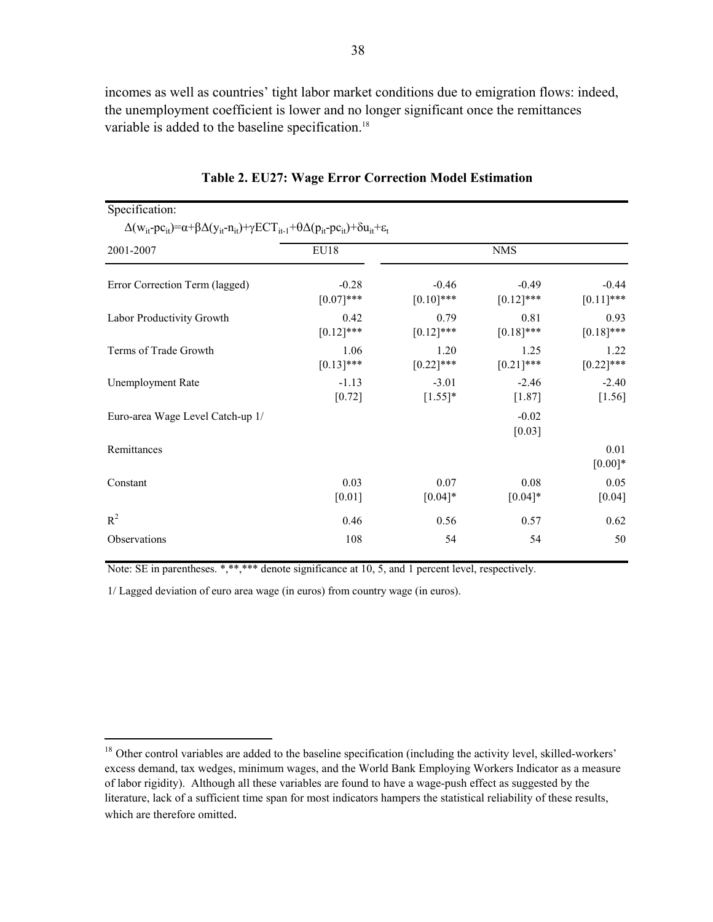incomes as well as countries' tight labor market conditions due to emigration flows: indeed, the unemployment coefficient is lower and no longer significant once the remittances variable is added to the baseline specification.<sup>18</sup>

| Specification:                                                                                                                                            |                         |                         |                         |                         |  |  |
|-----------------------------------------------------------------------------------------------------------------------------------------------------------|-------------------------|-------------------------|-------------------------|-------------------------|--|--|
| $\Delta(w_{it} - pc_{it}) = \alpha + \beta \Delta(y_{it} - n_{it}) + \gamma ECT_{it-1} + \theta \Delta(p_{it} - pc_{it}) + \delta u_{it} + \varepsilon_t$ |                         |                         |                         |                         |  |  |
| 2001-2007                                                                                                                                                 | EU18                    |                         | <b>NMS</b>              |                         |  |  |
| Error Correction Term (lagged)                                                                                                                            | $-0.28$<br>$[0.07]$ *** | $-0.46$<br>$[0.10]$ *** | $-0.49$<br>$[0.12]$ *** | $-0.44$<br>$[0.11]$ *** |  |  |
| Labor Productivity Growth                                                                                                                                 | 0.42<br>$[0.12]$ ***    | 0.79<br>$[0.12]$ ***    | 0.81<br>$[0.18]$ ***    | 0.93<br>$[0.18]$ ***    |  |  |
| Terms of Trade Growth                                                                                                                                     | 1.06<br>$[0.13]$ ***    | 1.20<br>$[0.22]$ ***    | 1.25<br>$[0.21]$ ***    | 1.22<br>$[0.22]$ ***    |  |  |
| <b>Unemployment Rate</b>                                                                                                                                  | $-1.13$<br>[0.72]       | $-3.01$<br>$[1.55]$ *   | $-2.46$<br>[1.87]       | $-2.40$<br>[1.56]       |  |  |
| Euro-area Wage Level Catch-up 1/                                                                                                                          |                         |                         | $-0.02$<br>[0.03]       |                         |  |  |
| Remittances                                                                                                                                               |                         |                         |                         | 0.01<br>$[0.00]*$       |  |  |
| Constant                                                                                                                                                  | 0.03<br>[0.01]          | 0.07<br>$[0.04]*$       | 0.08<br>$[0.04]*$       | 0.05<br>[0.04]          |  |  |
| $R^2$                                                                                                                                                     | 0.46                    | 0.56                    | 0.57                    | 0.62                    |  |  |
| Observations                                                                                                                                              | 108                     | 54                      | 54                      | 50                      |  |  |

|  |  |  |  | Table 2. EU27: Wage Error Correction Model Estimation |  |  |
|--|--|--|--|-------------------------------------------------------|--|--|
|  |  |  |  |                                                       |  |  |

Note: SE in parentheses. \*,\*\*,\*\*\* denote significance at 10, 5, and 1 percent level, respectively.

1/ Lagged deviation of euro area wage (in euros) from country wage (in euros).

 $\overline{a}$ 

<sup>&</sup>lt;sup>18</sup> Other control variables are added to the baseline specification (including the activity level, skilled-workers' excess demand, tax wedges, minimum wages, and the World Bank Employing Workers Indicator as a measure of labor rigidity). Although all these variables are found to have a wage-push effect as suggested by the literature, lack of a sufficient time span for most indicators hampers the statistical reliability of these results, which are therefore omitted.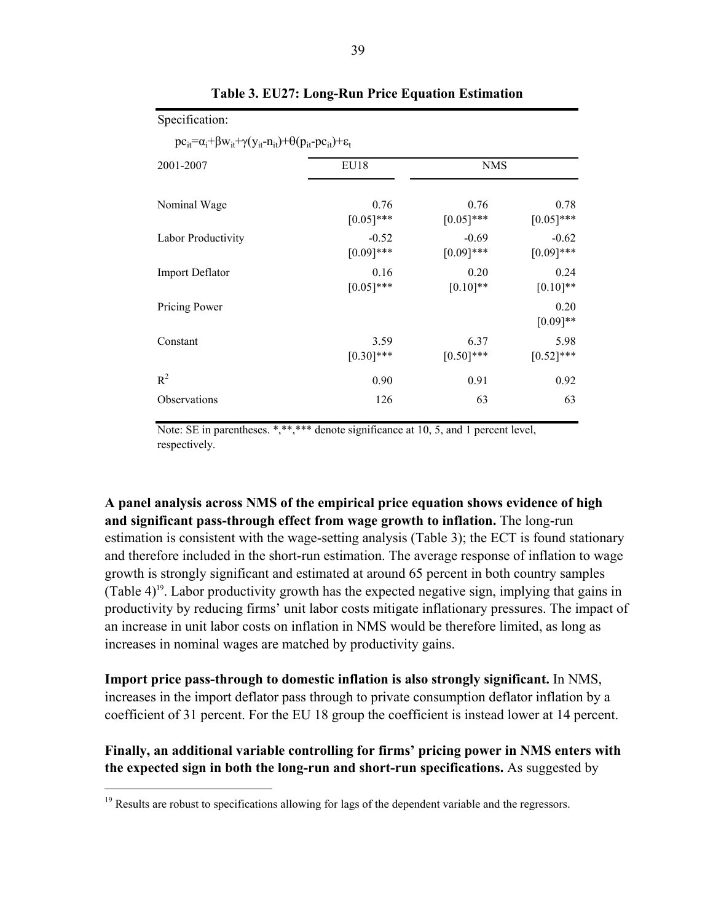| 2001-2007              | EU18         | <b>NMS</b>   |                    |  |  |
|------------------------|--------------|--------------|--------------------|--|--|
| Nominal Wage           | 0.76         | 0.76         | 0.78               |  |  |
|                        | $[0.05]$ *** | $[0.05]$ *** | $[0.05]$ ***       |  |  |
| Labor Productivity     | $-0.52$      | $-0.69$      | $-0.62$            |  |  |
|                        | $[0.09]$ *** | $[0.09]$ *** | $[0.09]$ ***       |  |  |
| <b>Import Deflator</b> | 0.16         | 0.20         | 0.24               |  |  |
|                        | $[0.05]$ *** | $[0.10]**$   | $[0.10]$ **        |  |  |
| Pricing Power          |              |              | 0.20<br>$[0.09]**$ |  |  |
| Constant               | 3.59         | 6.37         | 5.98               |  |  |
|                        | $[0.30]$ *** | $[0.50]$ *** | $[0.52]$ ***       |  |  |
| $R^2$                  | 0.90         | 0.91         | 0.92               |  |  |
| Observations           | 126          | 63           | 63                 |  |  |

#### **Table 3. EU27: Long-Run Price Equation Estimation**

Note: SE in parentheses. \*,\*\*,\*\*\* denote significance at 10, 5, and 1 percent level, respectively.

**A panel analysis across NMS of the empirical price equation shows evidence of high and significant pass-through effect from wage growth to inflation.** The long-run estimation is consistent with the wage-setting analysis (Table 3); the ECT is found stationary and therefore included in the short-run estimation. The average response of inflation to wage growth is strongly significant and estimated at around 65 percent in both country samples (Table 4)<sup>19</sup>. Labor productivity growth has the expected negative sign, implying that gains in productivity by reducing firms' unit labor costs mitigate inflationary pressures. The impact of an increase in unit labor costs on inflation in NMS would be therefore limited, as long as increases in nominal wages are matched by productivity gains.

**Import price pass-through to domestic inflation is also strongly significant.** In NMS, increases in the import deflator pass through to private consumption deflator inflation by a coefficient of 31 percent. For the EU 18 group the coefficient is instead lower at 14 percent.

**Finally, an additional variable controlling for firms' pricing power in NMS enters with the expected sign in both the long-run and short-run specifications.** As suggested by

Specification:

 $\overline{a}$ 

<sup>&</sup>lt;sup>19</sup> Results are robust to specifications allowing for lags of the dependent variable and the regressors.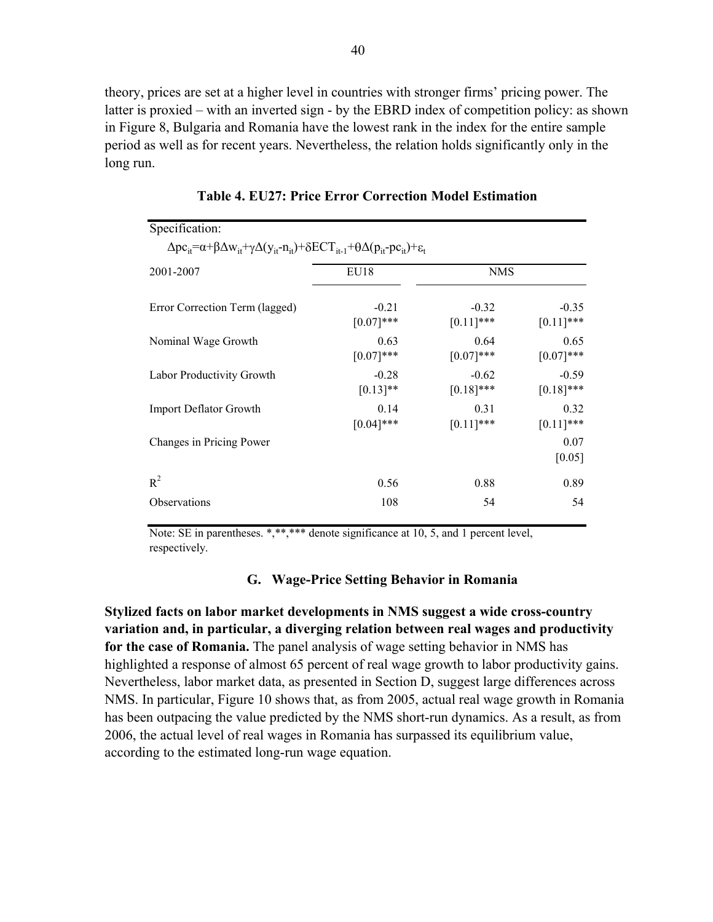theory, prices are set at a higher level in countries with stronger firms' pricing power. The latter is proxied – with an inverted sign - by the EBRD index of competition policy: as shown in Figure 8, Bulgaria and Romania have the lowest rank in the index for the entire sample period as well as for recent years. Nevertheless, the relation holds significantly only in the long run.

| Specification.<br>$\Delta$ pc <sub>it</sub> = $\alpha$ + $\beta$ $\Delta$ w <sub>it</sub> + $\gamma$ $\Delta$ (y <sub>it</sub> -n <sub>it</sub> )+ $\delta$ ECT <sub>it-1</sub> + $\theta$ $\Delta$ (p <sub>it</sub> -pc <sub>it</sub> )+ $\varepsilon$ <sub>t</sub> |                         |                         |                         |
|----------------------------------------------------------------------------------------------------------------------------------------------------------------------------------------------------------------------------------------------------------------------|-------------------------|-------------------------|-------------------------|
| 2001-2007                                                                                                                                                                                                                                                            | EU18                    | <b>NMS</b>              |                         |
| Error Correction Term (lagged)                                                                                                                                                                                                                                       | $-0.21$<br>$[0.07]$ *** | $-0.32$<br>$[0.11]$ *** | $-0.35$<br>$[0.11]$ *** |
| Nominal Wage Growth                                                                                                                                                                                                                                                  | 0.63<br>$[0.07]$ ***    | 0.64<br>$[0.07]$ ***    | 0.65<br>$[0.07]***$     |
| Labor Productivity Growth                                                                                                                                                                                                                                            | $-0.28$<br>$[0.13]$ **  | $-0.62$<br>$[0.18]$ *** | $-0.59$<br>$[0.18]$ *** |
| Import Deflator Growth                                                                                                                                                                                                                                               | 0.14<br>$[0.04]$ ***    | 0.31<br>$[0.11]$ ***    | 0.32<br>$[0.11]$ ***    |
| Changes in Pricing Power                                                                                                                                                                                                                                             |                         |                         | 0.07<br>[0.05]          |
| $R^2$                                                                                                                                                                                                                                                                | 0.56                    | 0.88                    | 0.89                    |
| <b>Observations</b>                                                                                                                                                                                                                                                  | 108                     | 54                      | 54                      |

**Table 4. EU27: Price Error Correction Model Estimation**

 $S_{\text{max}}(S_{\text{min}})$ 

Note: SE in parentheses. \*,\*\*,\*\*\* denote significance at 10, 5, and 1 percent level, respectively.

#### **G. Wage-Price Setting Behavior in Romania**

**Stylized facts on labor market developments in NMS suggest a wide cross-country variation and, in particular, a diverging relation between real wages and productivity for the case of Romania.** The panel analysis of wage setting behavior in NMS has highlighted a response of almost 65 percent of real wage growth to labor productivity gains. Nevertheless, labor market data, as presented in Section D, suggest large differences across NMS. In particular, Figure 10 shows that, as from 2005, actual real wage growth in Romania has been outpacing the value predicted by the NMS short-run dynamics. As a result, as from 2006, the actual level of real wages in Romania has surpassed its equilibrium value, according to the estimated long-run wage equation.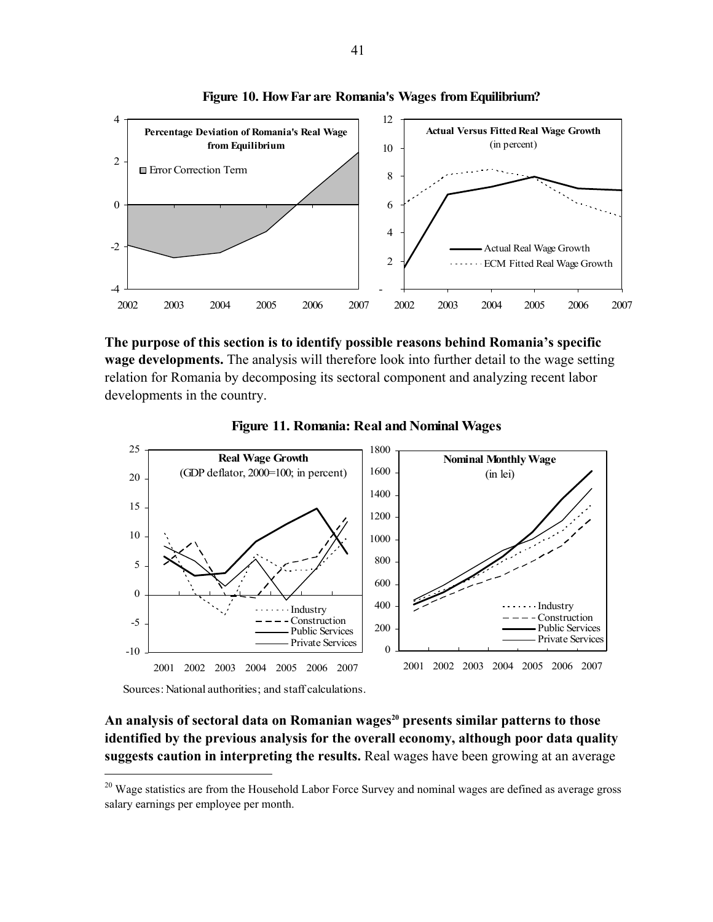



**The purpose of this section is to identify possible reasons behind Romania's specific wage developments.** The analysis will therefore look into further detail to the wage setting relation for Romania by decomposing its sectoral component and analyzing recent labor developments in the country.





Sources: National authorities; and staff calculations.

 $\overline{a}$ 

An analysis of sectoral data on Romanian wages<sup>20</sup> presents similar patterns to those **identified by the previous analysis for the overall economy, although poor data quality suggests caution in interpreting the results.** Real wages have been growing at an average

<sup>&</sup>lt;sup>20</sup> Wage statistics are from the Household Labor Force Survey and nominal wages are defined as average gross salary earnings per employee per month.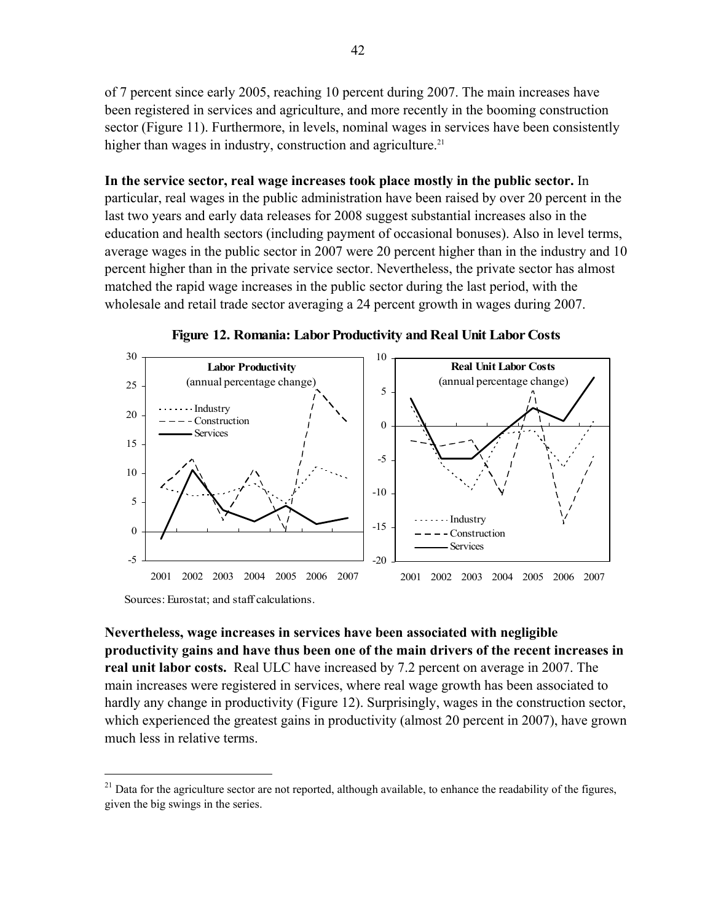of 7 percent since early 2005, reaching 10 percent during 2007. The main increases have been registered in services and agriculture, and more recently in the booming construction sector (Figure 11). Furthermore, in levels, nominal wages in services have been consistently higher than wages in industry, construction and agriculture.<sup>21</sup>

**In the service sector, real wage increases took place mostly in the public sector.** In particular, real wages in the public administration have been raised by over 20 percent in the last two years and early data releases for 2008 suggest substantial increases also in the education and health sectors (including payment of occasional bonuses). Also in level terms, average wages in the public sector in 2007 were 20 percent higher than in the industry and 10 percent higher than in the private service sector. Nevertheless, the private sector has almost matched the rapid wage increases in the public sector during the last period, with the wholesale and retail trade sector averaging a 24 percent growth in wages during 2007.



**Figure 12. Romania: Labor Productivity and Real Unit Labor Costs**

**Nevertheless, wage increases in services have been associated with negligible productivity gains and have thus been one of the main drivers of the recent increases in real unit labor costs.** Real ULC have increased by 7.2 percent on average in 2007. The main increases were registered in services, where real wage growth has been associated to hardly any change in productivity (Figure 12). Surprisingly, wages in the construction sector, which experienced the greatest gains in productivity (almost 20 percent in 2007), have grown much less in relative terms.

 $\overline{a}$ 

<sup>&</sup>lt;sup>21</sup> Data for the agriculture sector are not reported, although available, to enhance the readability of the figures, given the big swings in the series.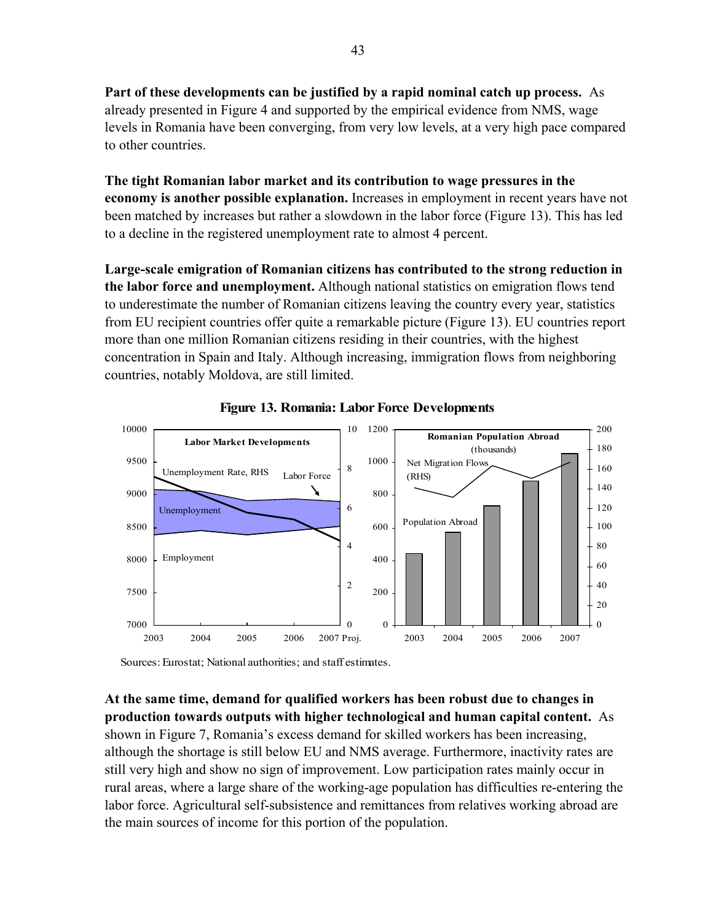**Part of these developments can be justified by a rapid nominal catch up process.** As already presented in Figure 4 and supported by the empirical evidence from NMS, wage levels in Romania have been converging, from very low levels, at a very high pace compared to other countries.

**The tight Romanian labor market and its contribution to wage pressures in the economy is another possible explanation.** Increases in employment in recent years have not been matched by increases but rather a slowdown in the labor force (Figure 13). This has led to a decline in the registered unemployment rate to almost 4 percent.

**Large-scale emigration of Romanian citizens has contributed to the strong reduction in the labor force and unemployment.** Although national statistics on emigration flows tend to underestimate the number of Romanian citizens leaving the country every year, statistics from EU recipient countries offer quite a remarkable picture (Figure 13). EU countries report more than one million Romanian citizens residing in their countries, with the highest concentration in Spain and Italy. Although increasing, immigration flows from neighboring countries, notably Moldova, are still limited.





Sources: Eurostat; National authorities; and staff estimates.

**At the same time, demand for qualified workers has been robust due to changes in production towards outputs with higher technological and human capital content.** As shown in Figure 7, Romania's excess demand for skilled workers has been increasing, although the shortage is still below EU and NMS average. Furthermore, inactivity rates are still very high and show no sign of improvement. Low participation rates mainly occur in rural areas, where a large share of the working-age population has difficulties re-entering the labor force. Agricultural self-subsistence and remittances from relatives working abroad are the main sources of income for this portion of the population.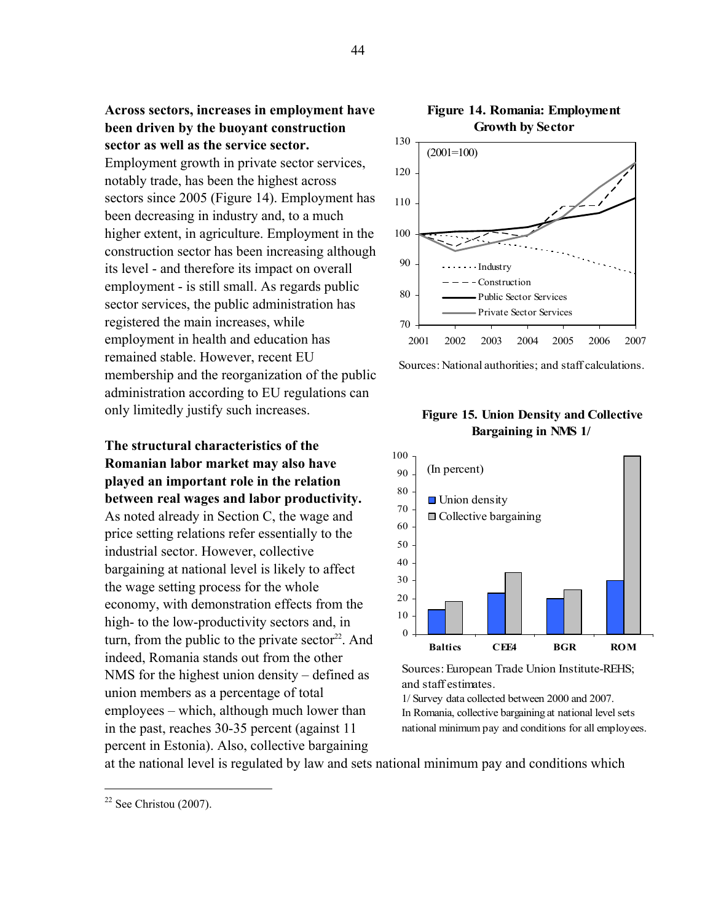**Across sectors, increases in employment have been driven by the buoyant construction sector as well as the service sector.** 

Employment growth in private sector services, notably trade, has been the highest across sectors since 2005 (Figure 14). Employment has been decreasing in industry and, to a much higher extent, in agriculture. Employment in the construction sector has been increasing although its level - and therefore its impact on overall employment - is still small. As regards public sector services, the public administration has registered the main increases, while employment in health and education has remained stable. However, recent EU membership and the reorganization of the public administration according to EU regulations can only limitedly justify such increases.

**The structural characteristics of the Romanian labor market may also have played an important role in the relation between real wages and labor productivity.**  As noted already in Section C, the wage and price setting relations refer essentially to the industrial sector. However, collective bargaining at national level is likely to affect the wage setting process for the whole economy, with demonstration effects from the high- to the low-productivity sectors and, in turn, from the public to the private sector<sup>22</sup>. And indeed, Romania stands out from the other NMS for the highest union density – defined as union members as a percentage of total employees – which, although much lower than in the past, reaches 30-35 percent (against 11 percent in Estonia). Also, collective bargaining



Sources: National authorities; and staff calculations.

#### **Figure 15. Union Density and Collective Bargaining in NMS 1/**



Sources: European Trade Union Institute-REHS; and staff estimates.

1/ Survey data collected between 2000 and 2007. In Romania, collective bargaining at national level sets national minimum pay and conditions for all employees.

at the national level is regulated by law and sets national minimum pay and conditions which

 $\overline{a}$ 

# **Figure 14. Romania: Employment**

 $22$  See Christou (2007).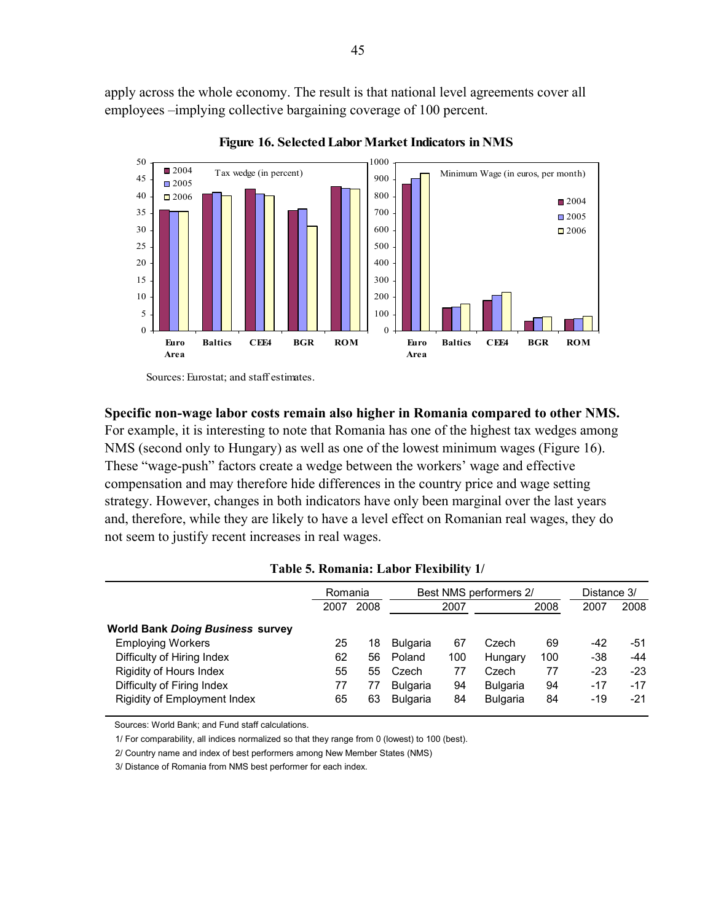apply across the whole economy. The result is that national level agreements cover all employees –implying collective bargaining coverage of 100 percent.



**Figure 16. Selected Labor Market Indicators in NMS**

Sources: Eurostat; and staff estimates.

#### **Specific non-wage labor costs remain also higher in Romania compared to other NMS.**

For example, it is interesting to note that Romania has one of the highest tax wedges among NMS (second only to Hungary) as well as one of the lowest minimum wages (Figure 16). These "wage-push" factors create a wedge between the workers' wage and effective compensation and may therefore hide differences in the country price and wage setting strategy. However, changes in both indicators have only been marginal over the last years and, therefore, while they are likely to have a level effect on Romanian real wages, they do not seem to justify recent increases in real wages.

|                                         | Romania |      | Best NMS performers 2/ |      |                 |      | Distance 3/ |       |
|-----------------------------------------|---------|------|------------------------|------|-----------------|------|-------------|-------|
|                                         | 2007    | 2008 |                        | 2007 |                 | 2008 | 2007        | 2008  |
| <b>World Bank Doing Business survey</b> |         |      |                        |      |                 |      |             |       |
| <b>Employing Workers</b>                | 25      | 18   | <b>Bulgaria</b>        | 67   | Czech           | 69   | -42         | $-51$ |
| Difficulty of Hiring Index              | 62      | 56   | Poland                 | 100  | Hungary         | 100  | -38         | -44   |
| <b>Rigidity of Hours Index</b>          | 55      | 55   | Czech                  | 77   | Czech           | 77   | -23         | $-23$ |
| Difficulty of Firing Index              | 77      | 77   | <b>Bulgaria</b>        | 94   | <b>Bulgaria</b> | 94   | -17         | $-17$ |
| Rigidity of Employment Index            | 65      | 63   | <b>Bulgaria</b>        | 84   | <b>Bulgaria</b> | 84   | -19         | $-21$ |

#### **Table 5. Romania: Labor Flexibility 1/**

Sources: World Bank; and Fund staff calculations.

1/ For comparability, all indices normalized so that they range from 0 (lowest) to 100 (best).

2/ Country name and index of best performers among New Member States (NMS)

3/ Distance of Romania from NMS best performer for each index.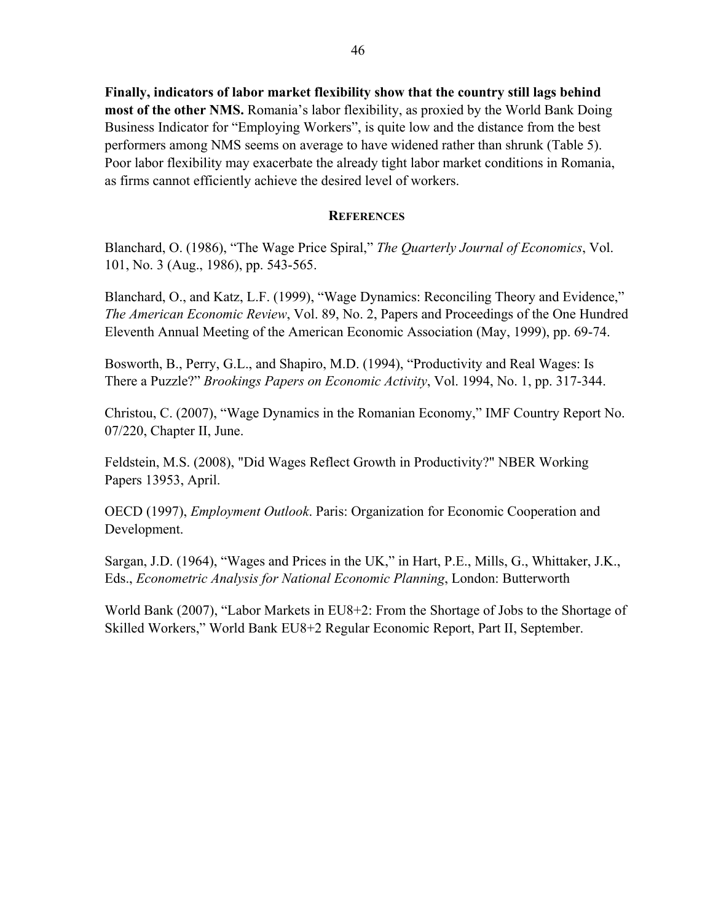**Finally, indicators of labor market flexibility show that the country still lags behind most of the other NMS.** Romania's labor flexibility, as proxied by the World Bank Doing Business Indicator for "Employing Workers", is quite low and the distance from the best performers among NMS seems on average to have widened rather than shrunk (Table 5). Poor labor flexibility may exacerbate the already tight labor market conditions in Romania, as firms cannot efficiently achieve the desired level of workers.

#### **REFERENCES**

Blanchard, O. (1986), "The Wage Price Spiral," *The Quarterly Journal of Economics*, Vol. 101, No. 3 (Aug., 1986), pp. 543-565.

Blanchard, O., and Katz, L.F. (1999), "Wage Dynamics: Reconciling Theory and Evidence," *The American Economic Review*, Vol. 89, No. 2, Papers and Proceedings of the One Hundred Eleventh Annual Meeting of the American Economic Association (May, 1999), pp. 69-74.

Bosworth, B., Perry, G.L., and Shapiro, M.D. (1994), "Productivity and Real Wages: Is There a Puzzle?" *Brookings Papers on Economic Activity*, Vol. 1994, No. 1, pp. 317-344.

Christou, C. (2007), "Wage Dynamics in the Romanian Economy," IMF Country Report No. 07/220, Chapter II, June.

Feldstein, M.S. (2008), "Did Wages Reflect Growth in Productivity?" NBER Working Papers 13953, April.

OECD (1997), *Employment Outlook*. Paris: Organization for Economic Cooperation and Development.

Sargan, J.D. (1964), "Wages and Prices in the UK," in Hart, P.E., Mills, G., Whittaker, J.K., Eds., *Econometric Analysis for National Economic Planning*, London: Butterworth

World Bank (2007), "Labor Markets in EU8+2: From the Shortage of Jobs to the Shortage of Skilled Workers," World Bank EU8+2 Regular Economic Report, Part II, September.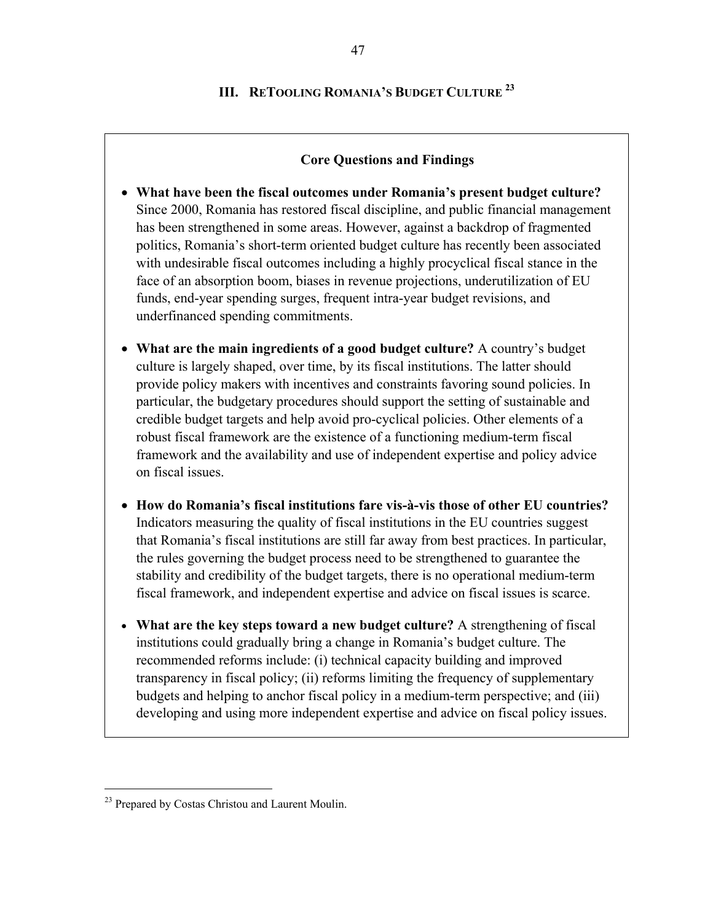# **III. RETOOLING ROMANIA'S BUDGET CULTURE <sup>23</sup>**

#### **Core Questions and Findings**

- **What have been the fiscal outcomes under Romania's present budget culture?**  Since 2000, Romania has restored fiscal discipline, and public financial management has been strengthened in some areas. However, against a backdrop of fragmented politics, Romania's short-term oriented budget culture has recently been associated with undesirable fiscal outcomes including a highly procyclical fiscal stance in the face of an absorption boom, biases in revenue projections, underutilization of EU funds, end-year spending surges, frequent intra-year budget revisions, and underfinanced spending commitments.
- **What are the main ingredients of a good budget culture?** A country's budget culture is largely shaped, over time, by its fiscal institutions. The latter should provide policy makers with incentives and constraints favoring sound policies. In particular, the budgetary procedures should support the setting of sustainable and credible budget targets and help avoid pro-cyclical policies. Other elements of a robust fiscal framework are the existence of a functioning medium-term fiscal framework and the availability and use of independent expertise and policy advice on fiscal issues.
- **How do Romania's fiscal institutions fare vis-à-vis those of other EU countries?**  Indicators measuring the quality of fiscal institutions in the EU countries suggest that Romania's fiscal institutions are still far away from best practices. In particular, the rules governing the budget process need to be strengthened to guarantee the stability and credibility of the budget targets, there is no operational medium-term fiscal framework, and independent expertise and advice on fiscal issues is scarce.
- **What are the key steps toward a new budget culture?** A strengthening of fiscal institutions could gradually bring a change in Romania's budget culture. The recommended reforms include: (i) technical capacity building and improved transparency in fiscal policy; (ii) reforms limiting the frequency of supplementary budgets and helping to anchor fiscal policy in a medium-term perspective; and (iii) developing and using more independent expertise and advice on fiscal policy issues.

 $\overline{a}$ 

<sup>&</sup>lt;sup>23</sup> Prepared by Costas Christou and Laurent Moulin.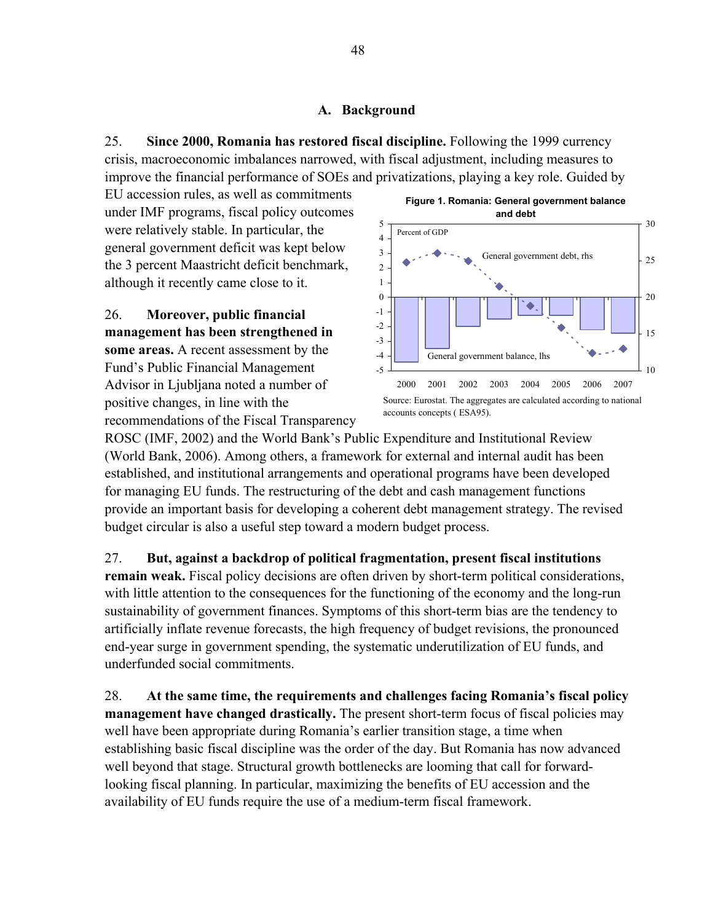#### **A. Background**

25. **Since 2000, Romania has restored fiscal discipline.** Following the 1999 currency crisis, macroeconomic imbalances narrowed, with fiscal adjustment, including measures to improve the financial performance of SOEs and privatizations, playing a key role. Guided by

EU accession rules, as well as commitments under IMF programs, fiscal policy outcomes were relatively stable. In particular, the general government deficit was kept below the 3 percent Maastricht deficit benchmark, although it recently came close to it.

26. **Moreover, public financial management has been strengthened in some areas.** A recent assessment by the Fund's Public Financial Management Advisor in Ljubljana noted a number of positive changes, in line with the recommendations of the Fiscal Transparency



ROSC (IMF, 2002) and the World Bank's Public Expenditure and Institutional Review (World Bank, 2006). Among others, a framework for external and internal audit has been established, and institutional arrangements and operational programs have been developed for managing EU funds. The restructuring of the debt and cash management functions provide an important basis for developing a coherent debt management strategy. The revised budget circular is also a useful step toward a modern budget process.

27. **But, against a backdrop of political fragmentation, present fiscal institutions remain weak.** Fiscal policy decisions are often driven by short-term political considerations, with little attention to the consequences for the functioning of the economy and the long-run sustainability of government finances. Symptoms of this short-term bias are the tendency to artificially inflate revenue forecasts, the high frequency of budget revisions, the pronounced end-year surge in government spending, the systematic underutilization of EU funds, and underfunded social commitments.

28. **At the same time, the requirements and challenges facing Romania's fiscal policy management have changed drastically.** The present short-term focus of fiscal policies may well have been appropriate during Romania's earlier transition stage, a time when establishing basic fiscal discipline was the order of the day. But Romania has now advanced well beyond that stage. Structural growth bottlenecks are looming that call for forwardlooking fiscal planning. In particular, maximizing the benefits of EU accession and the availability of EU funds require the use of a medium-term fiscal framework.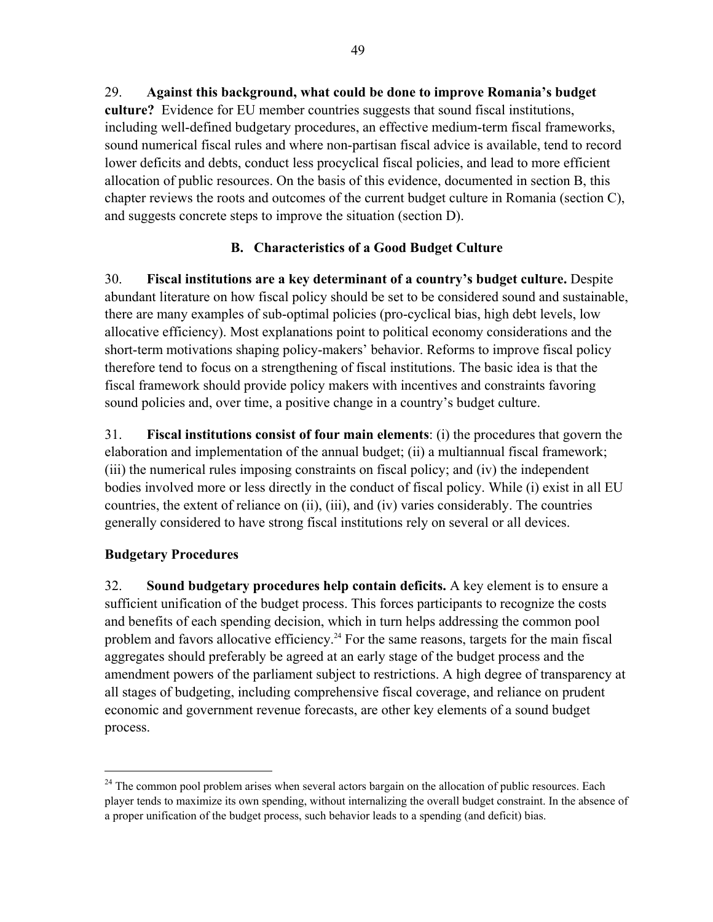lower deficits and debts, conduct less procyclical fiscal policies, and lead to more efficient allocation of public resources. On the basis of this evidence, documented in section B, this chapter reviews the roots and outcomes of the current budget culture in Romania (section C), and suggests concrete steps to improve the situation (section D).

# **B. Characteristics of a Good Budget Culture**

30. **Fiscal institutions are a key determinant of a country's budget culture.** Despite abundant literature on how fiscal policy should be set to be considered sound and sustainable, there are many examples of sub-optimal policies (pro-cyclical bias, high debt levels, low allocative efficiency). Most explanations point to political economy considerations and the short-term motivations shaping policy-makers' behavior. Reforms to improve fiscal policy therefore tend to focus on a strengthening of fiscal institutions. The basic idea is that the fiscal framework should provide policy makers with incentives and constraints favoring sound policies and, over time, a positive change in a country's budget culture.

31. **Fiscal institutions consist of four main elements**: (i) the procedures that govern the elaboration and implementation of the annual budget; (ii) a multiannual fiscal framework; (iii) the numerical rules imposing constraints on fiscal policy; and (iv) the independent bodies involved more or less directly in the conduct of fiscal policy. While (i) exist in all EU countries, the extent of reliance on (ii), (iii), and (iv) varies considerably. The countries generally considered to have strong fiscal institutions rely on several or all devices.

# **Budgetary Procedures**

 $\overline{a}$ 

32. **Sound budgetary procedures help contain deficits.** A key element is to ensure a sufficient unification of the budget process. This forces participants to recognize the costs and benefits of each spending decision, which in turn helps addressing the common pool problem and favors allocative efficiency.<sup>24</sup> For the same reasons, targets for the main fiscal aggregates should preferably be agreed at an early stage of the budget process and the amendment powers of the parliament subject to restrictions. A high degree of transparency at all stages of budgeting, including comprehensive fiscal coverage, and reliance on prudent economic and government revenue forecasts, are other key elements of a sound budget process.

<sup>&</sup>lt;sup>24</sup> The common pool problem arises when several actors bargain on the allocation of public resources. Each player tends to maximize its own spending, without internalizing the overall budget constraint. In the absence of a proper unification of the budget process, such behavior leads to a spending (and deficit) bias.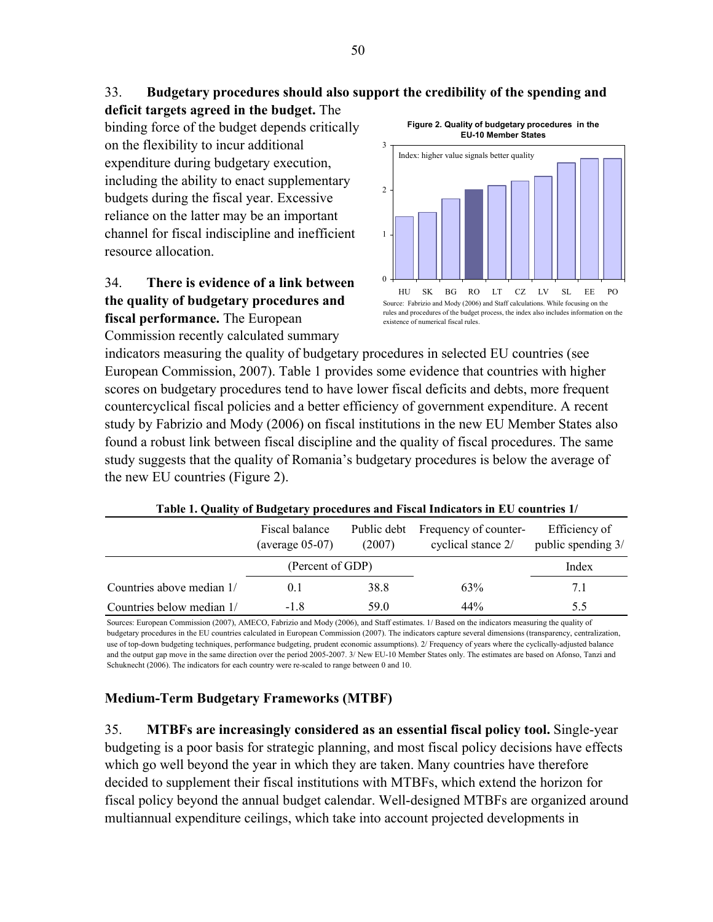# 33. **Budgetary procedures should also support the credibility of the spending and**

**deficit targets agreed in the budget.** The binding force of the budget depends critically on the flexibility to incur additional expenditure during budgetary execution, including the ability to enact supplementary budgets during the fiscal year. Excessive reliance on the latter may be an important channel for fiscal indiscipline and inefficient resource allocation.

# 34. **There is evidence of a link between the quality of budgetary procedures and fiscal performance.** The European

Commission recently calculated summary

**Figure 2. Quality of budgetary procedures in the EU-10 Member States**



indicators measuring the quality of budgetary procedures in selected EU countries (see European Commission, 2007). Table 1 provides some evidence that countries with higher scores on budgetary procedures tend to have lower fiscal deficits and debts, more frequent countercyclical fiscal policies and a better efficiency of government expenditure. A recent study by Fabrizio and Mody (2006) on fiscal institutions in the new EU Member States also found a robust link between fiscal discipline and the quality of fiscal procedures. The same study suggests that the quality of Romania's budgetary procedures is below the average of the new EU countries (Figure 2).

|                           | Fiscal balance<br>$(average 05-07)$ | Public debt<br>(2007) | Frequency of counter-<br>cyclical stance 2/ | Efficiency of<br>public spending 3/ |
|---------------------------|-------------------------------------|-----------------------|---------------------------------------------|-------------------------------------|
|                           | (Percent of GDP)                    |                       |                                             | Index                               |
| Countries above median 1/ | 0.1                                 | 38.8                  | 63%                                         | 7.1                                 |
| Countries below median 1/ | -18                                 | 59 O                  | 44%                                         | 5.5                                 |

| Table 1. Quality of Budgetary procedures and Fiscal Indicators in EU countries 1/ |  |  |
|-----------------------------------------------------------------------------------|--|--|
|                                                                                   |  |  |

Sources: European Commission (2007), AMECO, Fabrizio and Mody (2006), and Staff estimates. 1/ Based on the indicators measuring the quality of budgetary procedures in the EU countries calculated in European Commission (2007). The indicators capture several dimensions (transparency, centralization, use of top-down budgeting techniques, performance budgeting, prudent economic assumptions). 2/ Frequency of years where the cyclically-adjusted balance and the output gap move in the same direction over the period 2005-2007. 3/ New EU-10 Member States only. The estimates are based on Afonso, Tanzi and Schuknecht (2006). The indicators for each country were re-scaled to range between 0 and 10.

# **Medium-Term Budgetary Frameworks (MTBF)**

35. **MTBFs are increasingly considered as an essential fiscal policy tool.** Single-year budgeting is a poor basis for strategic planning, and most fiscal policy decisions have effects which go well beyond the year in which they are taken. Many countries have therefore decided to supplement their fiscal institutions with MTBFs, which extend the horizon for fiscal policy beyond the annual budget calendar. Well-designed MTBFs are organized around multiannual expenditure ceilings, which take into account projected developments in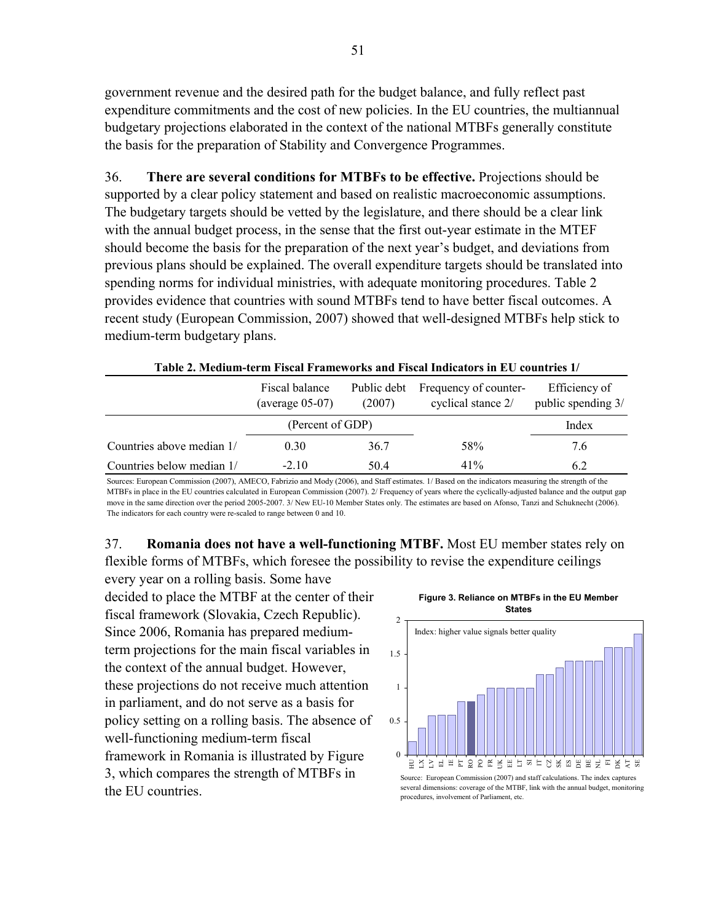government revenue and the desired path for the budget balance, and fully reflect past expenditure commitments and the cost of new policies. In the EU countries, the multiannual budgetary projections elaborated in the context of the national MTBFs generally constitute the basis for the preparation of Stability and Convergence Programmes.

36. **There are several conditions for MTBFs to be effective.** Projections should be supported by a clear policy statement and based on realistic macroeconomic assumptions. The budgetary targets should be vetted by the legislature, and there should be a clear link with the annual budget process, in the sense that the first out-year estimate in the MTEF should become the basis for the preparation of the next year's budget, and deviations from previous plans should be explained. The overall expenditure targets should be translated into spending norms for individual ministries, with adequate monitoring procedures. Table 2 provides evidence that countries with sound MTBFs tend to have better fiscal outcomes. A recent study (European Commission, 2007) showed that well-designed MTBFs help stick to medium-term budgetary plans.

| Table 2. McGhuil-term Fiscal Francovities and Fiscal Highcators in Ev Countries 1/ |        |                                                         |                                     |  |  |
|------------------------------------------------------------------------------------|--------|---------------------------------------------------------|-------------------------------------|--|--|
| Fiscal balance<br>(average $05-07$ )                                               | (2007) | Public debt Frequency of counter-<br>cyclical stance 2/ | Efficiency of<br>public spending 3/ |  |  |
| (Percent of GDP)                                                                   |        |                                                         |                                     |  |  |

Countries above median  $1/$  0.30  $36.7$  58% 7.6 Countries below median  $1/$   $-2.10$   $50.4$   $41\%$   $6.2$ 

**Table 2. Medium-term Fiscal Frameworks and Fiscal Indicators in EU countries 1/**

Sources: European Commission (2007), AMECO, Fabrizio and Mody (2006), and Staff estimates. 1/ Based on the indicators measuring the strength of the MTBFs in place in the EU countries calculated in European Commission (2007). 2/ Frequency of years where the cyclically-adjusted balance and the output gap move in the same direction over the period 2005-2007. 3/ New EU-10 Member States only. The estimates are based on Afonso, Tanzi and Schuknecht (2006). The indicators for each country were re-scaled to range between 0 and 10.

37. **Romania does not have a well-functioning MTBF.** Most EU member states rely on flexible forms of MTBFs, which foresee the possibility to revise the expenditure ceilings

every year on a rolling basis. Some have decided to place the MTBF at the center of their fiscal framework (Slovakia, Czech Republic). Since 2006, Romania has prepared mediumterm projections for the main fiscal variables in the context of the annual budget. However, these projections do not receive much attention in parliament, and do not serve as a basis for policy setting on a rolling basis. The absence of well-functioning medium-term fiscal framework in Romania is illustrated by Figure 3, which compares the strength of MTBFs in the EU countries.





several dimensions: coverage of the MTBF, link with the annual budget, monitoring procedures, involvement of Parliament, etc.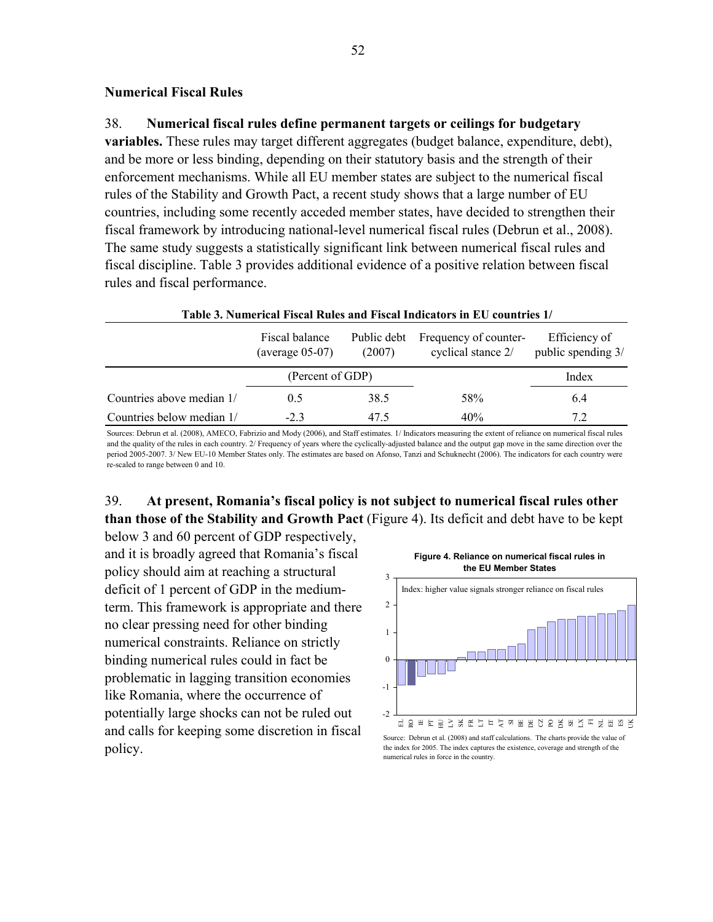#### **Numerical Fiscal Rules**

#### 38. **Numerical fiscal rules define permanent targets or ceilings for budgetary**

**variables.** These rules may target different aggregates (budget balance, expenditure, debt), and be more or less binding, depending on their statutory basis and the strength of their enforcement mechanisms. While all EU member states are subject to the numerical fiscal rules of the Stability and Growth Pact, a recent study shows that a large number of EU countries, including some recently acceded member states, have decided to strengthen their fiscal framework by introducing national-level numerical fiscal rules (Debrun et al., 2008). The same study suggests a statistically significant link between numerical fiscal rules and fiscal discipline. Table 3 provides additional evidence of a positive relation between fiscal rules and fiscal performance.

|                           |                                     |                       | Table 3. Numerical Fiscal Rules and Fiscal Indicators in EU countries 1/ |                                     |
|---------------------------|-------------------------------------|-----------------------|--------------------------------------------------------------------------|-------------------------------------|
|                           | Fiscal balance<br>$(average 05-07)$ | Public debt<br>(2007) | Frequency of counter-<br>cyclical stance 2/                              | Efficiency of<br>public spending 3/ |
|                           | (Percent of GDP)                    |                       |                                                                          | Index                               |
| Countries above median 1/ | 0.5                                 | 38.5                  | 58%                                                                      | 6.4                                 |
| Countries below median 1/ | $-2.3$                              | 47.5                  | 40%                                                                      | 7.2                                 |

Sources: Debrun et al. (2008), AMECO, Fabrizio and Mody (2006), and Staff estimates. 1/ Indicators measuring the extent of reliance on numerical fiscal rules and the quality of the rules in each country. 2/ Frequency of years where the cyclically-adjusted balance and the output gap move in the same direction over the period 2005-2007. 3/ New EU-10 Member States only. The estimates are based on Afonso, Tanzi and Schuknecht (2006). The indicators for each country were re-scaled to range between 0 and 10.

# 39. **At present, Romania's fiscal policy is not subject to numerical fiscal rules other than those of the Stability and Growth Pact** (Figure 4). Its deficit and debt have to be kept

below 3 and 60 percent of GDP respectively, and it is broadly agreed that Romania's fiscal policy should aim at reaching a structural deficit of 1 percent of GDP in the mediumterm. This framework is appropriate and there no clear pressing need for other binding numerical constraints. Reliance on strictly binding numerical rules could in fact be problematic in lagging transition economies like Romania, where the occurrence of potentially large shocks can not be ruled out and calls for keeping some discretion in fiscal policy.

**Figure 4. Reliance on numerical fiscal rules in the EU Member States**



Source: Debrun et al. (2008) and staff calculations. The charts provide the value of the index for 2005. The index captures the existence, coverage and strength of the numerical rules in force in the country.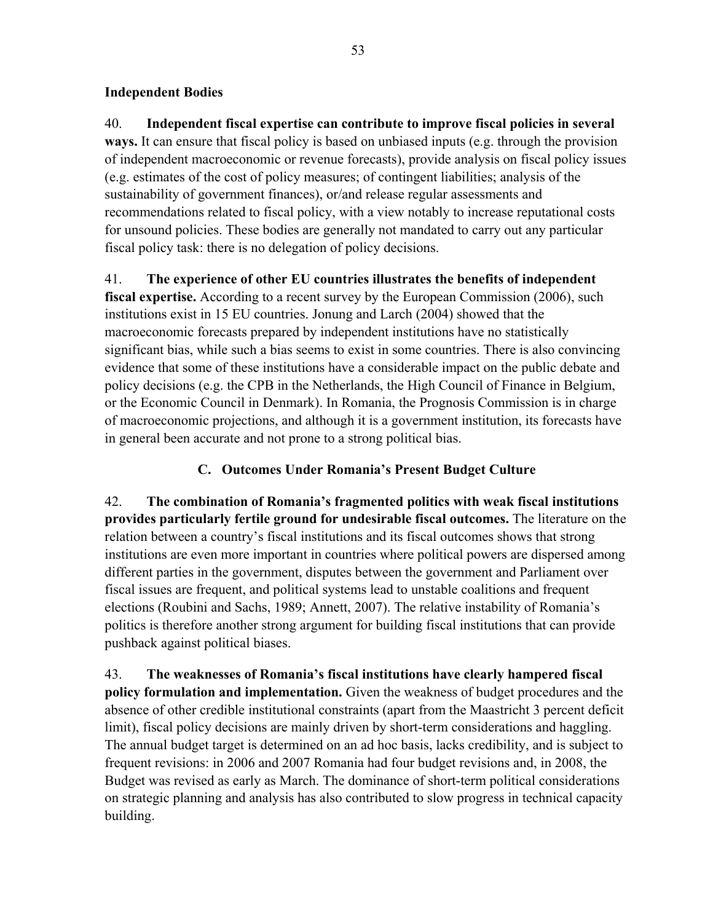### **Independent Bodies**

40. **Independent fiscal expertise can contribute to improve fiscal policies in several ways.** It can ensure that fiscal policy is based on unbiased inputs (e.g. through the provision of independent macroeconomic or revenue forecasts), provide analysis on fiscal policy issues (e.g. estimates of the cost of policy measures; of contingent liabilities; analysis of the sustainability of government finances), or/and release regular assessments and recommendations related to fiscal policy, with a view notably to increase reputational costs for unsound policies. These bodies are generally not mandated to carry out any particular fiscal policy task: there is no delegation of policy decisions.

41. **The experience of other EU countries illustrates the benefits of independent** 

**fiscal expertise.** According to a recent survey by the European Commission (2006), such institutions exist in 15 EU countries. Jonung and Larch (2004) showed that the macroeconomic forecasts prepared by independent institutions have no statistically significant bias, while such a bias seems to exist in some countries. There is also convincing evidence that some of these institutions have a considerable impact on the public debate and policy decisions (e.g. the CPB in the Netherlands, the High Council of Finance in Belgium, or the Economic Council in Denmark). In Romania, the Prognosis Commission is in charge of macroeconomic projections, and although it is a government institution, its forecasts have in general been accurate and not prone to a strong political bias.

# **C. Outcomes Under Romania's Present Budget Culture**

42. **The combination of Romania's fragmented politics with weak fiscal institutions provides particularly fertile ground for undesirable fiscal outcomes.** The literature on the relation between a country's fiscal institutions and its fiscal outcomes shows that strong institutions are even more important in countries where political powers are dispersed among different parties in the government, disputes between the government and Parliament over fiscal issues are frequent, and political systems lead to unstable coalitions and frequent elections (Roubini and Sachs, 1989; Annett, 2007). The relative instability of Romania's politics is therefore another strong argument for building fiscal institutions that can provide pushback against political biases.

43. **The weaknesses of Romania's fiscal institutions have clearly hampered fiscal policy formulation and implementation.** Given the weakness of budget procedures and the absence of other credible institutional constraints (apart from the Maastricht 3 percent deficit limit), fiscal policy decisions are mainly driven by short-term considerations and haggling. The annual budget target is determined on an ad hoc basis, lacks credibility, and is subject to frequent revisions: in 2006 and 2007 Romania had four budget revisions and, in 2008, the Budget was revised as early as March. The dominance of short-term political considerations on strategic planning and analysis has also contributed to slow progress in technical capacity building.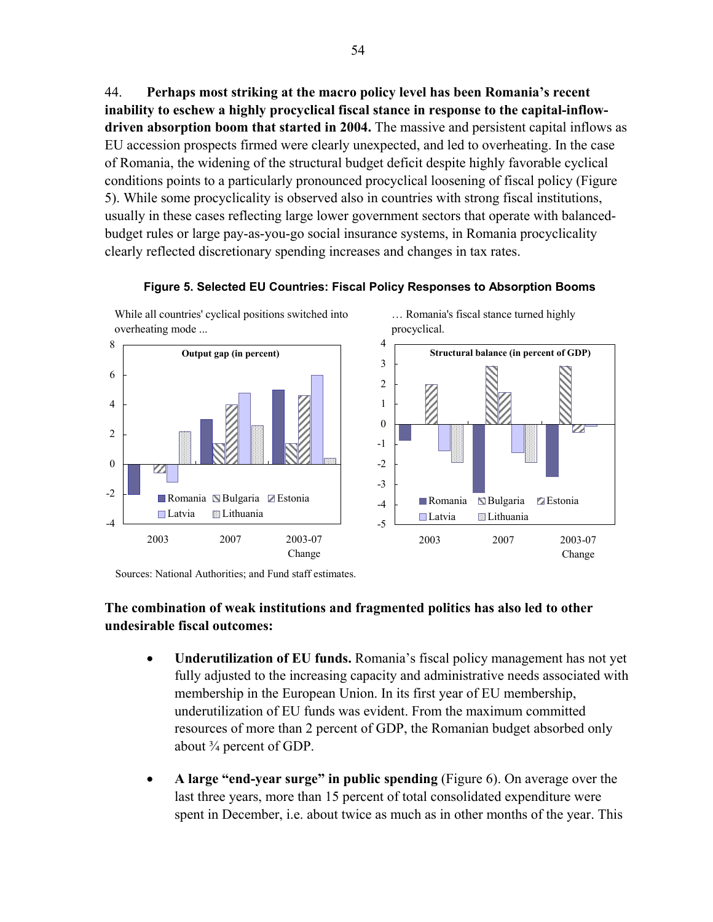44. **Perhaps most striking at the macro policy level has been Romania's recent inability to eschew a highly procyclical fiscal stance in response to the capital-inflowdriven absorption boom that started in 2004.** The massive and persistent capital inflows as EU accession prospects firmed were clearly unexpected, and led to overheating. In the case of Romania, the widening of the structural budget deficit despite highly favorable cyclical conditions points to a particularly pronounced procyclical loosening of fiscal policy (Figure 5). While some procyclicality is observed also in countries with strong fiscal institutions, usually in these cases reflecting large lower government sectors that operate with balancedbudget rules or large pay-as-you-go social insurance systems, in Romania procyclicality clearly reflected discretionary spending increases and changes in tax rates.





Sources: National Authorities; and Fund staff estimates.

# **The combination of weak institutions and fragmented politics has also led to other undesirable fiscal outcomes:**

- **Underutilization of EU funds.** Romania's fiscal policy management has not yet fully adjusted to the increasing capacity and administrative needs associated with membership in the European Union. In its first year of EU membership, underutilization of EU funds was evident. From the maximum committed resources of more than 2 percent of GDP, the Romanian budget absorbed only about  $\frac{3}{4}$  percent of GDP.
- **A large "end-year surge" in public spending** (Figure 6). On average over the last three years, more than 15 percent of total consolidated expenditure were spent in December, i.e. about twice as much as in other months of the year. This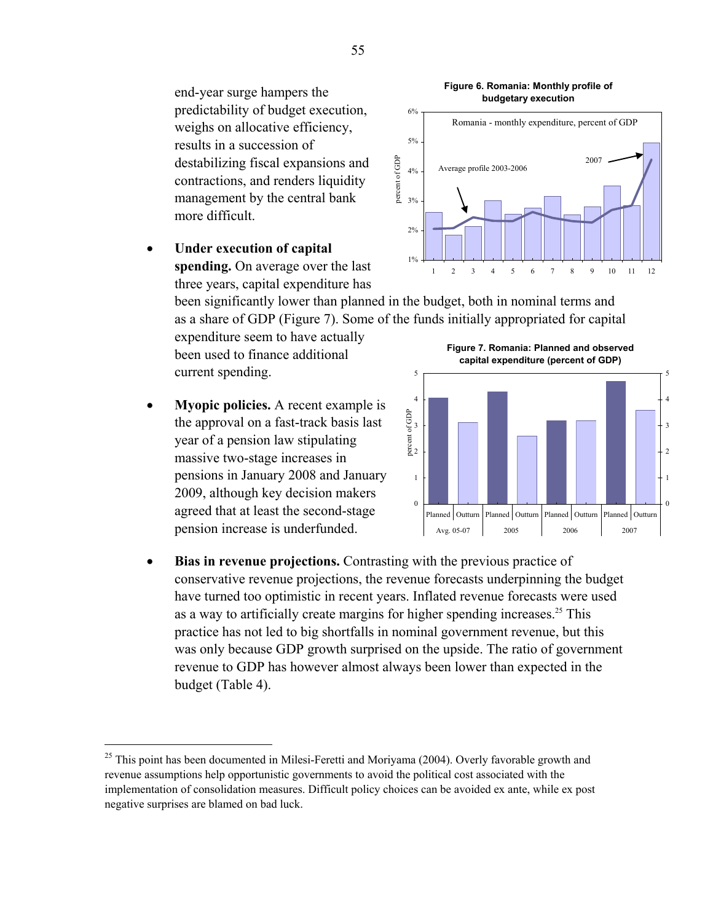end-year surge hampers the predictability of budget execution, weighs on allocative efficiency, results in a succession of destabilizing fiscal expansions and contractions, and renders liquidity management by the central bank more difficult.

**Under execution of capital spending.** On average over the last three years, capital expenditure has

> been significantly lower than planned in the budget, both in nominal terms and as a share of GDP (Figure 7). Some of the funds initially appropriated for capital

expenditure seem to have actually been used to finance additional current spending.

• **Myopic policies.** A recent example is the approval on a fast-track basis last year of a pension law stipulating massive two-stage increases in pensions in January 2008 and January 2009, although key decision makers agreed that at least the second-stage pension increase is underfunded.

 $\overline{a}$ 

• **Bias in revenue projections.** Contrasting with the previous practice of conservative revenue projections, the revenue forecasts underpinning the budget have turned too optimistic in recent years. Inflated revenue forecasts were used as a way to artificially create margins for higher spending increases.<sup>25</sup> This practice has not led to big shortfalls in nominal government revenue, but this was only because GDP growth surprised on the upside. The ratio of government revenue to GDP has however almost always been lower than expected in the budget (Table 4).

#### **Figure 6. Romania: Monthly profile of budgetary execution**



**Figure 7. Romania: Planned and observed capital expenditure (percent of GDP)**   $\Omega$ 1 2 3 4 5 Planned | Outturn | Planned | Outturn | Planned | Outturn | Planned | Outturn Avg. 05-07 2005 2006 2007 percent of GDP 0 1 2 3 4 5

<sup>&</sup>lt;sup>25</sup> This point has been documented in Milesi-Feretti and Moriyama (2004). Overly favorable growth and revenue assumptions help opportunistic governments to avoid the political cost associated with the implementation of consolidation measures. Difficult policy choices can be avoided ex ante, while ex post negative surprises are blamed on bad luck.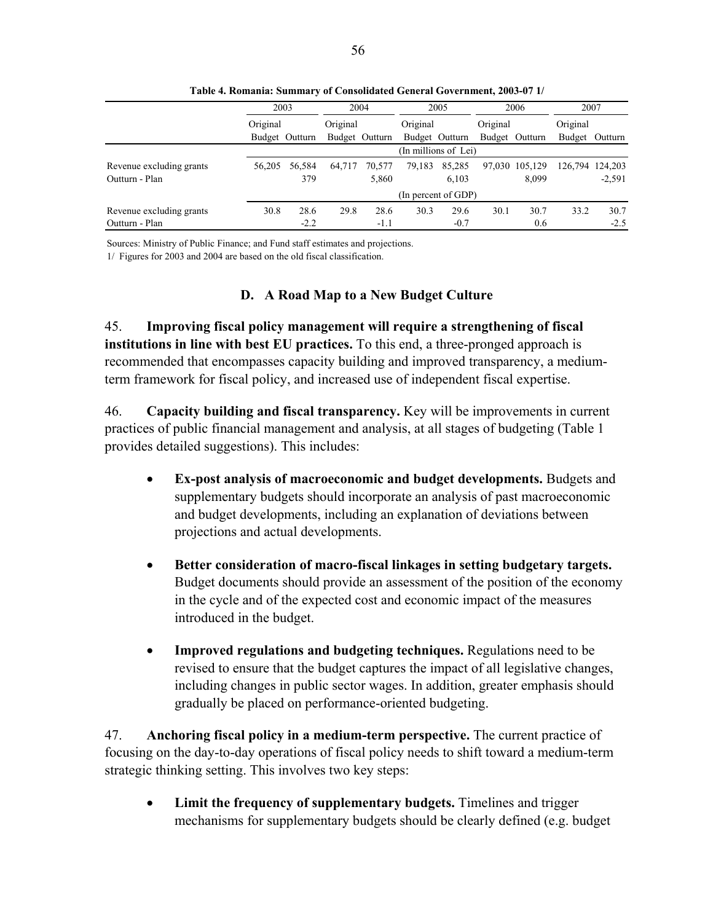|                          | 2003           |        | 2004           |        |          | 2005                 |          | 2006           | 2007            |          |
|--------------------------|----------------|--------|----------------|--------|----------|----------------------|----------|----------------|-----------------|----------|
|                          | Original       |        | Original       |        | Original |                      | Original |                | Original        |          |
|                          | Budget Outturn |        | Budget Outturn |        |          | Budget Outturn       |          | Budget Outturn | Budget          | Outturn  |
|                          |                |        |                |        |          | (In millions of Lei) |          |                |                 |          |
| Revenue excluding grants | 56.205         | 56,584 | 64.717         | 70.577 | 79,183   | 85.285               |          | 97,030 105,129 | 126,794 124,203 |          |
| Outturn - Plan           |                | 379    |                | 5,860  |          | 6,103                |          | 8.099          |                 | $-2,591$ |
|                          |                |        |                |        |          | (In percent of GDP)  |          |                |                 |          |
| Revenue excluding grants | 30.8           | 28.6   | 29.8           | 28.6   | 30.3     | 29.6                 | 30.1     | 30.7           | 33.2            | 30.7     |
| Outturn - Plan           |                | $-2.2$ |                | $-1.1$ |          | $-0.7$               |          | 0.6            |                 | $-2.5$   |

**Table 4. Romania: Summary of Consolidated General Government, 2003-07 1/**

Sources: Ministry of Public Finance; and Fund staff estimates and projections.

1/ Figures for 2003 and 2004 are based on the old fiscal classification.

#### **D. A Road Map to a New Budget Culture**

45. **Improving fiscal policy management will require a strengthening of fiscal institutions in line with best EU practices.** To this end, a three-pronged approach is recommended that encompasses capacity building and improved transparency, a mediumterm framework for fiscal policy, and increased use of independent fiscal expertise.

46. **Capacity building and fiscal transparency.** Key will be improvements in current practices of public financial management and analysis, at all stages of budgeting (Table 1 provides detailed suggestions). This includes:

- **Ex-post analysis of macroeconomic and budget developments.** Budgets and supplementary budgets should incorporate an analysis of past macroeconomic and budget developments, including an explanation of deviations between projections and actual developments.
- **Better consideration of macro-fiscal linkages in setting budgetary targets.**  Budget documents should provide an assessment of the position of the economy in the cycle and of the expected cost and economic impact of the measures introduced in the budget.
- **Improved regulations and budgeting techniques.** Regulations need to be revised to ensure that the budget captures the impact of all legislative changes, including changes in public sector wages. In addition, greater emphasis should gradually be placed on performance-oriented budgeting.

47. **Anchoring fiscal policy in a medium-term perspective.** The current practice of focusing on the day-to-day operations of fiscal policy needs to shift toward a medium-term strategic thinking setting. This involves two key steps:

• **Limit the frequency of supplementary budgets.** Timelines and trigger mechanisms for supplementary budgets should be clearly defined (e.g. budget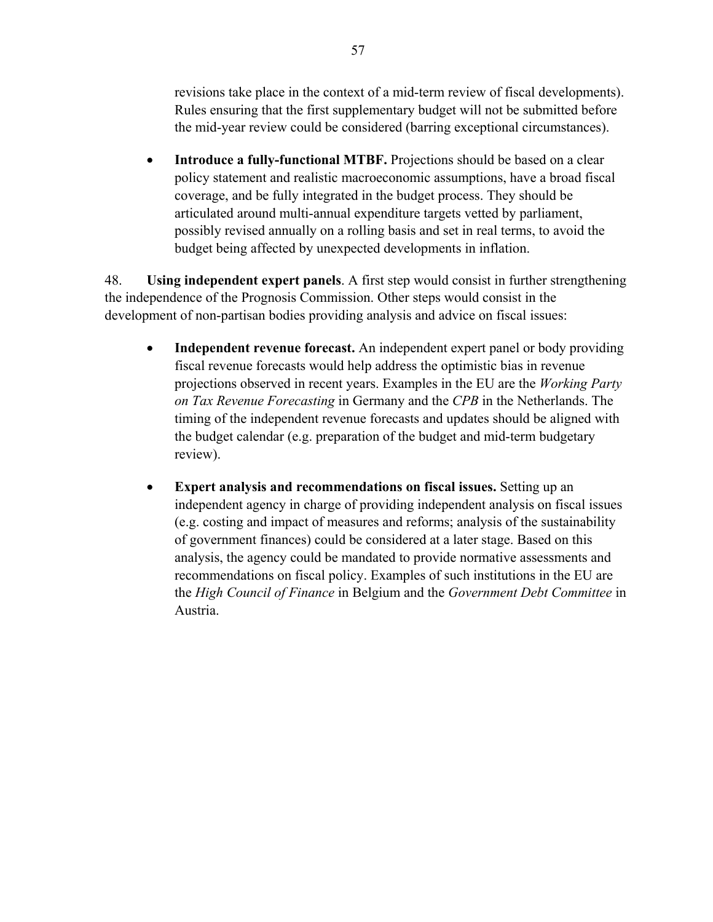revisions take place in the context of a mid-term review of fiscal developments). Rules ensuring that the first supplementary budget will not be submitted before the mid-year review could be considered (barring exceptional circumstances).

• **Introduce a fully-functional MTBF.** Projections should be based on a clear policy statement and realistic macroeconomic assumptions, have a broad fiscal coverage, and be fully integrated in the budget process. They should be articulated around multi-annual expenditure targets vetted by parliament, possibly revised annually on a rolling basis and set in real terms, to avoid the budget being affected by unexpected developments in inflation.

48. **Using independent expert panels**. A first step would consist in further strengthening the independence of the Prognosis Commission. Other steps would consist in the development of non-partisan bodies providing analysis and advice on fiscal issues:

- **Independent revenue forecast.** An independent expert panel or body providing fiscal revenue forecasts would help address the optimistic bias in revenue projections observed in recent years. Examples in the EU are the *Working Party on Tax Revenue Forecasting* in Germany and the *CPB* in the Netherlands. The timing of the independent revenue forecasts and updates should be aligned with the budget calendar (e.g. preparation of the budget and mid-term budgetary review).
- **Expert analysis and recommendations on fiscal issues.** Setting up an independent agency in charge of providing independent analysis on fiscal issues (e.g. costing and impact of measures and reforms; analysis of the sustainability of government finances) could be considered at a later stage. Based on this analysis, the agency could be mandated to provide normative assessments and recommendations on fiscal policy. Examples of such institutions in the EU are the *High Council of Finance* in Belgium and the *Government Debt Committee* in Austria.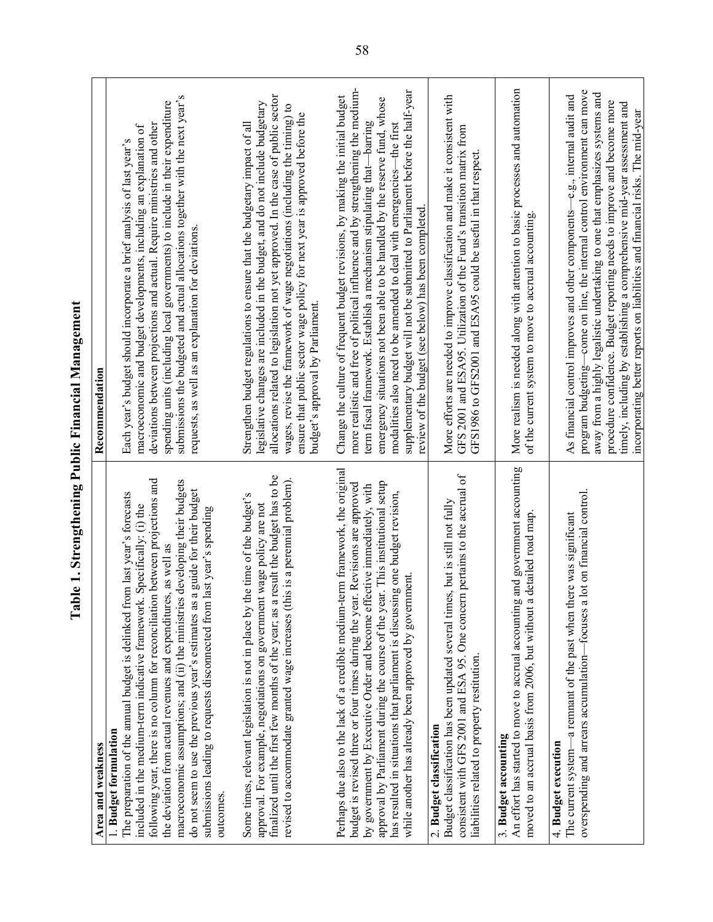| Area and weakness                                                                                                                                                                                                                                                                                                                                                                                                                                                                                                                                                                        | Recommendation                                                                                                                                                                                                                                                                                                                                                                                                                                                                                                                            |
|------------------------------------------------------------------------------------------------------------------------------------------------------------------------------------------------------------------------------------------------------------------------------------------------------------------------------------------------------------------------------------------------------------------------------------------------------------------------------------------------------------------------------------------------------------------------------------------|-------------------------------------------------------------------------------------------------------------------------------------------------------------------------------------------------------------------------------------------------------------------------------------------------------------------------------------------------------------------------------------------------------------------------------------------------------------------------------------------------------------------------------------------|
| following year, there is no column for reconciliation between projections and<br>macroeconomic assumptions; and (ii) the ministries developing their budgets<br>do not seem to use the previous year's estimates as a guide for their budget<br>The preparation of the annual budget is delinked from last year's forecasts<br>included in the medium-term indicative framework. Specifically: (i) the<br>submissions leading to requests disconnected from last year's spending<br>the deviation from actual revenues and expenditures, as well as<br>1. Budget formulation<br>outcomes | submissions the budgeted and actual allocations together with the next year's<br>spending units (including local governments) to include in their expenditure<br>deviations between projections and actual. Require ministries and other<br>macroeconomic and budget developments, including an explanation of<br>Each year's budget should incorporate a brief analysis of last year's<br>requests, as well as an explanation for deviations.                                                                                            |
| a result the budget has to be<br>revised to accommodate granted wage increases (this is a perennial problem).<br>the time of the budget's<br>approval. For example, negotiations on government wage policy are not<br>Some times, relevant legislation is not in place by<br>finalized until the first few months of the year; as                                                                                                                                                                                                                                                        | allocations related to legislation not yet approved. In the case of public sector<br>legislative changes are included in the budget, and do not include budgetary<br>wages, revise the framework of wage negotiations (including the timing) to<br>ensure that public sector wage policy for next year is approved before the<br>Strengthen budget regulations to ensure that the budgetary impact of all<br>budget's approval by Parliament.                                                                                             |
| Perhaps due also to the lack of a credible medium-term framework, the original<br>approval by Parliament during the course of the year. This institutional setup<br>budget is revised three or four times during the year. Revisions are approved<br>by government by Executive Order and become effective immediately, with<br>has resulted in situations that parliament is discussing one budget revision,<br>while another has already been approved by government.                                                                                                                  | more realistic and free of political influence and by strengthening the medium-<br>supplementary budget will not be submitted to Parliament before the half-year<br>Change the culture of frequent budget revisions, by making the initial budget<br>emergency situations not been able to be handled by the reserve fund, whose<br>term fiscal framework. Establish a mechanism stipulating that-barring<br>modalities also need to be amended to deal with emergencies-the first<br>review of the budget (see below) has been completed |
| consistent with GFS 2001 and ESA 95. One concern pertains to the accrual of<br>Budget classification has been updated several times, but is still not fully<br>liabilities related to property restitution<br>2. Budget classification                                                                                                                                                                                                                                                                                                                                                   | More efforts are needed to improve classification and make it consistent with<br>GFS 2001 and ESA95. Utilization of the Fund's transition matrix from<br>GFS1986 to GFS2001 and ESA95 could be useful in that respect                                                                                                                                                                                                                                                                                                                     |
| An effort has started to move to accrual accounting and government accounting<br>a detailed road map<br>moved to an accrual basis from 2006, but without<br>3. Budget accounting                                                                                                                                                                                                                                                                                                                                                                                                         | More realism is needed along with attention to basic processes and automation<br>of the current system to move to accrual accounting                                                                                                                                                                                                                                                                                                                                                                                                      |
| a lot on financial control.<br>-a remnant of the past when there was significant<br>overspending and arrears accumulation-focuses<br>4. Budget execution<br>The current system-                                                                                                                                                                                                                                                                                                                                                                                                          | program budgeting-come on line, the internal control environment can move<br>away from a highly legalistic undertaking to one that emphasizes systems and<br>As financial control improves and other components-e.g., internal audit and<br>procedure confidence. Budget reporting needs to improve and become more<br>timely, including by establishing a comprehensive mid-year assessment and<br>incorporating better reports on liabilities and financial risks. The mid-year                                                         |

# Table 1. Strengthening Public Financial Management **Table 1. Strengthening Public Financial Management**

r.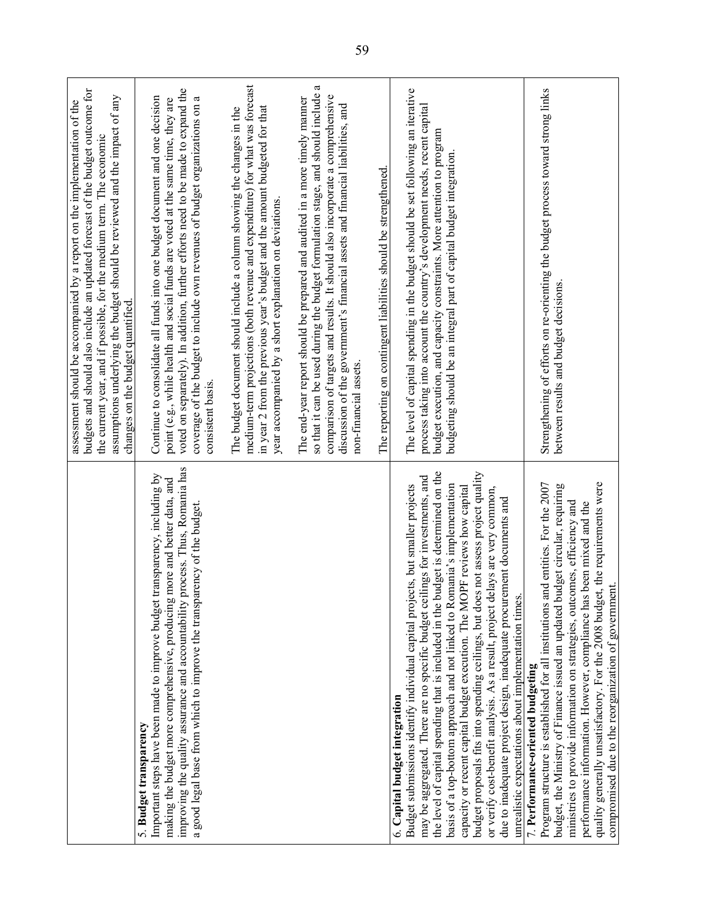|                                                                                                                                                                                                                                                                                                                                                                                                                                                                                                                                                                                                                                                                                                                                                        | budgets and should also include an updated forecast of the budget outcome for<br>assumptions underlying the budget should be reviewed and the impact of any<br>assessment should be accompanied by a report on the implementation of the<br>the current year, and if possible, for the medium term. The economic<br>changes on the budget quantified.         |
|--------------------------------------------------------------------------------------------------------------------------------------------------------------------------------------------------------------------------------------------------------------------------------------------------------------------------------------------------------------------------------------------------------------------------------------------------------------------------------------------------------------------------------------------------------------------------------------------------------------------------------------------------------------------------------------------------------------------------------------------------------|---------------------------------------------------------------------------------------------------------------------------------------------------------------------------------------------------------------------------------------------------------------------------------------------------------------------------------------------------------------|
| process. Thus, Romania has<br>transparency, including by<br>making the budget more comprehensive, producing more and better data, and<br>a good legal base from which to improve the transparency of the budget.<br>Important steps have been made to improve budget<br>improving the quality assurance and accountability<br>5. Budget transparency                                                                                                                                                                                                                                                                                                                                                                                                   | voted on separately). In addition, further efforts need to be made to expand the<br>Continue to consolidate all funds into one budget document and one decision<br>coverage of the budget to include own revenues of budget organizations on a<br>point (e.g., while health and social funds are voted at the same time, they are<br>consistent basis.        |
|                                                                                                                                                                                                                                                                                                                                                                                                                                                                                                                                                                                                                                                                                                                                                        | medium-term projections (both revenue and expenditure) for what was forecast<br>in year 2 from the previous year's budget and the amount budgeted for that<br>The budget document should include a column showing the changes in the<br>year accompanied by a short explanation on deviations.                                                                |
|                                                                                                                                                                                                                                                                                                                                                                                                                                                                                                                                                                                                                                                                                                                                                        | ß<br>so that it can be used during the budget formulation stage, and should include<br>comparison of targets and results. It should also incorporate a comprehensive<br>The end-year report should be prepared and audited in a more timely manner<br>discussion of the government's financial assets and financial liabilities, and<br>non-financial assets. |
|                                                                                                                                                                                                                                                                                                                                                                                                                                                                                                                                                                                                                                                                                                                                                        | The reporting on contingent liabilities should be strengthened.                                                                                                                                                                                                                                                                                               |
| the level of capital spending that is included in the budget is determined on the<br>budget proposals fits into spending ceilings, but does not assess project quality<br>may be aggregated. There are no specific budget ceilings for investments, and<br>Budget submissions identify individual capital projects, but smaller projects<br>basis of a top-bottom approach and not linked to Romania's implementation<br>capacity or recent capital budget execution. The MOPF reviews how capital<br>or verify cost-benefit analysis. As a result, project delays are very common,<br>due to inadequate project design, inadequate procurement documents and<br>unrealistic expectations about implementation times.<br>6. Capital budget integration | The level of capital spending in the budget should be set following an iterative<br>process taking into account the country's development needs, recent capital<br>budget execution, and capacity constraints. More attention to program<br>budgeting should be an integral part of capital budget integration.                                               |
| quality generally unsatisfactory. For the 2008 budget, the requirements were<br>Program structure is established for all institutions and entities. For the 2007<br>budget circular, requiring<br>ministries to provide information on strategies, outcomes, efficiency and<br>performance information. However, compliance has been mixed and the<br>compromised due to the reorganization of government.<br>budget, the Ministry of Finance issued an updated<br>7. Performance-oriented budgeting                                                                                                                                                                                                                                                   | Strengthening of efforts on re-orienting the budget process toward strong links<br>between results and budget decisions.                                                                                                                                                                                                                                      |